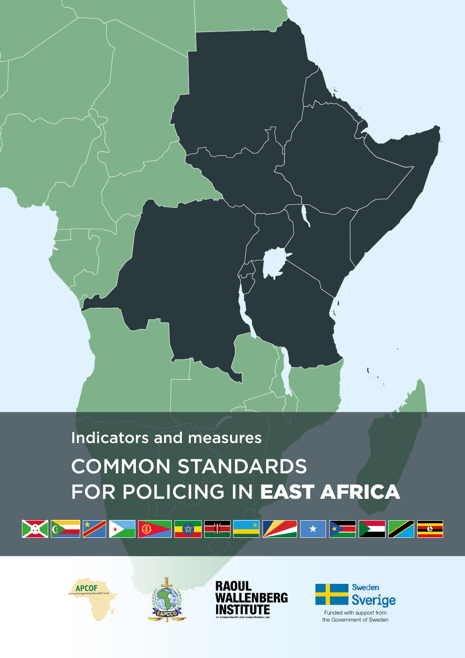

# COMMON STANDARDS FOR POLICING IN EAST AFRICA Indicators and measures











Funded with support from the Government of Sweden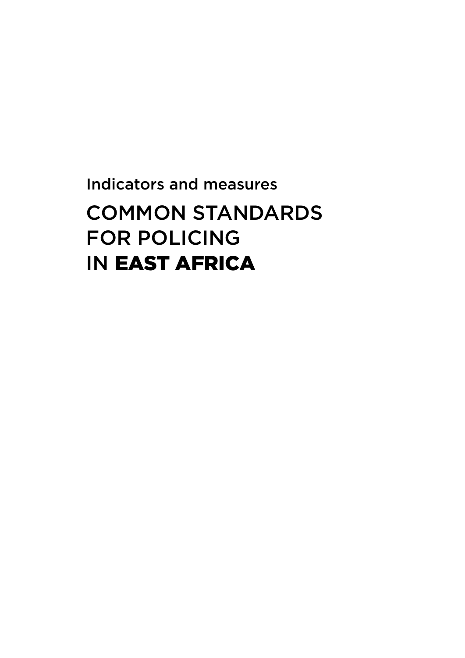# COMMON STANDARDS FOR POLICING IN EAST AFRICA Indicators and measures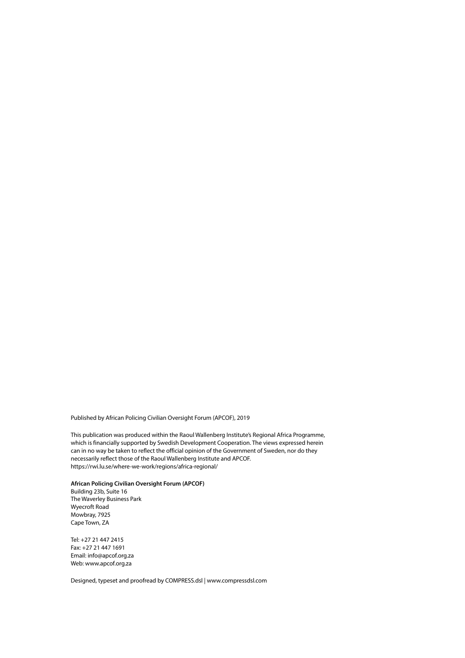Published by African Policing Civilian Oversight Forum (APCOF), 2019

This publication was produced within the Raoul Wallenberg Institute's Regional Africa Programme, which is financially supported by Swedish Development Cooperation. The views expressed herein can in no way be taken to reflect the official opinion of the Government of Sweden, nor do they necessarily reflect those of the Raoul Wallenberg Institute and APCOF. <https://rwi.lu.se/where-we-work/regions/africa-regional/>

**African Policing Civilian Oversight Forum (APCOF)** Building 23b, Suite 16 The Waverley Business Park Wyecroft Road Mowbray, 7925 Cape Town, ZA

Tel: +27 21 447 2415 Fax: +27 21 447 1691 Email: info@apcof.org.za Web: www.apcof.org.za

Designed, typeset and proofread by COMPRESS.dsl | www.compressdsl.com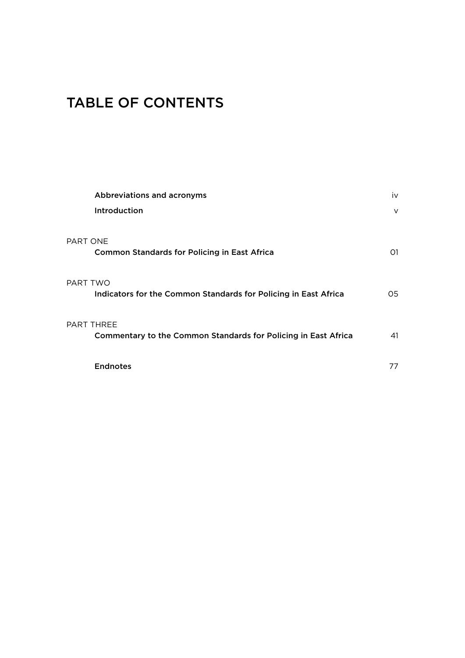# TABLE OF CONTENTS

| Abbreviations and acronyms                                                                 | iv     |
|--------------------------------------------------------------------------------------------|--------|
| Introduction                                                                               | $\vee$ |
| PART ONE<br><b>Common Standards for Policing in East Africa</b>                            | 01     |
| PART TWO<br>Indicators for the Common Standards for Policing in East Africa                | O5.    |
| <b>PART THREE</b><br><b>Commentary to the Common Standards for Policing in East Africa</b> | 41     |
| <b>Endnotes</b>                                                                            | 77     |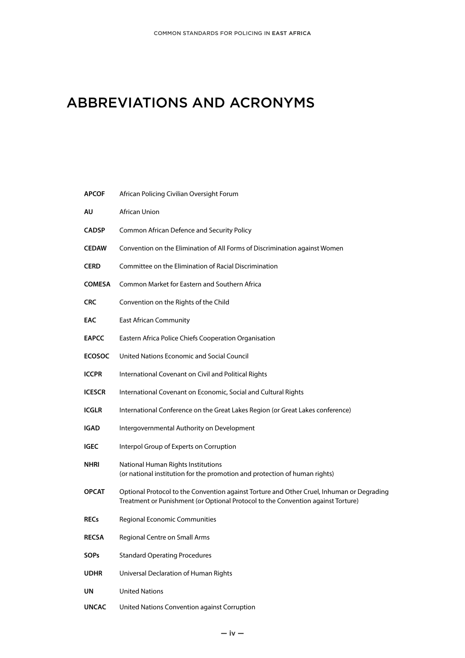# ABBREVIATIONS AND ACRONYMS

| <b>APCOF</b>  | African Policing Civilian Oversight Forum                                                                                                                                     |
|---------------|-------------------------------------------------------------------------------------------------------------------------------------------------------------------------------|
| AU            | African Union                                                                                                                                                                 |
| <b>CADSP</b>  | Common African Defence and Security Policy                                                                                                                                    |
| <b>CEDAW</b>  | Convention on the Elimination of All Forms of Discrimination against Women                                                                                                    |
| <b>CERD</b>   | Committee on the Elimination of Racial Discrimination                                                                                                                         |
| <b>COMESA</b> | Common Market for Eastern and Southern Africa                                                                                                                                 |
| <b>CRC</b>    | Convention on the Rights of the Child                                                                                                                                         |
| EAC           | <b>East African Community</b>                                                                                                                                                 |
| <b>EAPCC</b>  | Eastern Africa Police Chiefs Cooperation Organisation                                                                                                                         |
| <b>ECOSOC</b> | United Nations Economic and Social Council                                                                                                                                    |
| <b>ICCPR</b>  | International Covenant on Civil and Political Rights                                                                                                                          |
| <b>ICESCR</b> | International Covenant on Economic, Social and Cultural Rights                                                                                                                |
| <b>ICGLR</b>  | International Conference on the Great Lakes Region (or Great Lakes conference)                                                                                                |
| IGAD          | Intergovernmental Authority on Development                                                                                                                                    |
| <b>IGEC</b>   | Interpol Group of Experts on Corruption                                                                                                                                       |
| NHRI          | National Human Rights Institutions<br>(or national institution for the promotion and protection of human rights)                                                              |
| <b>OPCAT</b>  | Optional Protocol to the Convention against Torture and Other Cruel, Inhuman or Degrading<br>Treatment or Punishment (or Optional Protocol to the Convention against Torture) |
| <b>RECs</b>   | Regional Economic Communities                                                                                                                                                 |
| <b>RECSA</b>  | Regional Centre on Small Arms                                                                                                                                                 |
| <b>SOPs</b>   | <b>Standard Operating Procedures</b>                                                                                                                                          |
| <b>UDHR</b>   | Universal Declaration of Human Rights                                                                                                                                         |
| UN            | <b>United Nations</b>                                                                                                                                                         |
|               |                                                                                                                                                                               |

**UNCAC** United Nations Convention against Corruption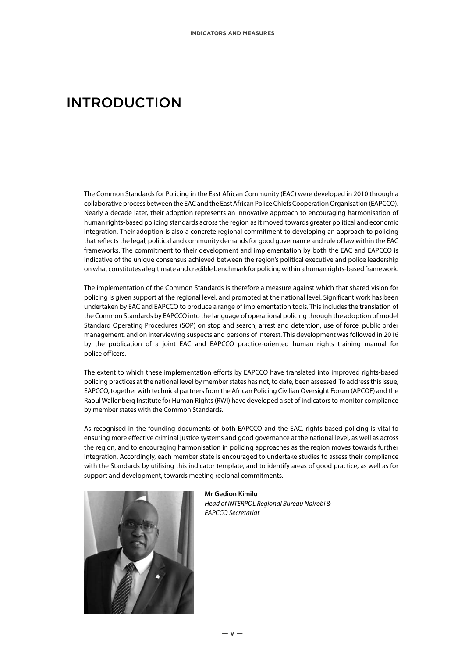# INTRODUCTION

The Common Standards for Policing in the East African Community (EAC) were developed in 2010 through a collaborative process between the EAC and the East African Police Chiefs Cooperation Organisation (EAPCCO). Nearly a decade later, their adoption represents an innovative approach to encouraging harmonisation of human rights-based policing standards across the region as it moved towards greater political and economic integration. Their adoption is also a concrete regional commitment to developing an approach to policing that reflects the legal, political and community demands for good governance and rule of law within the EAC frameworks. The commitment to their development and implementation by both the EAC and EAPCCO is indicative of the unique consensus achieved between the region's political executive and police leadership on what constitutes a legitimate and credible benchmark for policing within a human rights-based framework.

The implementation of the Common Standards is therefore a measure against which that shared vision for policing is given support at the regional level, and promoted at the national level. Significant work has been undertaken by EAC and EAPCCO to produce a range of implementation tools. This includes the translation of the Common Standards by EAPCCO into the language of operational policing through the adoption of model Standard Operating Procedures (SOP) on stop and search, arrest and detention, use of force, public order management, and on interviewing suspects and persons of interest. This development was followed in 2016 by the publication of a joint EAC and EAPCCO practice-oriented human rights training manual for police officers.

The extent to which these implementation efforts by EAPCCO have translated into improved rights-based policing practices at the national level by member states has not, to date, been assessed. To address this issue, EAPCCO, together with technical partners from the African Policing Civilian Oversight Forum (APCOF) and the Raoul Wallenberg Institute for Human Rights (RWI) have developed a set of indicators to monitor compliance by member states with the Common Standards.

As recognised in the founding documents of both EAPCCO and the EAC, rights-based policing is vital to ensuring more effective criminal justice systems and good governance at the national level, as well as across the region, and to encouraging harmonisation in policing approaches as the region moves towards further integration. Accordingly, each member state is encouraged to undertake studies to assess their compliance with the Standards by utilising this indicator template, and to identify areas of good practice, as well as for support and development, towards meeting regional commitments.



**Mr Gedion Kimilu** *Head of INTERPOL Regional Bureau Nairobi & EAPCCO Secretariat*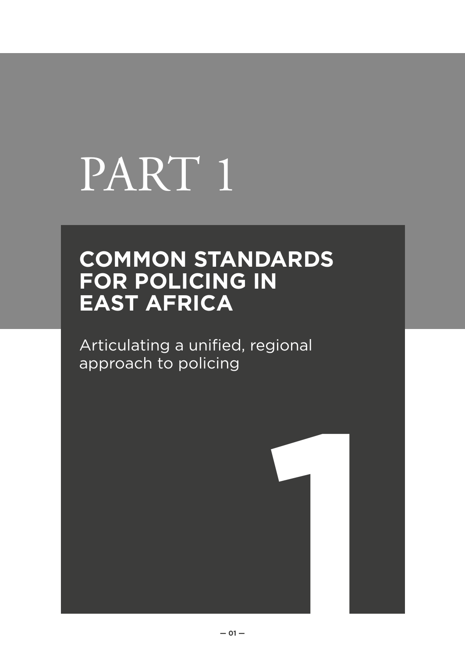# PART 1

# **COMMON STANDARDS FOR POLICING IN EAST AFRICA**

Articulating a unified, regional approach to policing

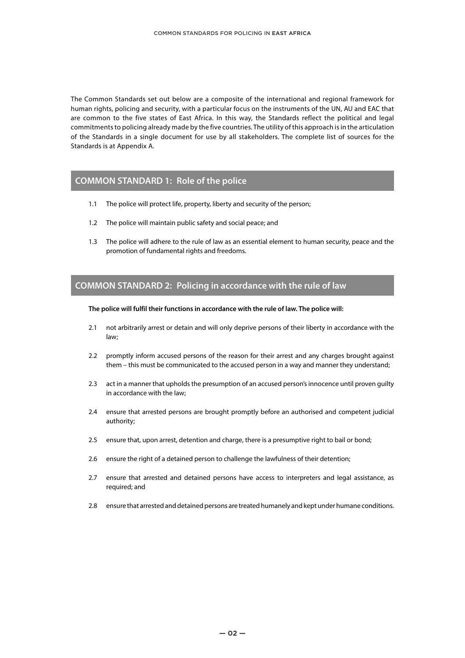The Common Standards set out below are a composite of the international and regional framework for human rights, policing and security, with a particular focus on the instruments of the UN, AU and EAC that are common to the five states of East Africa. In this way, the Standards reflect the political and legal commitments to policing already made by the five countries. The utility of this approach is in the articulation of the Standards in a single document for use by all stakeholders. The complete list of sources for the Standards is at Appendix A.

# **COMMON STANDARD 1: Role of the police**

- 1.1 The police will protect life, property, liberty and security of the person;
- 1.2 The police will maintain public safety and social peace; and
- 1.3 The police will adhere to the rule of law as an essential element to human security, peace and the promotion of fundamental rights and freedoms.

### **COMMON STANDARD 2: Policing in accordance with the rule of law**

#### **The police will fulfil their functions in accordance with the rule of law. The police will:**

- 2.1 not arbitrarily arrest or detain and will only deprive persons of their liberty in accordance with the law;
- 2.2 promptly inform accused persons of the reason for their arrest and any charges brought against them – this must be communicated to the accused person in a way and manner they understand;
- 2.3 act in a manner that upholds the presumption of an accused person's innocence until proven guilty in accordance with the law;
- 2.4 ensure that arrested persons are brought promptly before an authorised and competent judicial authority;
- 2.5 ensure that, upon arrest, detention and charge, there is a presumptive right to bail or bond;
- 2.6 ensure the right of a detained person to challenge the lawfulness of their detention;
- 2.7 ensure that arrested and detained persons have access to interpreters and legal assistance, as required; and
- 2.8 ensure that arrested and detained persons are treated humanely and kept under humane conditions.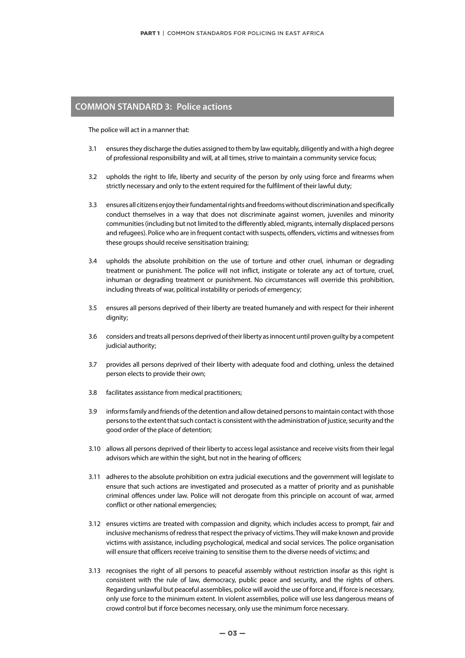## **COMMON STANDARD 3: Police actions**

The police will act in a manner that:

- 3.1 ensures they discharge the duties assigned to them by law equitably, diligently and with a high degree of professional responsibility and will, at all times, strive to maintain a community service focus;
- 3.2 upholds the right to life, liberty and security of the person by only using force and firearms when strictly necessary and only to the extent required for the fulfilment of their lawful duty;
- 3.3 ensures all citizens enjoy their fundamental rights and freedoms without discrimination and specifically conduct themselves in a way that does not discriminate against women, juveniles and minority communities (including but not limited to the differently abled, migrants, internally displaced persons and refugees). Police who are in frequent contact with suspects, offenders, victims and witnesses from these groups should receive sensitisation training;
- 3.4 upholds the absolute prohibition on the use of torture and other cruel, inhuman or degrading treatment or punishment. The police will not inflict, instigate or tolerate any act of torture, cruel, inhuman or degrading treatment or punishment. No circumstances will override this prohibition, including threats of war, political instability or periods of emergency;
- 3.5 ensures all persons deprived of their liberty are treated humanely and with respect for their inherent dignity;
- 3.6 considers and treats all persons deprived of their liberty as innocent until proven guilty by a competent judicial authority;
- 3.7 provides all persons deprived of their liberty with adequate food and clothing, unless the detained person elects to provide their own;
- 3.8 facilitates assistance from medical practitioners;
- 3.9 informs family and friends of the detention and allow detained persons to maintain contact with those persons to the extent that such contact is consistent with the administration of justice, security and the good order of the place of detention;
- 3.10 allows all persons deprived of their liberty to access legal assistance and receive visits from their legal advisors which are within the sight, but not in the hearing of officers;
- 3.11 adheres to the absolute prohibition on extra judicial executions and the government will legislate to ensure that such actions are investigated and prosecuted as a matter of priority and as punishable criminal offences under law. Police will not derogate from this principle on account of war, armed conflict or other national emergencies;
- 3.12 ensures victims are treated with compassion and dignity, which includes access to prompt, fair and inclusive mechanisms of redress that respect the privacy of victims. They will make known and provide victims with assistance, including psychological, medical and social services. The police organisation will ensure that officers receive training to sensitise them to the diverse needs of victims; and
- 3.13 recognises the right of all persons to peaceful assembly without restriction insofar as this right is consistent with the rule of law, democracy, public peace and security, and the rights of others. Regarding unlawful but peaceful assemblies, police will avoid the use of force and, if force is necessary, only use force to the minimum extent. In violent assemblies, police will use less dangerous means of crowd control but if force becomes necessary, only use the minimum force necessary.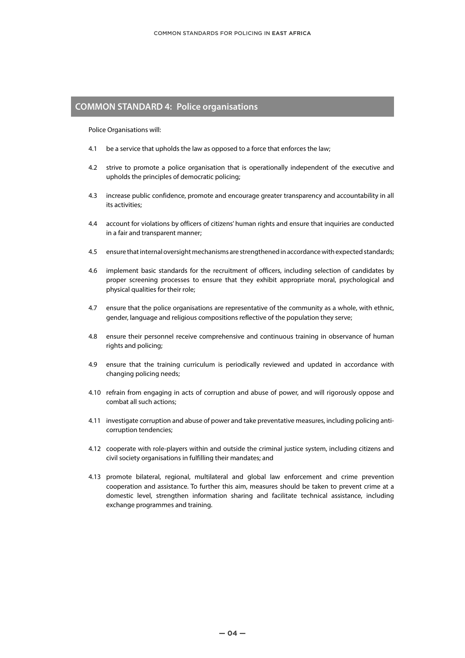# **COMMON STANDARD 4: Police organisations**

Police Organisations will:

- 4.1 be a service that upholds the law as opposed to a force that enforces the law;
- 4.2 strive to promote a police organisation that is operationally independent of the executive and upholds the principles of democratic policing;
- 4.3 increase public confidence, promote and encourage greater transparency and accountability in all its activities;
- 4.4 account for violations by officers of citizens' human rights and ensure that inquiries are conducted in a fair and transparent manner;
- 4.5 ensure that internal oversight mechanisms are strengthened in accordance with expected standards;
- 4.6 implement basic standards for the recruitment of officers, including selection of candidates by proper screening processes to ensure that they exhibit appropriate moral, psychological and physical qualities for their role;
- 4.7 ensure that the police organisations are representative of the community as a whole, with ethnic, gender, language and religious compositions reflective of the population they serve;
- 4.8 ensure their personnel receive comprehensive and continuous training in observance of human rights and policing;
- 4.9 ensure that the training curriculum is periodically reviewed and updated in accordance with changing policing needs;
- 4.10 refrain from engaging in acts of corruption and abuse of power, and will rigorously oppose and combat all such actions;
- 4.11 investigate corruption and abuse of power and take preventative measures, including policing anticorruption tendencies;
- 4.12 cooperate with role-players within and outside the criminal justice system, including citizens and civil society organisations in fulfilling their mandates; and
- 4.13 promote bilateral, regional, multilateral and global law enforcement and crime prevention cooperation and assistance. To further this aim, measures should be taken to prevent crime at a domestic level, strengthen information sharing and facilitate technical assistance, including exchange programmes and training.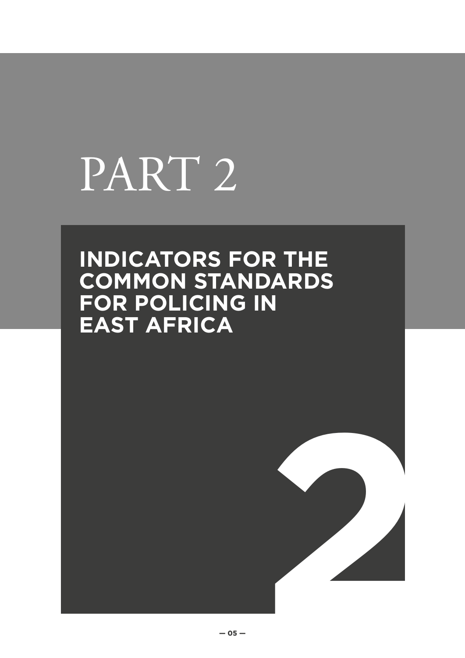# PART 2

# **INDICATORS FOR THE COMMON STANDARDS FOR POLICING IN EAST AFRICA**

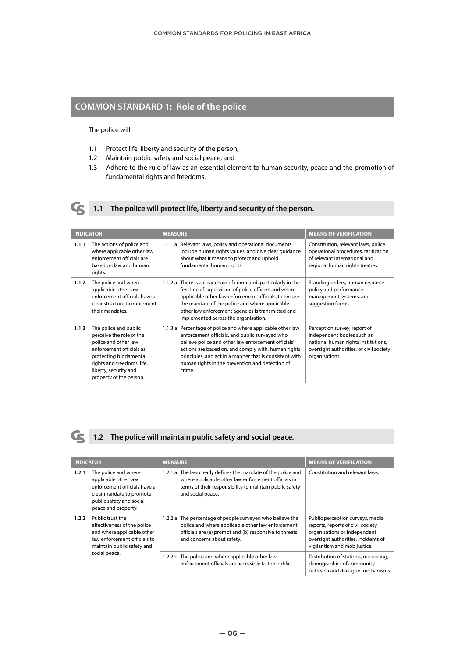# **COMMON STANDARD 1: Role of the police**

The police will:

- 1.1 Protect life, liberty and security of the person;
- 1.2 Maintain public safety and social peace; and
- 1.3 Adhere to the rule of law as an essential element to human security, peace and the promotion of fundamental rights and freedoms.



# **1.1 The police will protect life, liberty and security of the person.**

| <b>INDICATOR</b> |                                                                                                                                                                                                                   | <b>MEASURE</b>                                                                                                                                                                                                                                                                                                                                      | <b>MEANS OF VERIFICATION</b>                                                                                                                                   |
|------------------|-------------------------------------------------------------------------------------------------------------------------------------------------------------------------------------------------------------------|-----------------------------------------------------------------------------------------------------------------------------------------------------------------------------------------------------------------------------------------------------------------------------------------------------------------------------------------------------|----------------------------------------------------------------------------------------------------------------------------------------------------------------|
| 1.1.1            | The actions of police and<br>where applicable other law<br>enforcement officials are<br>based on law and human<br>rights.                                                                                         | 1.1.1.a Relevant laws, policy and operational documents<br>include human rights values, and give clear guidance<br>about what it means to protect and uphold<br>fundamental human rights.                                                                                                                                                           | Constitution, relevant laws, police<br>operational procedures, ratification<br>of relevant international and<br>regional human rights treaties.                |
| 1.1.2            | The police and where<br>applicable other law<br>enforcement officials have a<br>clear structure to implement<br>their mandates.                                                                                   | 1.1.2.a There is a clear chain of command, particularly in the<br>first line of supervision of police officers and where<br>applicable other law enforcement officials, to ensure<br>the mandate of the police and where applicable<br>other law enforcement agencies is transmitted and<br>implemented across the organisation.                    | Standing orders, human resource<br>policy and performance<br>management systems, and<br>suggestion forms.                                                      |
| 1.1.3            | The police and public<br>perceive the role of the<br>police and other law<br>enforcement officials as<br>protecting fundamental<br>rights and freedoms, life,<br>liberty, security and<br>property of the person. | 1.1.3.a Percentage of police and where applicable other law<br>enforcement officials, and public surveyed who<br>believe police and other law enforcement officials'<br>actions are based on, and comply with, human rights<br>principles, and act in a manner that is consistent with<br>human rights in the prevention and detection of<br>crime. | Perception survey, report of<br>independent bodies such as<br>national human rights institutions,<br>oversight authorities, or civil society<br>organisations. |



# **1.2 The police will maintain public safety and social peace.**

| <b>INDICATOR</b> |                                                                                                                                                              | <b>MEASURE</b>                                                                                                                                                                                         | <b>MEANS OF VERIFICATION</b>                                                                                                                                                 |
|------------------|--------------------------------------------------------------------------------------------------------------------------------------------------------------|--------------------------------------------------------------------------------------------------------------------------------------------------------------------------------------------------------|------------------------------------------------------------------------------------------------------------------------------------------------------------------------------|
| 1.2.1            | The police and where<br>applicable other law<br>enforcement officials have a<br>clear mandate to promote<br>public safety and social<br>peace and property.  | 1.2.1.a The law clearly defines the mandate of the police and<br>where applicable other law enforcement officials in<br>terms of their responsibility to maintain public safety<br>and social peace.   | Constitution and relevant laws.                                                                                                                                              |
| 1.2.2            | Public trust the<br>effectiveness of the police<br>and where applicable other<br>law enforcement officials to<br>maintain public safety and<br>social peace. | 1.2.2.a The percentage of people surveyed who believe the<br>police and where applicable other law enforcement<br>officials are (a) prompt and (b) responsive to threats<br>and concerns about safety. | Public perception surveys, media<br>reports, reports of civil society<br>organisations or independent<br>oversight authorities, incidents of<br>vigilantism and mob justice. |
|                  |                                                                                                                                                              | 1.2.2.b The police and where applicable other law<br>enforcement officials are accessible to the public.                                                                                               | Distribution of stations, resourcing,<br>demographics of community<br>outreach and dialoque mechanisms.                                                                      |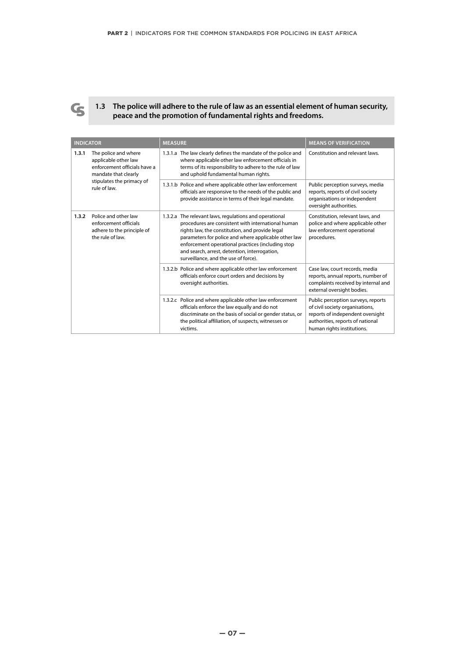

**1.3 The police will adhere to the rule of law as an essential element of human security, peace and the promotion of fundamental rights and freedoms.**

| <b>INDICATOR</b>                                                                                                           |                                                                                                                                                                                                                                                                                                                                                                       | <b>MEASURE</b>                                                                                                                                                                                                                            | <b>MEANS OF VERIFICATION</b>                                                                                                                                                |
|----------------------------------------------------------------------------------------------------------------------------|-----------------------------------------------------------------------------------------------------------------------------------------------------------------------------------------------------------------------------------------------------------------------------------------------------------------------------------------------------------------------|-------------------------------------------------------------------------------------------------------------------------------------------------------------------------------------------------------------------------------------------|-----------------------------------------------------------------------------------------------------------------------------------------------------------------------------|
| 1.3.1<br>The police and where<br>applicable other law<br>mandate that clearly<br>stipulates the primacy of<br>rule of law. | enforcement officials have a                                                                                                                                                                                                                                                                                                                                          | 1.3.1.a The law clearly defines the mandate of the police and<br>where applicable other law enforcement officials in<br>terms of its responsibility to adhere to the rule of law<br>and uphold fundamental human rights.                  | Constitution and relevant laws.                                                                                                                                             |
|                                                                                                                            |                                                                                                                                                                                                                                                                                                                                                                       | 1.3.1.b Police and where applicable other law enforcement<br>officials are responsive to the needs of the public and<br>provide assistance in terms of their legal mandate.                                                               | Public perception surveys, media<br>reports, reports of civil society<br>organisations or independent<br>oversight authorities.                                             |
| Police and other law<br>1.3.2<br>enforcement officials<br>adhere to the principle of<br>the rule of law.                   | 1.3.2.a The relevant laws, regulations and operational<br>procedures are consistent with international human<br>rights law, the constitution, and provide legal<br>parameters for police and where applicable other law<br>enforcement operational practices (including stop<br>and search, arrest, detention, interrogation,<br>surveillance, and the use of force). | Constitution, relevant laws, and<br>police and where applicable other<br>law enforcement operational<br>procedures.                                                                                                                       |                                                                                                                                                                             |
|                                                                                                                            |                                                                                                                                                                                                                                                                                                                                                                       | 1.3.2.b Police and where applicable other law enforcement<br>officials enforce court orders and decisions by<br>oversight authorities.                                                                                                    | Case law, court records, media<br>reports, annual reports, number of<br>complaints received by internal and<br>external oversight bodies.                                   |
|                                                                                                                            |                                                                                                                                                                                                                                                                                                                                                                       | 1.3.2.c Police and where applicable other law enforcement<br>officials enforce the law equally and do not<br>discriminate on the basis of social or gender status, or<br>the political affiliation, of suspects, witnesses or<br>victims. | Public perception surveys, reports<br>of civil society organisations,<br>reports of independent oversight<br>authorities, reports of national<br>human rights institutions. |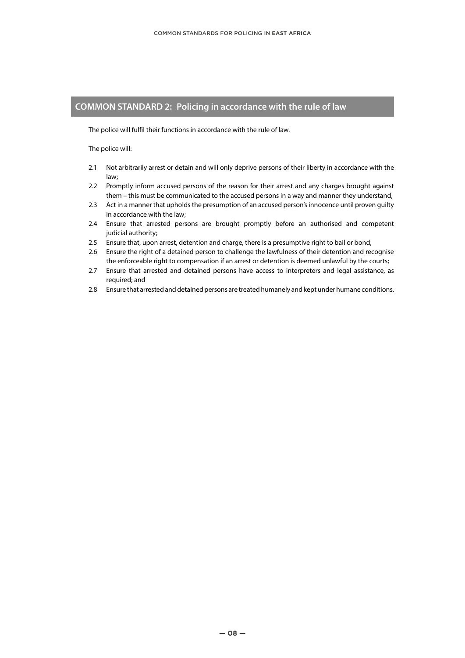# **COMMON STANDARD 2: Policing in accordance with the rule of law**

The police will fulfil their functions in accordance with the rule of law.

The police will:

- 2.1 Not arbitrarily arrest or detain and will only deprive persons of their liberty in accordance with the law;
- 2.2 Promptly inform accused persons of the reason for their arrest and any charges brought against them – this must be communicated to the accused persons in a way and manner they understand;
- 2.3 Act in a manner that upholds the presumption of an accused person's innocence until proven guilty in accordance with the law;
- 2.4 Ensure that arrested persons are brought promptly before an authorised and competent judicial authority;
- 2.5 Ensure that, upon arrest, detention and charge, there is a presumptive right to bail or bond;
- 2.6 Ensure the right of a detained person to challenge the lawfulness of their detention and recognise the enforceable right to compensation if an arrest or detention is deemed unlawful by the courts;
- 2.7 Ensure that arrested and detained persons have access to interpreters and legal assistance, as required; and
- 2.8 Ensure that arrested and detained persons are treated humanely and kept under humane conditions.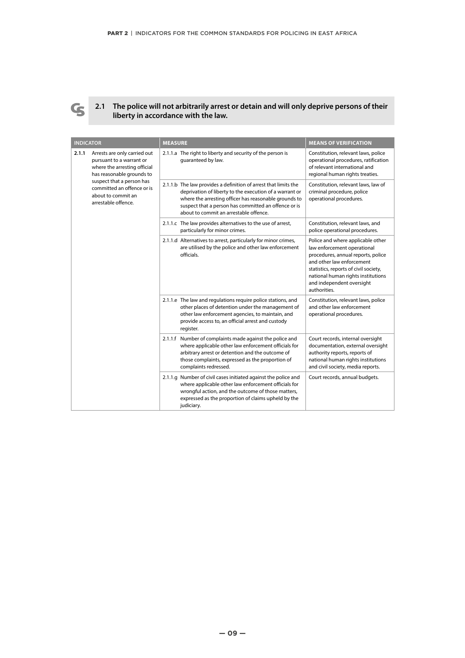

### **2.1 The police will not arbitrarily arrest or detain and will only deprive persons of their liberty in accordance with the law.**

| <b>INDICATOR</b> |                                                                                                                                                                                                                               | <b>MEASURE</b>                                                                                                                                                                                                                                                                        | <b>MEANS OF VERIFICATION</b>                                                                                                                                                                                                                                    |
|------------------|-------------------------------------------------------------------------------------------------------------------------------------------------------------------------------------------------------------------------------|---------------------------------------------------------------------------------------------------------------------------------------------------------------------------------------------------------------------------------------------------------------------------------------|-----------------------------------------------------------------------------------------------------------------------------------------------------------------------------------------------------------------------------------------------------------------|
| 2.1.1            | Arrests are only carried out<br>pursuant to a warrant or<br>where the arresting official<br>has reasonable grounds to<br>suspect that a person has<br>committed an offence or is<br>about to commit an<br>arrestable offence. | 2.1.1.a The right to liberty and security of the person is<br>quaranteed by law.                                                                                                                                                                                                      | Constitution, relevant laws, police<br>operational procedures, ratification<br>of relevant international and<br>regional human rights treaties.                                                                                                                 |
|                  |                                                                                                                                                                                                                               | 2.1.1.b The law provides a definition of arrest that limits the<br>deprivation of liberty to the execution of a warrant or<br>where the arresting officer has reasonable grounds to<br>suspect that a person has committed an offence or is<br>about to commit an arrestable offence. | Constitution, relevant laws, law of<br>criminal procedure, police<br>operational procedures.                                                                                                                                                                    |
|                  |                                                                                                                                                                                                                               | 2.1.1.c The law provides alternatives to the use of arrest,<br>particularly for minor crimes.                                                                                                                                                                                         | Constitution, relevant laws, and<br>police operational procedures.                                                                                                                                                                                              |
|                  |                                                                                                                                                                                                                               | 2.1.1.d Alternatives to arrest, particularly for minor crimes,<br>are utilised by the police and other law enforcement<br>officials.                                                                                                                                                  | Police and where applicable other<br>law enforcement operational<br>procedures, annual reports, police<br>and other law enforcement<br>statistics, reports of civil society,<br>national human rights institutions<br>and independent oversight<br>authorities. |
|                  |                                                                                                                                                                                                                               | 2.1.1.e The law and regulations require police stations, and<br>other places of detention under the management of<br>other law enforcement agencies, to maintain, and<br>provide access to, an official arrest and custody<br>register.                                               | Constitution, relevant laws, police<br>and other law enforcement<br>operational procedures.                                                                                                                                                                     |
|                  |                                                                                                                                                                                                                               | 2.1.1.f Number of complaints made against the police and<br>where applicable other law enforcement officials for<br>arbitrary arrest or detention and the outcome of<br>those complaints, expressed as the proportion of<br>complaints redressed.                                     | Court records, internal oversight<br>documentation, external oversight<br>authority reports, reports of<br>national human rights institutions<br>and civil society, media reports.                                                                              |
|                  |                                                                                                                                                                                                                               | 2.1.1.g Number of civil cases initiated against the police and<br>where applicable other law enforcement officials for<br>wrongful action, and the outcome of those matters,<br>expressed as the proportion of claims upheld by the<br>judiciary.                                     | Court records, annual budgets.                                                                                                                                                                                                                                  |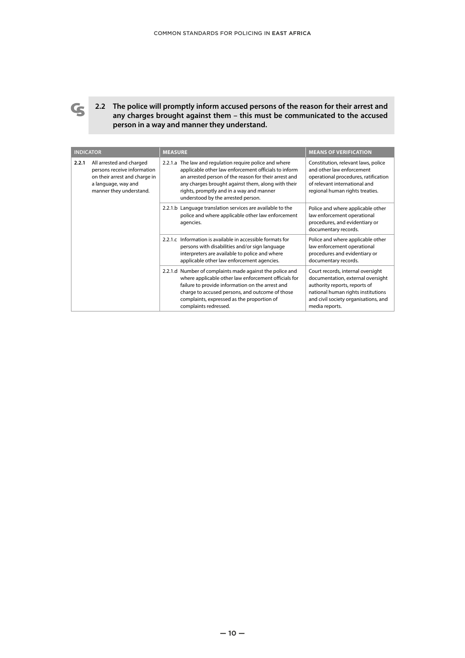

**2.2 The police will promptly inform accused persons of the reason for their arrest and any charges brought against them – this must be communicated to the accused person in a way and manner they understand.**

| <b>INDICATOR</b> |                                                                                                                                                                                                              | <b>MEASURE</b>                                                                                                                                                                                                                                                                                                   | <b>MEANS OF VERIFICATION</b>                                                                                                                                                                            |
|------------------|--------------------------------------------------------------------------------------------------------------------------------------------------------------------------------------------------------------|------------------------------------------------------------------------------------------------------------------------------------------------------------------------------------------------------------------------------------------------------------------------------------------------------------------|---------------------------------------------------------------------------------------------------------------------------------------------------------------------------------------------------------|
| 2.2.1            | All arrested and charged<br>persons receive information<br>on their arrest and charge in<br>a language, way and<br>manner they understand.                                                                   | 2.2.1.a The law and regulation require police and where<br>applicable other law enforcement officials to inform<br>an arrested person of the reason for their arrest and<br>any charges brought against them, along with their<br>rights, promptly and in a way and manner<br>understood by the arrested person. | Constitution, relevant laws, police<br>and other law enforcement<br>operational procedures, ratification<br>of relevant international and<br>regional human rights treaties.                            |
|                  | 2.2.1.b Language translation services are available to the<br>police and where applicable other law enforcement<br>agencies.                                                                                 | Police and where applicable other<br>law enforcement operational<br>procedures, and evidentiary or<br>documentary records.                                                                                                                                                                                       |                                                                                                                                                                                                         |
|                  | 2.2.1.c Information is available in accessible formats for<br>persons with disabilities and/or sign language<br>interpreters are available to police and where<br>applicable other law enforcement agencies. | Police and where applicable other<br>law enforcement operational<br>procedures and evidentiary or<br>documentary records.                                                                                                                                                                                        |                                                                                                                                                                                                         |
|                  |                                                                                                                                                                                                              | 2.2.1.d Number of complaints made against the police and<br>where applicable other law enforcement officials for<br>failure to provide information on the arrest and<br>charge to accused persons, and outcome of those<br>complaints, expressed as the proportion of<br>complaints redressed.                   | Court records, internal oversight<br>documentation, external oversight<br>authority reports, reports of<br>national human rights institutions<br>and civil society organisations, and<br>media reports. |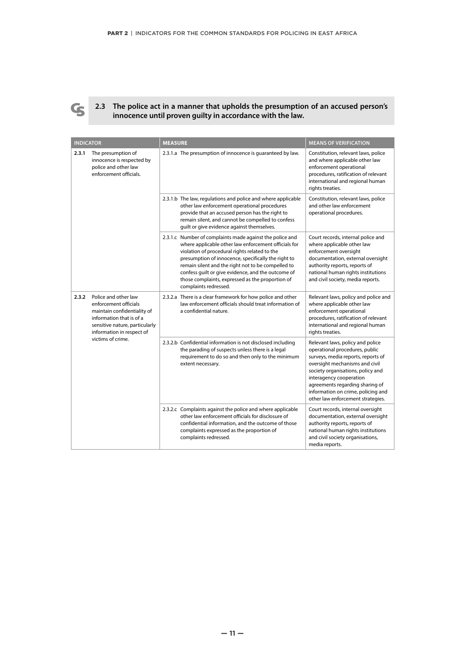

**2.3 The police act in a manner that upholds the presumption of an accused person's innocence until proven guilty in accordance with the law.** 

| <b>INDICATOR</b>                                                                                           |                                                                                                                        | <b>MEASURE</b>                                                                                                                                                                                                                                                                                                                                                                                                    | <b>MEANS OF VERIFICATION</b>                                                                                                                                                                                                                                                                                             |
|------------------------------------------------------------------------------------------------------------|------------------------------------------------------------------------------------------------------------------------|-------------------------------------------------------------------------------------------------------------------------------------------------------------------------------------------------------------------------------------------------------------------------------------------------------------------------------------------------------------------------------------------------------------------|--------------------------------------------------------------------------------------------------------------------------------------------------------------------------------------------------------------------------------------------------------------------------------------------------------------------------|
| The presumption of<br>2.3.1<br>innocence is respected by<br>police and other law<br>enforcement officials. |                                                                                                                        | 2.3.1.a The presumption of innocence is quaranteed by law.                                                                                                                                                                                                                                                                                                                                                        | Constitution, relevant laws, police<br>and where applicable other law<br>enforcement operational<br>procedures, ratification of relevant<br>international and regional human<br>rights treaties.                                                                                                                         |
|                                                                                                            |                                                                                                                        | 2.3.1.b The law, regulations and police and where applicable<br>other law enforcement operational procedures<br>provide that an accused person has the right to<br>remain silent, and cannot be compelled to confess<br>quilt or give evidence against themselves.                                                                                                                                                | Constitution, relevant laws, police<br>and other law enforcement<br>operational procedures.                                                                                                                                                                                                                              |
|                                                                                                            |                                                                                                                        | 2.3.1.c Number of complaints made against the police and<br>where applicable other law enforcement officials for<br>violation of procedural rights related to the<br>presumption of innocence, specifically the right to<br>remain silent and the right not to be compelled to<br>confess guilt or give evidence, and the outcome of<br>those complaints, expressed as the proportion of<br>complaints redressed. | Court records, internal police and<br>where applicable other law<br>enforcement oversight<br>documentation, external oversight<br>authority reports, reports of<br>national human rights institutions<br>and civil society, media reports.                                                                               |
| Police and other law<br>2.3.2<br>enforcement officials<br>victims of crime.                                | maintain confidentiality of<br>information that is of a<br>sensitive nature, particularly<br>information in respect of | 2.3.2.a There is a clear framework for how police and other<br>law enforcement officials should treat information of<br>a confidential nature.                                                                                                                                                                                                                                                                    | Relevant laws, policy and police and<br>where applicable other law<br>enforcement operational<br>procedures, ratification of relevant<br>international and regional human<br>rights treaties.                                                                                                                            |
|                                                                                                            |                                                                                                                        | 2.3.2.b Confidential information is not disclosed including<br>the parading of suspects unless there is a legal<br>requirement to do so and then only to the minimum<br>extent necessary.                                                                                                                                                                                                                         | Relevant laws, policy and police<br>operational procedures, public<br>surveys, media reports, reports of<br>oversight mechanisms and civil<br>society organisations, policy and<br>interagency cooperation<br>agreements regarding sharing of<br>information on crime, policing and<br>other law enforcement strategies. |
|                                                                                                            |                                                                                                                        | 2.3.2.c Complaints against the police and where applicable<br>other law enforcement officials for disclosure of<br>confidential information, and the outcome of those<br>complaints expressed as the proportion of<br>complaints redressed.                                                                                                                                                                       | Court records, internal oversight<br>documentation, external oversight<br>authority reports, reports of<br>national human rights institutions<br>and civil society organisations,<br>media reports.                                                                                                                      |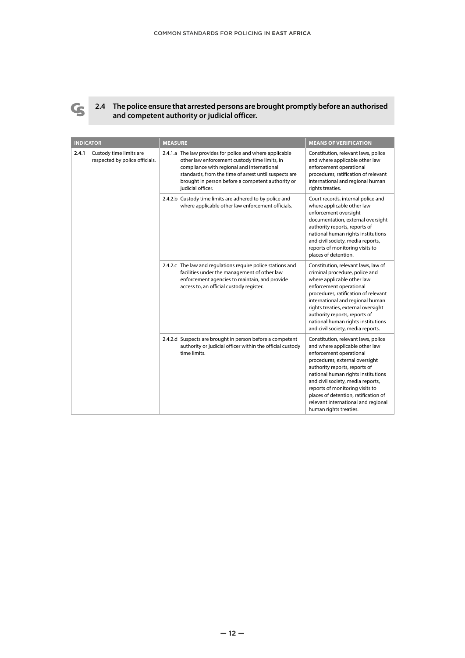

**2.4 The police ensure that arrested persons are brought promptly before an authorised and competent authority or judicial officer.**

|                                                                    | <b>INDICATOR</b>                                                                                                                                                                                         | <b>MEASURE</b>                                                                                                                                                                                                                                                                                                                                                | <b>MEANS OF VERIFICATION</b>                                                                                                                                                                                                                                                                                                                                                               |
|--------------------------------------------------------------------|----------------------------------------------------------------------------------------------------------------------------------------------------------------------------------------------------------|---------------------------------------------------------------------------------------------------------------------------------------------------------------------------------------------------------------------------------------------------------------------------------------------------------------------------------------------------------------|--------------------------------------------------------------------------------------------------------------------------------------------------------------------------------------------------------------------------------------------------------------------------------------------------------------------------------------------------------------------------------------------|
| 2.4.1<br>Custody time limits are<br>respected by police officials. |                                                                                                                                                                                                          | 2.4.1.a The law provides for police and where applicable<br>other law enforcement custody time limits, in<br>compliance with regional and international<br>standards, from the time of arrest until suspects are<br>brought in person before a competent authority or<br>judicial officer.                                                                    | Constitution, relevant laws, police<br>and where applicable other law<br>enforcement operational<br>procedures, ratification of relevant<br>international and regional human<br>rights treaties.                                                                                                                                                                                           |
|                                                                    | 2.4.2.b Custody time limits are adhered to by police and<br>where applicable other law enforcement officials.                                                                                            | Court records, internal police and<br>where applicable other law<br>enforcement oversight<br>documentation, external oversight<br>authority reports, reports of<br>national human rights institutions<br>and civil society, media reports,<br>reports of monitoring visits to<br>places of detention.                                                         |                                                                                                                                                                                                                                                                                                                                                                                            |
|                                                                    | 2.4.2.c The law and regulations require police stations and<br>facilities under the management of other law<br>enforcement agencies to maintain, and provide<br>access to, an official custody register. | Constitution, relevant laws, law of<br>criminal procedure, police and<br>where applicable other law<br>enforcement operational<br>procedures, ratification of relevant<br>international and regional human<br>rights treaties, external oversight<br>authority reports, reports of<br>national human rights institutions<br>and civil society, media reports. |                                                                                                                                                                                                                                                                                                                                                                                            |
|                                                                    |                                                                                                                                                                                                          | 2.4.2.d Suspects are brought in person before a competent<br>authority or judicial officer within the official custody<br>time limits.                                                                                                                                                                                                                        | Constitution, relevant laws, police<br>and where applicable other law<br>enforcement operational<br>procedures, external oversight<br>authority reports, reports of<br>national human rights institutions<br>and civil society, media reports,<br>reports of monitoring visits to<br>places of detention, ratification of<br>relevant international and regional<br>human rights treaties. |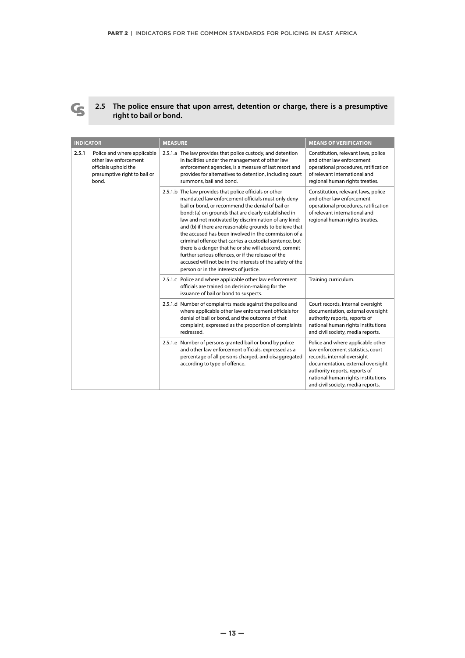

### **2.5 The police ensure that upon arrest, detention or charge, there is a presumptive right to bail or bond.**

| <b>INDICATOR</b>                                                                                                               |                                                                                                                                                                                                                                                                                                                                                                                                                                                                                                                                                                                                                                                                                      | <b>MEASURE</b>                                                                                                                                                                                                                                                | <b>MEANS OF VERIFICATION</b>                                                                                                                                                                                                                           |
|--------------------------------------------------------------------------------------------------------------------------------|--------------------------------------------------------------------------------------------------------------------------------------------------------------------------------------------------------------------------------------------------------------------------------------------------------------------------------------------------------------------------------------------------------------------------------------------------------------------------------------------------------------------------------------------------------------------------------------------------------------------------------------------------------------------------------------|---------------------------------------------------------------------------------------------------------------------------------------------------------------------------------------------------------------------------------------------------------------|--------------------------------------------------------------------------------------------------------------------------------------------------------------------------------------------------------------------------------------------------------|
| 2.5.1<br>Police and where applicable<br>other law enforcement<br>officials uphold the<br>presumptive right to bail or<br>bond. |                                                                                                                                                                                                                                                                                                                                                                                                                                                                                                                                                                                                                                                                                      | 2.5.1.a The law provides that police custody, and detention<br>in facilities under the management of other law<br>enforcement agencies, is a measure of last resort and<br>provides for alternatives to detention, including court<br>summons, bail and bond. | Constitution, relevant laws, police<br>and other law enforcement<br>operational procedures, ratification<br>of relevant international and<br>regional human rights treaties.                                                                           |
|                                                                                                                                | 2.5.1.b The law provides that police officials or other<br>mandated law enforcement officials must only deny<br>bail or bond, or recommend the denial of bail or<br>bond: (a) on grounds that are clearly established in<br>law and not motivated by discrimination of any kind;<br>and (b) if there are reasonable grounds to believe that<br>the accused has been involved in the commission of a<br>criminal offence that carries a custodial sentence, but<br>there is a danger that he or she will abscond, commit<br>further serious offences, or if the release of the<br>accused will not be in the interests of the safety of the<br>person or in the interests of justice. | Constitution, relevant laws, police<br>and other law enforcement<br>operational procedures, ratification<br>of relevant international and<br>regional human rights treaties.                                                                                  |                                                                                                                                                                                                                                                        |
|                                                                                                                                |                                                                                                                                                                                                                                                                                                                                                                                                                                                                                                                                                                                                                                                                                      | 2.5.1.c Police and where applicable other law enforcement<br>officials are trained on decision-making for the<br>issuance of bail or bond to suspects.                                                                                                        | Training curriculum.                                                                                                                                                                                                                                   |
|                                                                                                                                | 2.5.1.d Number of complaints made against the police and<br>where applicable other law enforcement officials for<br>denial of bail or bond, and the outcome of that<br>complaint, expressed as the proportion of complaints<br>redressed.                                                                                                                                                                                                                                                                                                                                                                                                                                            | Court records, internal oversight<br>documentation, external oversight<br>authority reports, reports of<br>national human rights institutions<br>and civil society, media reports.                                                                            |                                                                                                                                                                                                                                                        |
|                                                                                                                                |                                                                                                                                                                                                                                                                                                                                                                                                                                                                                                                                                                                                                                                                                      | 2.5.1.e Number of persons granted bail or bond by police<br>and other law enforcement officials, expressed as a<br>percentage of all persons charged, and disaggregated<br>according to type of offence.                                                      | Police and where applicable other<br>law enforcement statistics, court<br>records, internal oversight<br>documentation, external oversight<br>authority reports, reports of<br>national human rights institutions<br>and civil society, media reports. |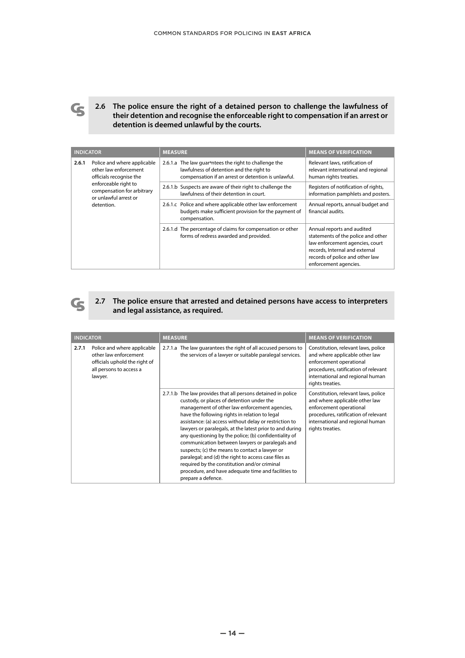

**2.6 The police ensure the right of a detained person to challenge the lawfulness of their detention and recognise the enforceable right to compensation if an arrest or detention is deemed unlawful by the courts.**

| <b>INDICATOR</b>                                                                         |                                                                                                                                                                       | <b>MEASURE</b>                                                                                                                     | <b>MEANS OF VERIFICATION</b>                                                                                                                                                                      |
|------------------------------------------------------------------------------------------|-----------------------------------------------------------------------------------------------------------------------------------------------------------------------|------------------------------------------------------------------------------------------------------------------------------------|---------------------------------------------------------------------------------------------------------------------------------------------------------------------------------------------------|
| Police and where applicable<br>2.6.1<br>other law enforcement<br>officials recognise the | 2.6.1.a The law quar <sup>a</sup> ntees the right to challenge the<br>lawfulness of detention and the right to<br>compensation if an arrest or detention is unlawful. | Relevant laws, ratification of<br>relevant international and regional<br>human rights treaties.                                    |                                                                                                                                                                                                   |
|                                                                                          | enforceable right to<br>compensation for arbitrary<br>or unlawful arrest or                                                                                           | 2.6.1.b Suspects are aware of their right to challenge the<br>lawfulness of their detention in court.                              | Registers of notification of rights,<br>information pamphlets and posters.                                                                                                                        |
|                                                                                          | detention.                                                                                                                                                            | 2.6.1.c Police and where applicable other law enforcement<br>budgets make sufficient provision for the payment of<br>compensation. | Annual reports, annual budget and<br>financial audits.                                                                                                                                            |
|                                                                                          |                                                                                                                                                                       | 2.6.1.d The percentage of claims for compensation or other<br>forms of redress awarded and provided.                               | Annual reports and audited<br>statements of the police and other<br>law enforcement agencies, court<br>records, Internal and external<br>records of police and other law<br>enforcement agencies. |

**G** 

# **2.7 The police ensure that arrested and detained persons have access to interpreters and legal assistance, as required.**

|       | <b>INDICATOR</b>                                                                                                            | <b>MEASURE</b>                                                                                                                                                                                                                                                                                                                                                                                                                                                                                                                                                                                                                                                                        | <b>MEANS OF VERIFICATION</b>                                                                                                                                                                     |
|-------|-----------------------------------------------------------------------------------------------------------------------------|---------------------------------------------------------------------------------------------------------------------------------------------------------------------------------------------------------------------------------------------------------------------------------------------------------------------------------------------------------------------------------------------------------------------------------------------------------------------------------------------------------------------------------------------------------------------------------------------------------------------------------------------------------------------------------------|--------------------------------------------------------------------------------------------------------------------------------------------------------------------------------------------------|
| 2.7.1 | Police and where applicable<br>other law enforcement<br>officials uphold the right of<br>all persons to access a<br>lawyer. | 2.7.1.a The law guarantees the right of all accused persons to<br>the services of a lawyer or suitable paralegal services.                                                                                                                                                                                                                                                                                                                                                                                                                                                                                                                                                            | Constitution, relevant laws, police<br>and where applicable other law<br>enforcement operational<br>procedures, ratification of relevant<br>international and regional human<br>rights treaties. |
|       |                                                                                                                             | 2.7.1.b The law provides that all persons detained in police<br>custody, or places of detention under the<br>management of other law enforcement agencies,<br>have the following rights in relation to legal<br>assistance: (a) access without delay or restriction to<br>lawyers or paralegals, at the latest prior to and during<br>any questioning by the police; (b) confidentiality of<br>communication between lawyers or paralegals and<br>suspects; (c) the means to contact a lawyer or<br>paralegal; and (d) the right to access case files as<br>required by the constitution and/or criminal<br>procedure, and have adequate time and facilities to<br>prepare a defence. | Constitution, relevant laws, police<br>and where applicable other law<br>enforcement operational<br>procedures, ratification of relevant<br>international and regional human<br>rights treaties. |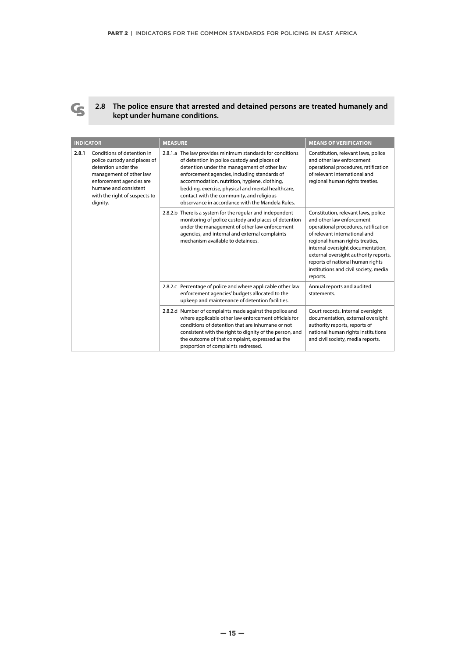

#### **2.8 The police ensure that arrested and detained persons are treated humanely and kept under humane conditions.**

| <b>INDICATOR</b>                                                                                                                                                                                                        | <b>MEASURE</b>                                                                                                                                                                                                                                                                                                                                                                                                  | <b>MEANS OF VERIFICATION</b>                                                                                                                                                                                                                                                                                                                        |
|-------------------------------------------------------------------------------------------------------------------------------------------------------------------------------------------------------------------------|-----------------------------------------------------------------------------------------------------------------------------------------------------------------------------------------------------------------------------------------------------------------------------------------------------------------------------------------------------------------------------------------------------------------|-----------------------------------------------------------------------------------------------------------------------------------------------------------------------------------------------------------------------------------------------------------------------------------------------------------------------------------------------------|
| Conditions of detention in<br>2.8.1<br>police custody and places of<br>detention under the<br>management of other law<br>enforcement agencies are<br>humane and consistent<br>with the right of suspects to<br>dignity. | 2.8.1.a The law provides minimum standards for conditions<br>of detention in police custody and places of<br>detention under the management of other law<br>enforcement agencies, including standards of<br>accommodation, nutrition, hygiene, clothing,<br>bedding, exercise, physical and mental healthcare,<br>contact with the community, and religious<br>observance in accordance with the Mandela Rules. | Constitution, relevant laws, police<br>and other law enforcement<br>operational procedures, ratification<br>of relevant international and<br>regional human rights treaties.                                                                                                                                                                        |
|                                                                                                                                                                                                                         | 2.8.2.b There is a system for the regular and independent<br>monitoring of police custody and places of detention<br>under the management of other law enforcement<br>agencies, and internal and external complaints<br>mechanism available to detainees.                                                                                                                                                       | Constitution, relevant laws, police<br>and other law enforcement<br>operational procedures, ratification<br>of relevant international and<br>regional human rights treaties,<br>internal oversight documentation,<br>external oversight authority reports,<br>reports of national human rights<br>institutions and civil society, media<br>reports. |
|                                                                                                                                                                                                                         | 2.8.2.c Percentage of police and where applicable other law<br>enforcement agencies' budgets allocated to the<br>upkeep and maintenance of detention facilities.                                                                                                                                                                                                                                                | Annual reports and audited<br>statements.                                                                                                                                                                                                                                                                                                           |
|                                                                                                                                                                                                                         | 2.8.2.d Number of complaints made against the police and<br>where applicable other law enforcement officials for<br>conditions of detention that are inhumane or not<br>consistent with the right to dignity of the person, and<br>the outcome of that complaint, expressed as the<br>proportion of complaints redressed.                                                                                       | Court records, internal oversight<br>documentation, external oversight<br>authority reports, reports of<br>national human rights institutions<br>and civil society, media reports.                                                                                                                                                                  |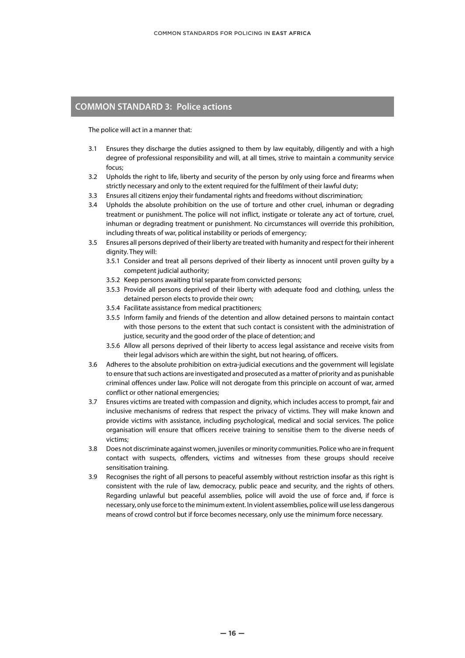# **COMMON STANDARD 3: Police actions**

The police will act in a manner that:

- 3.1 Ensures they discharge the duties assigned to them by law equitably, diligently and with a high degree of professional responsibility and will, at all times, strive to maintain a community service focus;
- 3.2 Upholds the right to life, liberty and security of the person by only using force and firearms when strictly necessary and only to the extent required for the fulfilment of their lawful duty;
- 3.3 Ensures all citizens enjoy their fundamental rights and freedoms without discrimination;
- 3.4 Upholds the absolute prohibition on the use of torture and other cruel, inhuman or degrading treatment or punishment. The police will not inflict, instigate or tolerate any act of torture, cruel, inhuman or degrading treatment or punishment. No circumstances will override this prohibition, including threats of war, political instability or periods of emergency;
- 3.5 Ensures all persons deprived of their liberty are treated with humanity and respect for their inherent dignity. They will:
	- 3.5.1 Consider and treat all persons deprived of their liberty as innocent until proven guilty by a competent judicial authority;
	- 3.5.2 Keep persons awaiting trial separate from convicted persons;
	- 3.5.3 Provide all persons deprived of their liberty with adequate food and clothing, unless the detained person elects to provide their own;
	- 3.5.4 Facilitate assistance from medical practitioners;
	- 3.5.5 Inform family and friends of the detention and allow detained persons to maintain contact with those persons to the extent that such contact is consistent with the administration of justice, security and the good order of the place of detention; and
	- 3.5.6 Allow all persons deprived of their liberty to access legal assistance and receive visits from their legal advisors which are within the sight, but not hearing, of officers.
- 3.6 Adheres to the absolute prohibition on extra-judicial executions and the government will legislate to ensure that such actions are investigated and prosecuted as a matter of priority and as punishable criminal offences under law. Police will not derogate from this principle on account of war, armed conflict or other national emergencies;
- 3.7 Ensures victims are treated with compassion and dignity, which includes access to prompt, fair and inclusive mechanisms of redress that respect the privacy of victims. They will make known and provide victims with assistance, including psychological, medical and social services. The police organisation will ensure that officers receive training to sensitise them to the diverse needs of victims;
- 3.8 Does not discriminate against women, juveniles or minority communities. Police who are in frequent contact with suspects, offenders, victims and witnesses from these groups should receive sensitisation training.
- 3.9 Recognises the right of all persons to peaceful assembly without restriction insofar as this right is consistent with the rule of law, democracy, public peace and security, and the rights of others. Regarding unlawful but peaceful assemblies, police will avoid the use of force and, if force is necessary, only use force to the minimum extent. In violent assemblies, police will use less dangerous means of crowd control but if force becomes necessary, only use the minimum force necessary.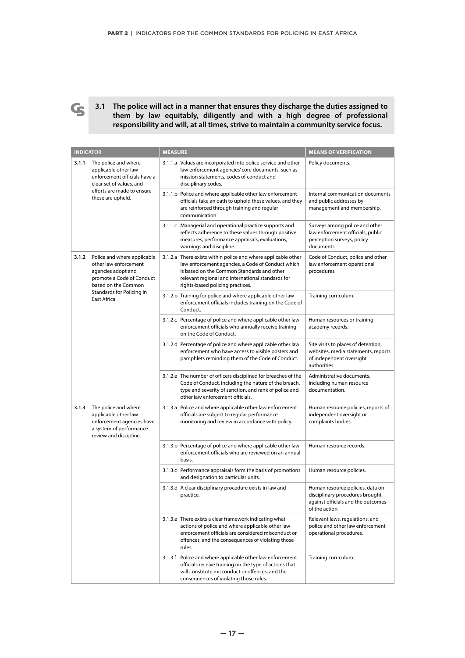

**3.1 The police will act in a manner that ensures they discharge the duties assigned to them by law equitably, diligently and with a high degree of professional responsibility and will, at all times, strive to maintain a community service focus.** 

|       | <b>INDICATOR</b>                                                                                                               | <b>MEASURE</b> |                                                                                                                                                                                                                                                           | <b>MEANS OF VERIFICATION</b>                                                                                                |
|-------|--------------------------------------------------------------------------------------------------------------------------------|----------------|-----------------------------------------------------------------------------------------------------------------------------------------------------------------------------------------------------------------------------------------------------------|-----------------------------------------------------------------------------------------------------------------------------|
| 3.1.1 | The police and where<br>applicable other law<br>enforcement officials have a<br>clear set of values, and                       |                | 3.1.1.a Values are incorporated into police service and other<br>law enforcement agencies' core documents, such as<br>mission statements, codes of conduct and<br>disciplinary codes.                                                                     | Policy documents.                                                                                                           |
|       | efforts are made to ensure<br>these are upheld.                                                                                |                | 3.1.1.b Police and where applicable other law enforcement<br>officials take an oath to uphold these values, and they<br>are reinforced through training and regular<br>communication.                                                                     | Internal communication documents<br>and public addresses by<br>management and membership.                                   |
|       |                                                                                                                                |                | 3.1.1.c Managerial and operational practice supports and<br>reflects adherence to these values through positive<br>measures, performance appraisals, evaluations,<br>warnings and discipline.                                                             | Surveys among police and other<br>law enforcement officials, public<br>perception surveys, policy<br>documents.             |
| 3.1.2 | Police and where applicable<br>other law enforcement<br>agencies adopt and<br>promote a Code of Conduct<br>based on the Common |                | 3.1.2.a There exists within police and where applicable other<br>law enforcement agencies, a Code of Conduct which<br>is based on the Common Standards and other<br>relevant regional and international standards for<br>rights-based policing practices. | Code of Conduct, police and other<br>law enforcement operational<br>procedures.                                             |
|       | Standards for Policing in<br>East Africa.                                                                                      |                | 3.1.2.b Training for police and where applicable other law<br>enforcement officials includes training on the Code of<br>Conduct.                                                                                                                          | Training curriculum.                                                                                                        |
|       |                                                                                                                                |                | 3.1.2.c Percentage of police and where applicable other law<br>enforcement officials who annually receive training<br>on the Code of Conduct.                                                                                                             | Human resources or training<br>academy records.                                                                             |
|       |                                                                                                                                |                | 3.1.2.d Percentage of police and where applicable other law<br>enforcement who have access to visible posters and<br>pamphlets reminding them of the Code of Conduct.                                                                                     | Site visits to places of detention,<br>websites, media statements, reports<br>of independent oversight<br>authorities.      |
|       |                                                                                                                                |                | 3.1.2.e The number of officers disciplined for breaches of the<br>Code of Conduct, including the nature of the breach,<br>type and severity of sanction, and rank of police and<br>other law enforcement officials.                                       | Administrative documents,<br>including human resource<br>documentation.                                                     |
| 3.1.3 | The police and where<br>applicable other law<br>enforcement agencies have<br>a system of performance<br>review and discipline. |                | 3.1.3.a Police and where applicable other law enforcement<br>officials are subject to regular performance<br>monitoring and review in accordance with policy.                                                                                             | Human resource policies, reports of<br>independent oversight or<br>complaints bodies.                                       |
|       |                                                                                                                                |                | 3.1.3.b Percentage of police and where applicable other law<br>enforcement officials who are reviewed on an annual<br>basis.                                                                                                                              | Human resource records.                                                                                                     |
|       |                                                                                                                                |                | 3.1.3.c Performance appraisals form the basis of promotions<br>and designation to particular units.                                                                                                                                                       | Human resource policies.                                                                                                    |
|       |                                                                                                                                |                | 3.1.3.d A clear disciplinary procedure exists in law and<br>practice.                                                                                                                                                                                     | Human resource policies, data on<br>disciplinary procedures brought<br>against officials and the outcomes<br>of the action. |
|       |                                                                                                                                |                | 3.1.3.e There exists a clear framework indicating what<br>actions of police and where applicable other law<br>enforcement officials are considered misconduct or<br>offences, and the consequences of violating those<br>rules.                           | Relevant laws, regulations, and<br>police and other law enforcement<br>operational procedures.                              |
|       |                                                                                                                                |                | 3.1.3.f Police and where applicable other law enforcement<br>officials receive training on the type of actions that<br>will constitute misconduct or offences, and the<br>consequences of violating those rules.                                          | Training curriculum.                                                                                                        |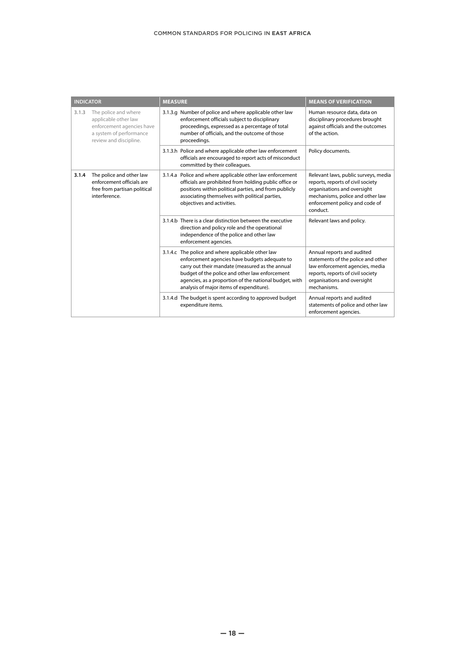| <b>INDICATOR</b> |                                                                                                                                | <b>MEASURE</b> |                                                                                                                                                                                                                                                                                                               | <b>MEANS OF VERIFICATION</b>                                                                                                                                                               |
|------------------|--------------------------------------------------------------------------------------------------------------------------------|----------------|---------------------------------------------------------------------------------------------------------------------------------------------------------------------------------------------------------------------------------------------------------------------------------------------------------------|--------------------------------------------------------------------------------------------------------------------------------------------------------------------------------------------|
| 3.1.3            | The police and where<br>applicable other law<br>enforcement agencies have<br>a system of performance<br>review and discipline. |                | 3.1.3.g Number of police and where applicable other law<br>enforcement officials subject to disciplinary<br>proceedings, expressed as a percentage of total<br>number of officials, and the outcome of those<br>proceedings.                                                                                  | Human resource data, data on<br>disciplinary procedures brought<br>against officials and the outcomes<br>of the action.                                                                    |
|                  |                                                                                                                                |                | 3.1.3.h Police and where applicable other law enforcement<br>officials are encouraged to report acts of misconduct<br>committed by their colleagues.                                                                                                                                                          | Policy documents.                                                                                                                                                                          |
| 3.1.4            | The police and other law<br>enforcement officials are<br>free from partisan political<br>interference.                         |                | 3.1.4.a Police and where applicable other law enforcement<br>officials are prohibited from holding public office or<br>positions within political parties, and from publicly<br>associating themselves with political parties,<br>objectives and activities.                                                  | Relevant laws, public surveys, media<br>reports, reports of civil society<br>organisations and oversight<br>mechanisms, police and other law<br>enforcement policy and code of<br>conduct. |
|                  |                                                                                                                                |                | 3.1.4.b There is a clear distinction between the executive<br>direction and policy role and the operational<br>independence of the police and other law<br>enforcement agencies.                                                                                                                              | Relevant laws and policy.                                                                                                                                                                  |
|                  |                                                                                                                                |                | 3.1.4.c The police and where applicable other law<br>enforcement agencies have budgets adequate to<br>carry out their mandate (measured as the annual<br>budget of the police and other law enforcement<br>agencies, as a proportion of the national budget, with<br>analysis of major items of expenditure). | Annual reports and audited<br>statements of the police and other<br>law enforcement agencies, media<br>reports, reports of civil society<br>organisations and oversight<br>mechanisms.     |
|                  |                                                                                                                                |                | 3.1.4.d The budget is spent according to approved budget<br>expenditure items.                                                                                                                                                                                                                                | Annual reports and audited<br>statements of police and other law<br>enforcement agencies.                                                                                                  |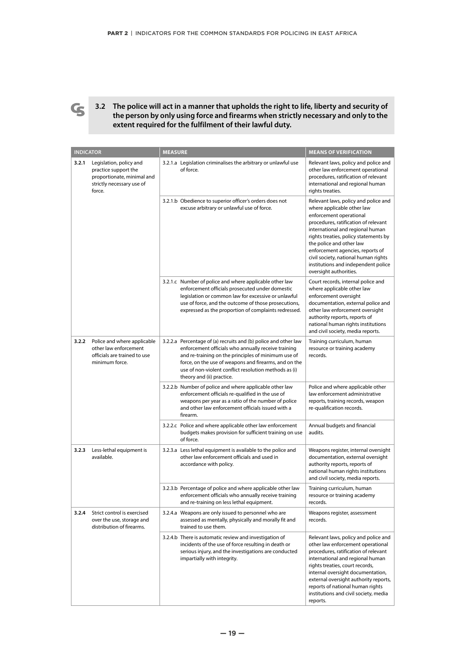

**3.2 The police will act in a manner that upholds the right to life, liberty and security of the person by only using force and firearms when strictly necessary and only to the extent required for the fulfilment of their lawful duty.**

| <b>INDICATOR</b> |                                                                                                                      | <b>MEASURE</b>                                                                                                                                                                                                                                                                                                               | <b>MEANS OF VERIFICATION</b>                                                                                                                                                                                                                                                                                                                                                                |
|------------------|----------------------------------------------------------------------------------------------------------------------|------------------------------------------------------------------------------------------------------------------------------------------------------------------------------------------------------------------------------------------------------------------------------------------------------------------------------|---------------------------------------------------------------------------------------------------------------------------------------------------------------------------------------------------------------------------------------------------------------------------------------------------------------------------------------------------------------------------------------------|
| 3.2.1            | Legislation, policy and<br>practice support the<br>proportionate, minimal and<br>strictly necessary use of<br>force. | 3.2.1.a Legislation criminalises the arbitrary or unlawful use<br>of force.                                                                                                                                                                                                                                                  | Relevant laws, policy and police and<br>other law enforcement operational<br>procedures, ratification of relevant<br>international and regional human<br>rights treaties.                                                                                                                                                                                                                   |
|                  |                                                                                                                      | 3.2.1.b Obedience to superior officer's orders does not<br>excuse arbitrary or unlawful use of force.                                                                                                                                                                                                                        | Relevant laws, policy and police and<br>where applicable other law<br>enforcement operational<br>procedures, ratification of relevant<br>international and regional human<br>rights treaties, policy statements by<br>the police and other law<br>enforcement agencies, reports of<br>civil society, national human rights<br>institutions and independent police<br>oversight authorities. |
|                  |                                                                                                                      | 3.2.1.c Number of police and where applicable other law<br>enforcement officials prosecuted under domestic<br>legislation or common law for excessive or unlawful<br>use of force, and the outcome of those prosecutions,<br>expressed as the proportion of complaints redressed.                                            | Court records, internal police and<br>where applicable other law<br>enforcement oversight<br>documentation, external police and<br>other law enforcement oversight<br>authority reports, reports of<br>national human rights institutions<br>and civil society, media reports.                                                                                                              |
| 3.2.2            | Police and where applicable<br>other law enforcement<br>officials are trained to use<br>minimum force.               | 3.2.2.a Percentage of (a) recruits and (b) police and other law<br>enforcement officials who annually receive training<br>and re-training on the principles of minimum use of<br>force, on the use of weapons and firearms, and on the<br>use of non-violent conflict resolution methods as (i)<br>theory and (ii) practice. | Training curriculum, human<br>resource or training academy<br>records.                                                                                                                                                                                                                                                                                                                      |
|                  |                                                                                                                      | 3.2.2.b Number of police and where applicable other law<br>enforcement officials re-qualified in the use of<br>weapons per year as a ratio of the number of police<br>and other law enforcement officials issued with a<br>firearm.                                                                                          | Police and where applicable other<br>law enforcement administrative<br>reports, training records, weapon<br>re-qualification records.                                                                                                                                                                                                                                                       |
|                  |                                                                                                                      | 3.2.2.c Police and where applicable other law enforcement<br>budgets makes provision for sufficient training on use<br>of force.                                                                                                                                                                                             | Annual budgets and financial<br>audits.                                                                                                                                                                                                                                                                                                                                                     |
| 3.2.3            | Less-lethal equipment is<br>available.                                                                               | 3.2.3.a Less lethal equipment is available to the police and<br>other law enforcement officials and used in<br>accordance with policy.                                                                                                                                                                                       | Weapons register, internal oversight<br>documentation, external oversight<br>authority reports, reports of<br>national human rights institutions<br>and civil society, media reports.                                                                                                                                                                                                       |
|                  |                                                                                                                      | 3.2.3.b Percentage of police and where applicable other law<br>enforcement officials who annually receive training<br>and re-training on less lethal equipment.                                                                                                                                                              | Training curriculum, human<br>resource or training academy<br>records.                                                                                                                                                                                                                                                                                                                      |
| 3.2.4            | Strict control is exercised<br>over the use, storage and<br>distribution of firearms.                                | 3.2.4.a Weapons are only issued to personnel who are<br>assessed as mentally, physically and morally fit and<br>trained to use them.                                                                                                                                                                                         | Weapons register, assessment<br>records.                                                                                                                                                                                                                                                                                                                                                    |
|                  |                                                                                                                      | 3.2.4.b There is automatic review and investigation of<br>incidents of the use of force resulting in death or<br>serious injury, and the investigations are conducted<br>impartially with integrity.                                                                                                                         | Relevant laws, policy and police and<br>other law enforcement operational<br>procedures, ratification of relevant<br>international and regional human<br>rights treaties, court records,<br>internal oversight documentation,<br>external oversight authority reports,<br>reports of national human rights<br>institutions and civil society, media<br>reports.                             |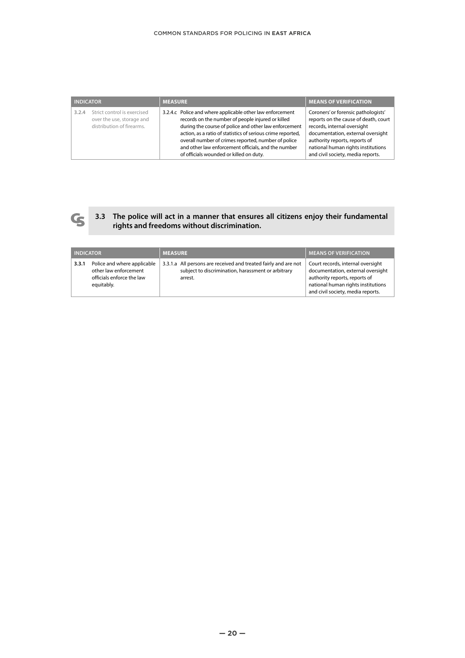| <b>INDICATOR</b>                                                                               | <b>MEASURE</b>                                                                                                                                                                                                                                                                                                                                                                                  | <b>MEANS OF VERIFICATION</b>                                                                                                                                                                                                                                |  |
|------------------------------------------------------------------------------------------------|-------------------------------------------------------------------------------------------------------------------------------------------------------------------------------------------------------------------------------------------------------------------------------------------------------------------------------------------------------------------------------------------------|-------------------------------------------------------------------------------------------------------------------------------------------------------------------------------------------------------------------------------------------------------------|--|
| Strict control is exercised<br>3.2.4<br>over the use, storage and<br>distribution of firearms. | 3.2.4.c Police and where applicable other law enforcement<br>records on the number of people injured or killed<br>during the course of police and other law enforcement<br>action, as a ratio of statistics of serious crime reported,<br>overall number of crimes reported, number of police<br>and other law enforcement officials, and the number<br>of officials wounded or killed on duty. | Coroners' or forensic pathologists'<br>reports on the cause of death, court<br>records, internal oversight<br>documentation, external oversight<br>authority reports, reports of<br>national human rights institutions<br>and civil society, media reports. |  |



### **3.3 The police will act in a manner that ensures all citizens enjoy their fundamental rights and freedoms without discrimination.**

| <b>INDICATOR</b> |                                                                                                 | <b>MEASURE</b>                                                                                                                   | <b>MEANS OF VERIFICATION</b>                                                                                                                                                       |
|------------------|-------------------------------------------------------------------------------------------------|----------------------------------------------------------------------------------------------------------------------------------|------------------------------------------------------------------------------------------------------------------------------------------------------------------------------------|
| 3.3.1            | Police and where applicable<br>other law enforcement<br>officials enforce the law<br>equitably. | 3.3.1.a All persons are received and treated fairly and are not<br>subject to discrimination, harassment or arbitrary<br>arrest. | Court records, internal oversight<br>documentation, external oversight<br>authority reports, reports of<br>national human rights institutions<br>and civil society, media reports. |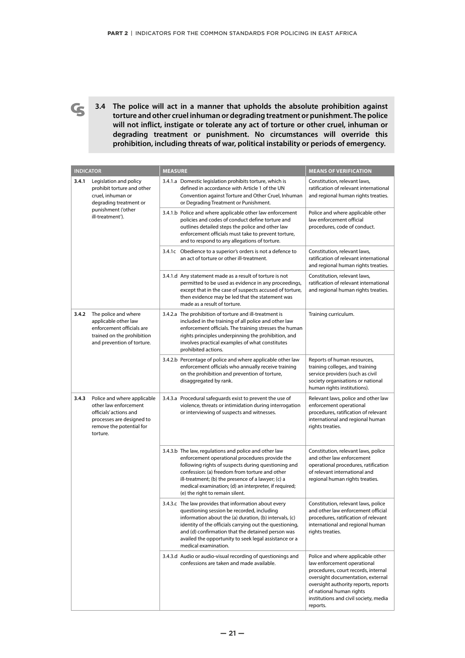**3.4 The police will act in a manner that upholds the absolute prohibition against torture and other cruel inhuman or degrading treatment or punishment. The police will not inflict, instigate or tolerate any act of torture or other cruel, inhuman or degrading treatment or punishment. No circumstances will override this prohibition, including threats of war, political instability or periods of emergency.**

 $\mathbf{G}$ 

| <b>INDICATOR</b> |                                                                                                                                                     | <b>MEANS OF VERIFICATION</b>                                                                                                                                                                                                                                                                                                                                       |                                                                                                                                                                                                                                                                       |
|------------------|-----------------------------------------------------------------------------------------------------------------------------------------------------|--------------------------------------------------------------------------------------------------------------------------------------------------------------------------------------------------------------------------------------------------------------------------------------------------------------------------------------------------------------------|-----------------------------------------------------------------------------------------------------------------------------------------------------------------------------------------------------------------------------------------------------------------------|
| 3.4.1            | Legislation and policy<br>prohibit torture and other<br>cruel, inhuman or<br>degrading treatment or                                                 | 3.4.1.a Domestic legislation prohibits torture, which is<br>defined in accordance with Article 1 of the UN<br>Convention against Torture and Other Cruel, Inhuman<br>or Degrading Treatment or Punishment.                                                                                                                                                         | Constitution, relevant laws,<br>ratification of relevant international<br>and regional human rights treaties.                                                                                                                                                         |
|                  | punishment ('other<br>ill-treatment').                                                                                                              | 3.4.1.b Police and where applicable other law enforcement<br>policies and codes of conduct define torture and<br>outlines detailed steps the police and other law<br>enforcement officials must take to prevent torture,<br>and to respond to any allegations of torture.                                                                                          | Police and where applicable other<br>law enforcement official<br>procedures, code of conduct.                                                                                                                                                                         |
|                  |                                                                                                                                                     | 3.4.1c Obedience to a superior's orders is not a defence to<br>an act of torture or other ill-treatment.                                                                                                                                                                                                                                                           | Constitution, relevant laws,<br>ratification of relevant international<br>and regional human rights treaties.                                                                                                                                                         |
|                  |                                                                                                                                                     | 3.4.1.d Any statement made as a result of torture is not<br>permitted to be used as evidence in any proceedings,<br>except that in the case of suspects accused of torture,<br>then evidence may be led that the statement was<br>made as a result of torture.                                                                                                     | Constitution, relevant laws,<br>ratification of relevant international<br>and regional human rights treaties.                                                                                                                                                         |
| 3.4.2            | The police and where<br>applicable other law<br>enforcement officials are<br>trained on the prohibition<br>and prevention of torture.               | 3.4.2.a The prohibition of torture and ill-treatment is<br>included in the training of all police and other law<br>enforcement officials. The training stresses the human<br>rights principles underpinning the prohibition, and<br>involves practical examples of what constitutes<br>prohibited actions.                                                         | Training curriculum.                                                                                                                                                                                                                                                  |
|                  |                                                                                                                                                     | 3.4.2.b Percentage of police and where applicable other law<br>enforcement officials who annually receive training<br>on the prohibition and prevention of torture,<br>disaggregated by rank.                                                                                                                                                                      | Reports of human resources,<br>training colleges, and training<br>service providers (such as civil<br>society organisations or national<br>human rights institutions).                                                                                                |
| 3.4.3            | Police and where applicable<br>other law enforcement<br>officials' actions and<br>processes are designed to<br>remove the potential for<br>torture. | 3.4.3.a Procedural safeguards exist to prevent the use of<br>violence, threats or intimidation during interrogation<br>or interviewing of suspects and witnesses.                                                                                                                                                                                                  | Relevant laws, police and other law<br>enforcement operational<br>procedures, ratification of relevant<br>international and regional human<br>rights treaties.                                                                                                        |
|                  |                                                                                                                                                     | 3.4.3.b The law, regulations and police and other law<br>enforcement operational procedures provide the<br>following rights of suspects during questioning and<br>confession: (a) freedom from torture and other<br>ill-treatment; (b) the presence of a lawyer; (c) a<br>medical examination; (d) an interpreter, if required;<br>(e) the right to remain silent. | Constitution, relevant laws, police<br>and other law enforcement<br>operational procedures, ratification<br>of relevant international and<br>regional human rights treaties.                                                                                          |
|                  |                                                                                                                                                     | 3.4.3.c The law provides that information about every<br>questioning session be recorded, including<br>information about the (a) duration, (b) intervals, (c)<br>identity of the officials carrying out the questioning,<br>and (d) confirmation that the detained person was<br>availed the opportunity to seek legal assistance or a<br>medical examination.     | Constitution, relevant laws, police<br>and other law enforcement official<br>procedures, ratification of relevant<br>international and regional human<br>rights treaties.                                                                                             |
|                  |                                                                                                                                                     | 3.4.3.d Audio or audio-visual recording of questionings and<br>confessions are taken and made available.                                                                                                                                                                                                                                                           | Police and where applicable other<br>law enforcement operational<br>procedures, court records, internal<br>oversight documentation, external<br>oversight authority reports, reports<br>of national human rights<br>institutions and civil society, media<br>reports. |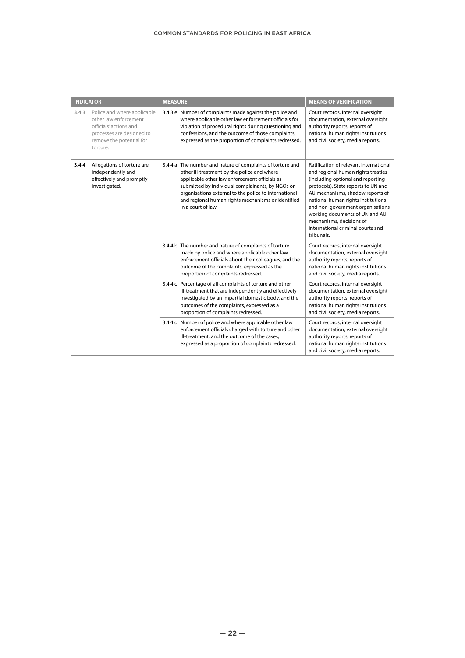| <b>INDICATOR</b> |                                                                                                                                                     | <b>MEASURE</b> |                                                                                                                                                                                                                                                                                                                                                     | <b>MEANS OF VERIFICATION</b>                                                                                                                                                                                                                                                                                                                                                             |                                                                                                                                                                                    |
|------------------|-----------------------------------------------------------------------------------------------------------------------------------------------------|----------------|-----------------------------------------------------------------------------------------------------------------------------------------------------------------------------------------------------------------------------------------------------------------------------------------------------------------------------------------------------|------------------------------------------------------------------------------------------------------------------------------------------------------------------------------------------------------------------------------------------------------------------------------------------------------------------------------------------------------------------------------------------|------------------------------------------------------------------------------------------------------------------------------------------------------------------------------------|
| 3.4.3            | Police and where applicable<br>other law enforcement<br>officials' actions and<br>processes are designed to<br>remove the potential for<br>torture. |                | 3.4.3.e Number of complaints made against the police and<br>where applicable other law enforcement officials for<br>violation of procedural rights during questioning and<br>confessions, and the outcome of those complaints,<br>expressed as the proportion of complaints redressed.                                                              | Court records, internal oversight<br>documentation, external oversight<br>authority reports, reports of<br>national human rights institutions<br>and civil society, media reports.                                                                                                                                                                                                       |                                                                                                                                                                                    |
| 3.4.4            | Allegations of torture are<br>independently and<br>effectively and promptly<br>investigated.                                                        |                | 3.4.4.a The number and nature of complaints of torture and<br>other ill-treatment by the police and where<br>applicable other law enforcement officials as<br>submitted by individual complainants, by NGOs or<br>organisations external to the police to international<br>and regional human rights mechanisms or identified<br>in a court of law. | Ratification of relevant international<br>and regional human rights treaties<br>(including optional and reporting<br>protocols), State reports to UN and<br>AU mechanisms, shadow reports of<br>national human rights institutions<br>and non-government organisations,<br>working documents of UN and AU<br>mechanisms, decisions of<br>international criminal courts and<br>tribunals. |                                                                                                                                                                                    |
|                  |                                                                                                                                                     |                |                                                                                                                                                                                                                                                                                                                                                     | 3.4.4.b The number and nature of complaints of torture<br>made by police and where applicable other law<br>enforcement officials about their colleagues, and the<br>outcome of the complaints, expressed as the<br>proportion of complaints redressed.                                                                                                                                   | Court records, internal oversight<br>documentation, external oversight<br>authority reports, reports of<br>national human rights institutions<br>and civil society, media reports. |
|                  |                                                                                                                                                     |                | 3.4.4.c Percentage of all complaints of torture and other<br>ill-treatment that are independently and effectively<br>investigated by an impartial domestic body, and the<br>outcomes of the complaints, expressed as a<br>proportion of complaints redressed.                                                                                       | Court records, internal oversight<br>documentation, external oversight<br>authority reports, reports of<br>national human rights institutions<br>and civil society, media reports.                                                                                                                                                                                                       |                                                                                                                                                                                    |
|                  |                                                                                                                                                     |                | 3.4.4.d Number of police and where applicable other law<br>enforcement officials charged with torture and other<br>ill-treatment, and the outcome of the cases,<br>expressed as a proportion of complaints redressed.                                                                                                                               | Court records, internal oversight<br>documentation, external oversight<br>authority reports, reports of<br>national human rights institutions<br>and civil society, media reports.                                                                                                                                                                                                       |                                                                                                                                                                                    |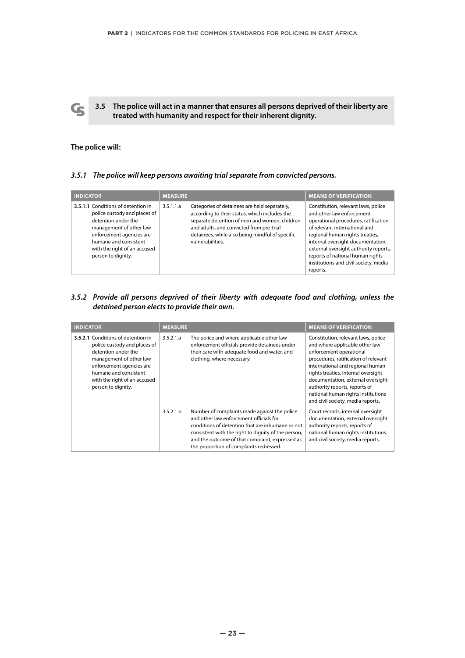**3.5 The police will act in a manner that ensures all persons deprived of their liberty are treated with humanity and respect for their inherent dignity.**

## **The police will:**

 $\mathbf G$ 

## *3.5.1 The police will keep persons awaiting trial separate from convicted persons.*

| <b>INDICATOR</b>                                                                                                                                                                                                                | <b>MEASURE</b>                                                                                                                                                                                                                                                                 | <b>MEANS OF VERIFICATION</b>                                                                                                                                                                                                                                                                                                                        |
|---------------------------------------------------------------------------------------------------------------------------------------------------------------------------------------------------------------------------------|--------------------------------------------------------------------------------------------------------------------------------------------------------------------------------------------------------------------------------------------------------------------------------|-----------------------------------------------------------------------------------------------------------------------------------------------------------------------------------------------------------------------------------------------------------------------------------------------------------------------------------------------------|
| 3.5.1.1 Conditions of detention in<br>police custody and places of<br>detention under the<br>management of other law<br>enforcement agencies are<br>humane and consistent<br>with the right of an accused<br>person to dignity. | Categories of detainees are held separately,<br>3.5.1.1.a<br>according to their status, which includes the<br>separate detention of men and women, children<br>and adults, and convicted from pre-trial<br>detainees, while also being mindful of specific<br>vulnerabilities. | Constitution, relevant laws, police<br>and other law enforcement<br>operational procedures, ratification<br>of relevant international and<br>regional human rights treaties,<br>internal oversight documentation,<br>external oversight authority reports,<br>reports of national human rights<br>institutions and civil society, media<br>reports. |

# *3.5.2 Provide all persons deprived of their liberty with adequate food and clothing, unless the detained person elects to provide their own.*

| <b>INDICATOR</b>                                                                                                                                                                                                                | <b>MEASURE</b> |                                                                                                                                                                                                                                                                                                  | <b>MEANS OF VERIFICATION</b>                                                                                                                                                                                                                                                                                                                                         |
|---------------------------------------------------------------------------------------------------------------------------------------------------------------------------------------------------------------------------------|----------------|--------------------------------------------------------------------------------------------------------------------------------------------------------------------------------------------------------------------------------------------------------------------------------------------------|----------------------------------------------------------------------------------------------------------------------------------------------------------------------------------------------------------------------------------------------------------------------------------------------------------------------------------------------------------------------|
| 3.5.2.1 Conditions of detention in<br>police custody and places of<br>detention under the<br>management of other law<br>enforcement agencies are<br>humane and consistent<br>with the right of an accused<br>person to dignity. | 3.5.2.1.a      | The police and where applicable other law<br>enforcement officials provide detainees under<br>their care with adequate food and water, and<br>clothing, where necessary.                                                                                                                         | Constitution, relevant laws, police<br>and where applicable other law<br>enforcement operational<br>procedures, ratification of relevant<br>international and regional human<br>rights treaties, internal oversight<br>documentation, external oversight<br>authority reports, reports of<br>national human rights institutions<br>and civil society, media reports. |
|                                                                                                                                                                                                                                 | 3.5.2.1.b      | Number of complaints made against the police<br>and other law enforcement officials for<br>conditions of detention that are inhumane or not<br>consistent with the right to dignity of the person,<br>and the outcome of that complaint, expressed as<br>the proportion of complaints redressed. | Court records, internal oversight<br>documentation, external oversight<br>authority reports, reports of<br>national human rights institutions<br>and civil society, media reports.                                                                                                                                                                                   |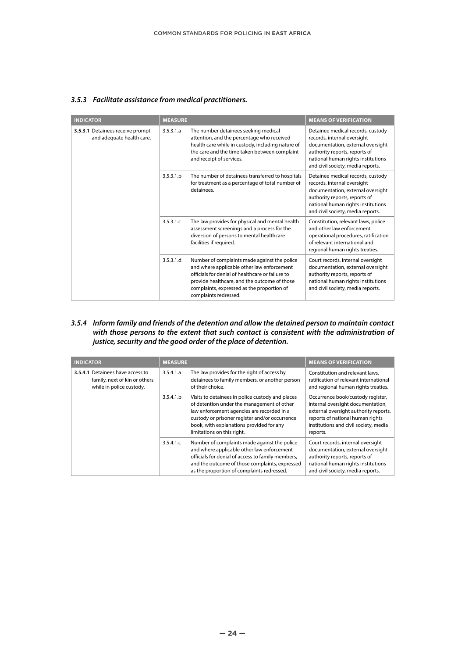|  | 3.5.3 Facilitate assistance from medical practitioners. |  |
|--|---------------------------------------------------------|--|
|--|---------------------------------------------------------|--|

|  | <b>INDICATOR</b>                                              | <b>MEASURE</b> |                                                                                                                                                                                                                                                                       | <b>MEANS OF VERIFICATION</b>                                                                                                                                                                                      |
|--|---------------------------------------------------------------|----------------|-----------------------------------------------------------------------------------------------------------------------------------------------------------------------------------------------------------------------------------------------------------------------|-------------------------------------------------------------------------------------------------------------------------------------------------------------------------------------------------------------------|
|  | 3.5.3.1 Detainees receive prompt<br>and adequate health care. | 3.5.3.1.a      | The number detainees seeking medical<br>attention, and the percentage who received<br>health care while in custody, including nature of<br>the care and the time taken between complaint<br>and receipt of services.                                                  | Detainee medical records, custody<br>records, internal oversight<br>documentation, external oversight<br>authority reports, reports of<br>national human rights institutions<br>and civil society, media reports. |
|  |                                                               | 3.5.3.1.b      | The number of detainees transferred to hospitals<br>for treatment as a percentage of total number of<br>detainees.                                                                                                                                                    | Detainee medical records, custody<br>records, internal oversight<br>documentation, external oversight<br>authority reports, reports of<br>national human rights institutions<br>and civil society, media reports. |
|  |                                                               | 3.5.3.1.c      | The law provides for physical and mental health<br>assessment screenings and a process for the<br>diversion of persons to mental healthcare<br>facilities if required.                                                                                                | Constitution, relevant laws, police<br>and other law enforcement<br>operational procedures, ratification<br>of relevant international and<br>regional human rights treaties.                                      |
|  |                                                               | 3.5.3.1.d      | Number of complaints made against the police<br>and where applicable other law enforcement<br>officials for denial of healthcare or failure to<br>provide healthcare, and the outcome of those<br>complaints, expressed as the proportion of<br>complaints redressed. | Court records, internal oversight<br>documentation, external oversight<br>authority reports, reports of<br>national human rights institutions<br>and civil society, media reports.                                |

*3.5.4 Inform family and friends of the detention and allow the detained person to maintain contact with those persons to the extent that such contact is consistent with the administration of justice, security and the good order of the place of detention.*

| <b>INDICATOR</b>                                                                              | <b>MEASURE</b> |                                                                                                                                                                                                                                                                          | <b>MEANS OF VERIFICATION</b>                                                                                                                                                                             |
|-----------------------------------------------------------------------------------------------|----------------|--------------------------------------------------------------------------------------------------------------------------------------------------------------------------------------------------------------------------------------------------------------------------|----------------------------------------------------------------------------------------------------------------------------------------------------------------------------------------------------------|
| 3.5.4.1 Detainees have access to<br>family, next of kin or others<br>while in police custody. | 3.5.4.1.a      | The law provides for the right of access by<br>detainees to family members, or another person<br>of their choice.                                                                                                                                                        | Constitution and relevant laws.<br>ratification of relevant international<br>and regional human rights treaties.                                                                                         |
|                                                                                               | 3.5.4.1.b      | Visits to detainees in police custody and places<br>of detention under the management of other<br>law enforcement agencies are recorded in a<br>custody or prisoner register and/or occurrence<br>book, with explanations provided for any<br>limitations on this right. | Occurrence book/custody register,<br>internal oversight documentation,<br>external oversight authority reports,<br>reports of national human rights<br>institutions and civil society, media<br>reports. |
|                                                                                               | 3.5.4.1.c      | Number of complaints made against the police<br>and where applicable other law enforcement<br>officials for denial of access to family members,<br>and the outcome of those complaints, expressed<br>as the proportion of complaints redressed.                          | Court records, internal oversight<br>documentation, external oversight<br>authority reports, reports of<br>national human rights institutions<br>and civil society, media reports.                       |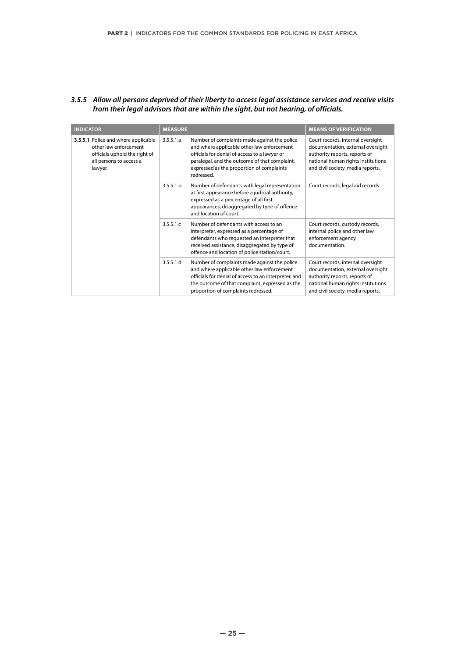### *3.5.5 Allow all persons deprived of their liberty to access legal assistance services and receive visits from their legal advisors that are within the sight, but not hearing, of officials.*

| <b>INDICATOR</b>                                                                                                                    | <b>MEASURE</b> |                                                                                                                                                                                                                                                         | <b>MEANS OF VERIFICATION</b>                                                                                                                                                       |
|-------------------------------------------------------------------------------------------------------------------------------------|----------------|---------------------------------------------------------------------------------------------------------------------------------------------------------------------------------------------------------------------------------------------------------|------------------------------------------------------------------------------------------------------------------------------------------------------------------------------------|
| 3.5.5.1 Police and where applicable<br>other law enforcement<br>officials uphold the right of<br>all persons to access a<br>lawyer. | 3.5.5.1.a      | Number of complaints made against the police<br>and where applicable other law enforcement<br>officials for denial of access to a lawyer or<br>paralegal, and the outcome of that complaint,<br>expressed as the proportion of complaints<br>redressed. | Court records, internal oversight<br>documentation, external oversight<br>authority reports, reports of<br>national human rights institutions<br>and civil society, media reports. |
|                                                                                                                                     | 3.5.5.1.b      | Number of defendants with legal representation<br>at first appearance before a judicial authority,<br>expressed as a percentage of all first<br>appearances, disaggregated by type of offence<br>and location of court.                                 | Court records, legal aid records.                                                                                                                                                  |
|                                                                                                                                     | 3.5.5.1.c      | Number of defendants with access to an<br>interpreter, expressed as a percentage of<br>defendants who requested an interpreter that<br>received assistance, disaggregated by type of<br>offence and location of police station/court.                   | Court records, custody records,<br>internal police and other law<br>enforcement agency<br>documentation.                                                                           |
|                                                                                                                                     | 3.5.5.1.d      | Number of complaints made against the police<br>and where applicable other law enforcement<br>officials for denial of access to an interpreter, and<br>the outcome of that complaint, expressed as the<br>proportion of complaints redressed.           | Court records, internal oversight<br>documentation, external oversight<br>authority reports, reports of<br>national human rights institutions<br>and civil society, media reports. |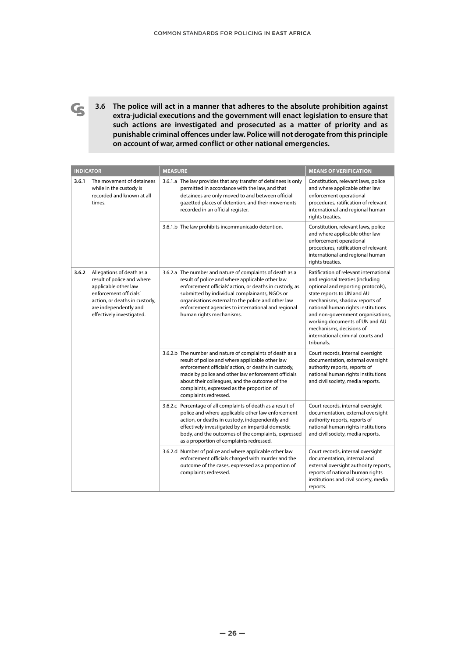**3.6 The police will act in a manner that adheres to the absolute prohibition against extra-judicial executions and the government will enact legislation to ensure that such actions are investigated and prosecuted as a matter of priority and as punishable criminal offences under law. Police will not derogate from this principle on account of war, armed conflict or other national emergencies.**

 $\mathbf G$ 

| <b>INDICATOR</b>                                                                 |                                                                                                                       | <b>MEASURE</b>                                                                                                                                                                                                                                                                                                                                                   | <b>MEANS OF VERIFICATION</b>                                                                                                                                                                                                                                                                                                                                                |                                                                                                                                                                                    |
|----------------------------------------------------------------------------------|-----------------------------------------------------------------------------------------------------------------------|------------------------------------------------------------------------------------------------------------------------------------------------------------------------------------------------------------------------------------------------------------------------------------------------------------------------------------------------------------------|-----------------------------------------------------------------------------------------------------------------------------------------------------------------------------------------------------------------------------------------------------------------------------------------------------------------------------------------------------------------------------|------------------------------------------------------------------------------------------------------------------------------------------------------------------------------------|
| 3.6.1                                                                            | The movement of detainees<br>while in the custody is<br>recorded and known at all<br>times.                           | 3.6.1.a The law provides that any transfer of detainees is only<br>permitted in accordance with the law, and that<br>detainees are only moved to and between official<br>gazetted places of detention, and their movements<br>recorded in an official register.                                                                                                  | Constitution, relevant laws, police<br>and where applicable other law<br>enforcement operational<br>procedures, ratification of relevant<br>international and regional human<br>rights treaties.                                                                                                                                                                            |                                                                                                                                                                                    |
|                                                                                  |                                                                                                                       | 3.6.1.b The law prohibits incommunicado detention.                                                                                                                                                                                                                                                                                                               | Constitution, relevant laws, police<br>and where applicable other law<br>enforcement operational<br>procedures, ratification of relevant<br>international and regional human<br>rights treaties.                                                                                                                                                                            |                                                                                                                                                                                    |
| 3.6.2<br>applicable other law<br>enforcement officials'<br>are independently and | Allegations of death as a<br>result of police and where<br>action, or deaths in custody,<br>effectively investigated. | 3.6.2.a The number and nature of complaints of death as a<br>result of police and where applicable other law<br>enforcement officials' action, or deaths in custody, as<br>submitted by individual complainants, NGOs or<br>organisations external to the police and other law<br>enforcement agencies to international and regional<br>human rights mechanisms. | Ratification of relevant international<br>and regional treaties (including<br>optional and reporting protocols),<br>state reports to UN and AU<br>mechanisms, shadow reports of<br>national human rights institutions<br>and non-government organisations,<br>working documents of UN and AU<br>mechanisms, decisions of<br>international criminal courts and<br>tribunals. |                                                                                                                                                                                    |
|                                                                                  |                                                                                                                       | 3.6.2.b The number and nature of complaints of death as a<br>result of police and where applicable other law<br>enforcement officials' action, or deaths in custody,<br>made by police and other law enforcement officials<br>about their colleagues, and the outcome of the<br>complaints, expressed as the proportion of<br>complaints redressed.              | Court records, internal oversight<br>documentation, external oversight<br>authority reports, reports of<br>national human rights institutions<br>and civil society, media reports.                                                                                                                                                                                          |                                                                                                                                                                                    |
|                                                                                  |                                                                                                                       |                                                                                                                                                                                                                                                                                                                                                                  | 3.6.2.c Percentage of all complaints of death as a result of<br>police and where applicable other law enforcement<br>action, or deaths in custody, independently and<br>effectively investigated by an impartial domestic<br>body, and the outcomes of the complaints, expressed<br>as a proportion of complaints redressed.                                                | Court records, internal oversight<br>documentation, external oversight<br>authority reports, reports of<br>national human rights institutions<br>and civil society, media reports. |
|                                                                                  |                                                                                                                       | 3.6.2.d Number of police and where applicable other law<br>enforcement officials charged with murder and the<br>outcome of the cases, expressed as a proportion of<br>complaints redressed.                                                                                                                                                                      | Court records, internal oversight<br>documentation, internal and<br>external oversight authority reports,<br>reports of national human rights<br>institutions and civil society, media<br>reports.                                                                                                                                                                          |                                                                                                                                                                                    |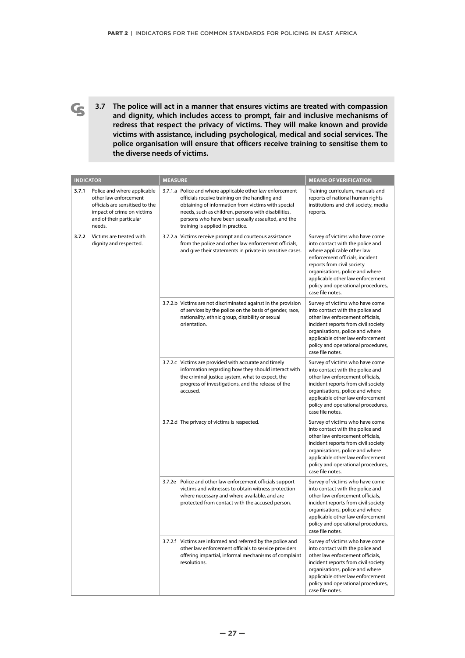**3.7 The police will act in a manner that ensures victims are treated with compassion and dignity, which includes access to prompt, fair and inclusive mechanisms of redress that respect the privacy of victims. They will make known and provide victims with assistance, including psychological, medical and social services. The police organisation will ensure that officers receive training to sensitise them to the diverse needs of victims.**

 $\mathbf{G}$ 

| <b>INDICATOR</b>                                            |                                                                                                                                                            | <b>MEASURE</b>                                                                                                                                                                                                                     |                                                                                                                                                                                                                                                                                                                   | <b>MEANS OF VERIFICATION</b>                                                                                                                                                                                                                                                                        |
|-------------------------------------------------------------|------------------------------------------------------------------------------------------------------------------------------------------------------------|------------------------------------------------------------------------------------------------------------------------------------------------------------------------------------------------------------------------------------|-------------------------------------------------------------------------------------------------------------------------------------------------------------------------------------------------------------------------------------------------------------------------------------------------------------------|-----------------------------------------------------------------------------------------------------------------------------------------------------------------------------------------------------------------------------------------------------------------------------------------------------|
| 3.7.1                                                       | Police and where applicable<br>other law enforcement<br>officials are sensitised to the<br>impact of crime on victims<br>and of their particular<br>needs. |                                                                                                                                                                                                                                    | 3.7.1.a Police and where applicable other law enforcement<br>officials receive training on the handling and<br>obtaining of information from victims with special<br>needs, such as children, persons with disabilities,<br>persons who have been sexually assaulted, and the<br>training is applied in practice. | Training curriculum, manuals and<br>reports of national human rights<br>institutions and civil society, media<br>reports.                                                                                                                                                                           |
| 3.7.2<br>Victims are treated with<br>dignity and respected. |                                                                                                                                                            |                                                                                                                                                                                                                                    | 3.7.2.a Victims receive prompt and courteous assistance<br>from the police and other law enforcement officials,<br>and give their statements in private in sensitive cases.                                                                                                                                       | Survey of victims who have come<br>into contact with the police and<br>where applicable other law<br>enforcement officials, incident<br>reports from civil society<br>organisations, police and where<br>applicable other law enforcement<br>policy and operational procedures,<br>case file notes. |
|                                                             |                                                                                                                                                            | 3.7.2.b Victims are not discriminated against in the provision<br>of services by the police on the basis of gender, race,<br>nationality, ethnic group, disability or sexual<br>orientation.                                       | Survey of victims who have come<br>into contact with the police and<br>other law enforcement officials,<br>incident reports from civil society<br>organisations, police and where<br>applicable other law enforcement<br>policy and operational procedures,<br>case file notes.                                   |                                                                                                                                                                                                                                                                                                     |
|                                                             |                                                                                                                                                            | 3.7.2.c Victims are provided with accurate and timely<br>information regarding how they should interact with<br>the criminal justice system, what to expect, the<br>progress of investigations, and the release of the<br>accused. | Survey of victims who have come<br>into contact with the police and<br>other law enforcement officials,<br>incident reports from civil society<br>organisations, police and where<br>applicable other law enforcement<br>policy and operational procedures,<br>case file notes.                                   |                                                                                                                                                                                                                                                                                                     |
|                                                             |                                                                                                                                                            | 3.7.2.d The privacy of victims is respected.                                                                                                                                                                                       | Survey of victims who have come<br>into contact with the police and<br>other law enforcement officials,<br>incident reports from civil society<br>organisations, police and where<br>applicable other law enforcement<br>policy and operational procedures,<br>case file notes.                                   |                                                                                                                                                                                                                                                                                                     |
|                                                             |                                                                                                                                                            | 3.7.2e Police and other law enforcement officials support<br>victims and witnesses to obtain witness protection<br>where necessary and where available, and are<br>protected from contact with the accused person.                 | Survey of victims who have come<br>into contact with the police and<br>other law enforcement officials,<br>incident reports from civil society<br>organisations, police and where<br>applicable other law enforcement<br>policy and operational procedures,<br>case file notes.                                   |                                                                                                                                                                                                                                                                                                     |
|                                                             |                                                                                                                                                            |                                                                                                                                                                                                                                    | 3.7.2.f Victims are informed and referred by the police and<br>other law enforcement officials to service providers<br>offering impartial, informal mechanisms of complaint<br>resolutions.                                                                                                                       | Survey of victims who have come<br>into contact with the police and<br>other law enforcement officials,<br>incident reports from civil society<br>organisations, police and where<br>applicable other law enforcement<br>policy and operational procedures,<br>case file notes.                     |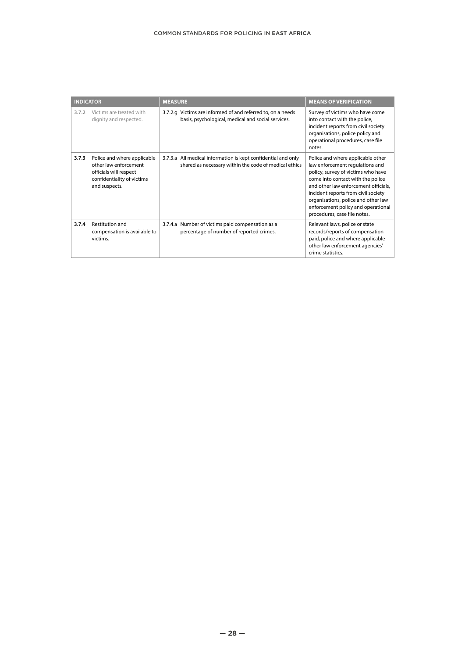| <b>INDICATOR</b> |                                                                                                                               | <b>MEASURE</b> |                                                                                                                        | <b>MEANS OF VERIFICATION</b>                                                                                                                                                                                                                                                                                                                |
|------------------|-------------------------------------------------------------------------------------------------------------------------------|----------------|------------------------------------------------------------------------------------------------------------------------|---------------------------------------------------------------------------------------------------------------------------------------------------------------------------------------------------------------------------------------------------------------------------------------------------------------------------------------------|
| 3.7.2            | Victims are treated with<br>dignity and respected.                                                                            |                | 3.7.2.g Victims are informed of and referred to, on a needs<br>basis, psychological, medical and social services.      | Survey of victims who have come<br>into contact with the police,<br>incident reports from civil society<br>organisations, police policy and<br>operational procedures, case file<br>notes.                                                                                                                                                  |
| 3.7.3            | Police and where applicable<br>other law enforcement<br>officials will respect<br>confidentiality of victims<br>and suspects. |                | 3.7.3.a All medical information is kept confidential and only<br>shared as necessary within the code of medical ethics | Police and where applicable other<br>law enforcement regulations and<br>policy, survey of victims who have<br>come into contact with the police<br>and other law enforcement officials,<br>incident reports from civil society<br>organisations, police and other law<br>enforcement policy and operational<br>procedures, case file notes. |
| 3.7.4            | Restitution and<br>compensation is available to<br>victims.                                                                   |                | 3.7.4.a Number of victims paid compensation as a<br>percentage of number of reported crimes.                           | Relevant laws, police or state<br>records/reports of compensation<br>paid, police and where applicable<br>other law enforcement agencies'<br>crime statistics.                                                                                                                                                                              |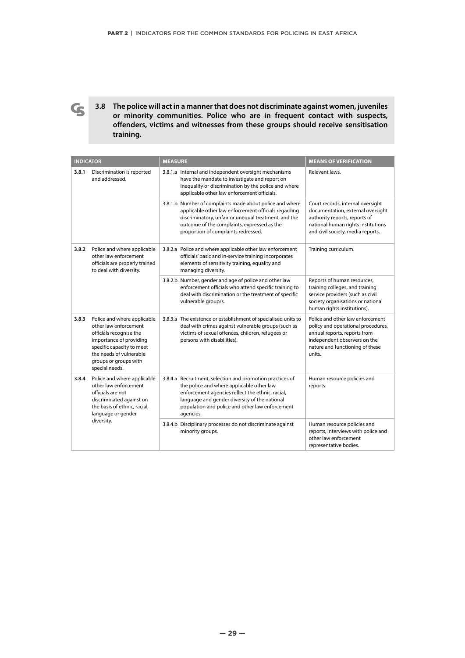**3.8 The police will act in a manner that does not discriminate against women, juveniles or minority communities. Police who are in frequent contact with suspects, offenders, victims and witnesses from these groups should receive sensitisation training.**

 $\mathbf G$ 

| <b>INDICATOR</b>                                                                                                           |                                                                                                                                                                                                               | <b>MEASURE</b>                                                                                                                                                                                                                                                              | <b>MEANS OF VERIFICATION</b>                                                                                                                                                        |
|----------------------------------------------------------------------------------------------------------------------------|---------------------------------------------------------------------------------------------------------------------------------------------------------------------------------------------------------------|-----------------------------------------------------------------------------------------------------------------------------------------------------------------------------------------------------------------------------------------------------------------------------|-------------------------------------------------------------------------------------------------------------------------------------------------------------------------------------|
| 3.8.1                                                                                                                      | Discrimination is reported<br>and addressed.                                                                                                                                                                  | 3.8.1.a Internal and independent oversight mechanisms<br>have the mandate to investigate and report on<br>inequality or discrimination by the police and where<br>applicable other law enforcement officials.                                                               | Relevant laws.                                                                                                                                                                      |
|                                                                                                                            |                                                                                                                                                                                                               | 3.8.1.b Number of complaints made about police and where<br>applicable other law enforcement officials regarding<br>discriminatory, unfair or unequal treatment, and the<br>outcome of the complaints, expressed as the<br>proportion of complaints redressed.              | Court records, internal oversight<br>documentation, external oversight<br>authority reports, reports of<br>national human rights institutions<br>and civil society, media reports.  |
| 3.8.2<br>Police and where applicable<br>other law enforcement<br>officials are properly trained<br>to deal with diversity. | 3.8.2.a Police and where applicable other law enforcement<br>officials' basic and in-service training incorporates<br>elements of sensitivity training, equality and<br>managing diversity.                   | Training curriculum.                                                                                                                                                                                                                                                        |                                                                                                                                                                                     |
|                                                                                                                            |                                                                                                                                                                                                               | 3.8.2.b Number, gender and age of police and other law<br>enforcement officials who attend specific training to<br>deal with discrimination or the treatment of specific<br>vulnerable group/s.                                                                             | Reports of human resources,<br>training colleges, and training<br>service providers (such as civil<br>society organisations or national<br>human rights institutions).              |
| 3.8.3                                                                                                                      | Police and where applicable<br>other law enforcement<br>officials recognise the<br>importance of providing<br>specific capacity to meet<br>the needs of vulnerable<br>groups or groups with<br>special needs. | 3.8.3.a The existence or establishment of specialised units to<br>deal with crimes against vulnerable groups (such as<br>victims of sexual offences, children, refugees or<br>persons with disabilities).                                                                   | Police and other law enforcement<br>policy and operational procedures,<br>annual reports, reports from<br>independent observers on the<br>nature and functioning of these<br>units. |
| 3.8.4                                                                                                                      | Police and where applicable<br>other law enforcement<br>officials are not<br>discriminated against on<br>the basis of ethnic, racial,<br>language or gender<br>diversity.                                     | 3.8.4 a Recruitment, selection and promotion practices of<br>the police and where applicable other law<br>enforcement agencies reflect the ethnic, racial,<br>language and gender diversity of the national<br>population and police and other law enforcement<br>agencies. | Human resource policies and<br>reports.                                                                                                                                             |
|                                                                                                                            |                                                                                                                                                                                                               | 3.8.4.b Disciplinary processes do not discriminate against<br>minority groups.                                                                                                                                                                                              | Human resource policies and<br>reports, interviews with police and<br>other law enforcement<br>representative bodies.                                                               |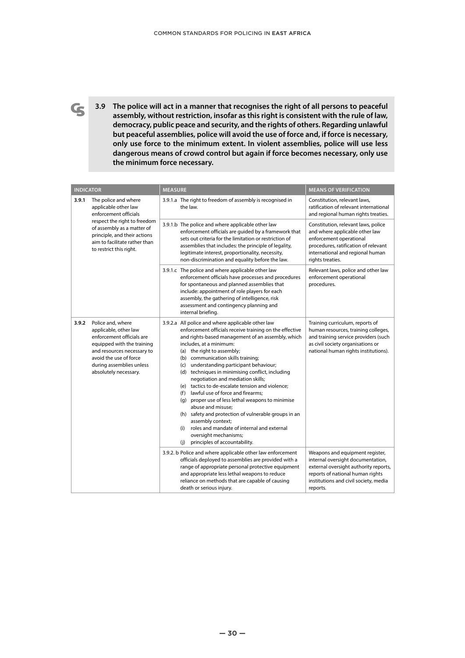**3.9 The police will act in a manner that recognises the right of all persons to peaceful assembly, without restriction, insofar as this right is consistent with the rule of law, democracy, public peace and security, and the rights of others. Regarding unlawful but peaceful assemblies, police will avoid the use of force and, if force is necessary, only use force to the minimum extent. In violent assemblies, police will use less dangerous means of crowd control but again if force becomes necessary, only use the minimum force necessary.**

 $\mathbf{G}$ 

| <b>INDICATOR</b>                                                                                                                          |                                                                                                                                                                                                                    | <b>MEASURE</b>                                                                                                                                                                                                                                                                                                                                                                                                                                                                                                                                                                                                                                                                                                                                                                           | <b>MEANS OF VERIFICATION</b>                                                                                                                                                                           |
|-------------------------------------------------------------------------------------------------------------------------------------------|--------------------------------------------------------------------------------------------------------------------------------------------------------------------------------------------------------------------|------------------------------------------------------------------------------------------------------------------------------------------------------------------------------------------------------------------------------------------------------------------------------------------------------------------------------------------------------------------------------------------------------------------------------------------------------------------------------------------------------------------------------------------------------------------------------------------------------------------------------------------------------------------------------------------------------------------------------------------------------------------------------------------|--------------------------------------------------------------------------------------------------------------------------------------------------------------------------------------------------------|
| The police and where<br>3.9.1<br>applicable other law<br>enforcement officials<br>respect the right to freedom<br>to restrict this right. |                                                                                                                                                                                                                    | 3.9.1.a The right to freedom of assembly is recognised in<br>the law.                                                                                                                                                                                                                                                                                                                                                                                                                                                                                                                                                                                                                                                                                                                    | Constitution, relevant laws,<br>ratification of relevant international<br>and regional human rights treaties.                                                                                          |
|                                                                                                                                           | of assembly as a matter of<br>principle, and their actions<br>aim to facilitate rather than                                                                                                                        | 3.9.1.b The police and where applicable other law<br>enforcement officials are guided by a framework that<br>sets out criteria for the limitation or restriction of<br>assemblies that includes: the principle of legality,<br>legitimate interest, proportionality, necessity,<br>non-discrimination and equality before the law.                                                                                                                                                                                                                                                                                                                                                                                                                                                       | Constitution, relevant laws, police<br>and where applicable other law<br>enforcement operational<br>procedures, ratification of relevant<br>international and regional human<br>rights treaties.       |
|                                                                                                                                           |                                                                                                                                                                                                                    | 3.9.1.c The police and where applicable other law<br>enforcement officials have processes and procedures<br>for spontaneous and planned assemblies that<br>include: appointment of role players for each<br>assembly, the gathering of intelligence, risk<br>assessment and contingency planning and<br>internal briefing.                                                                                                                                                                                                                                                                                                                                                                                                                                                               | Relevant laws, police and other law<br>enforcement operational<br>procedures.                                                                                                                          |
| 3.9.2                                                                                                                                     | Police and, where<br>applicable, other law<br>enforcement officials are<br>equipped with the training<br>and resources necessary to<br>avoid the use of force<br>during assemblies unless<br>absolutely necessary. | 3.9.2.a All police and where applicable other law<br>enforcement officials receive training on the effective<br>and rights-based management of an assembly, which<br>includes, at a minimum:<br>(a) the right to assembly;<br>(b) communication skills training;<br>understanding participant behaviour;<br>(c)<br>(d) techniques in minimising conflict, including<br>negotiation and mediation skills;<br>(e) tactics to de-escalate tension and violence;<br>lawful use of force and firearms;<br>(f)<br>proper use of less lethal weapons to minimise<br>(g)<br>abuse and misuse;<br>(h) safety and protection of vulnerable groups in an<br>assembly context;<br>roles and mandate of internal and external<br>(i)<br>oversight mechanisms;<br>principles of accountability.<br>(i) | Training curriculum, reports of<br>human resources, training colleges,<br>and training service providers (such<br>as civil society organisations or<br>national human rights institutions).            |
|                                                                                                                                           |                                                                                                                                                                                                                    | 3.9.2. b Police and where applicable other law enforcement<br>officials deployed to assemblies are provided with a<br>range of appropriate personal protective equipment<br>and appropriate less lethal weapons to reduce<br>reliance on methods that are capable of causing<br>death or serious injury.                                                                                                                                                                                                                                                                                                                                                                                                                                                                                 | Weapons and equipment register,<br>internal oversight documentation,<br>external oversight authority reports,<br>reports of national human rights<br>institutions and civil society, media<br>reports. |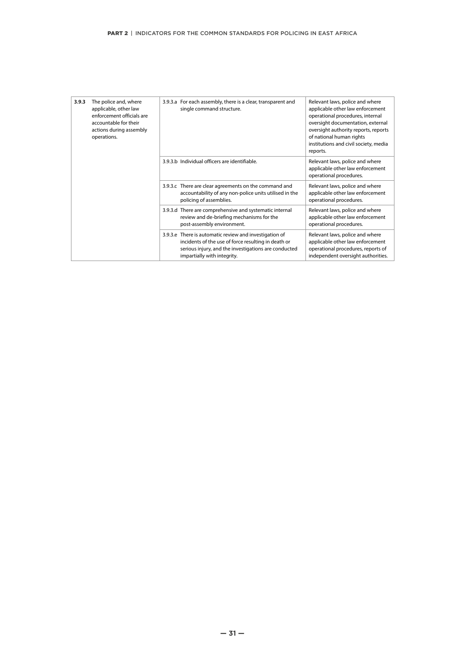| 3.9.3 | The police and, where<br>applicable, other law<br>enforcement officials are<br>accountable for their<br>actions during assembly<br>operations. | 3.9.3.a For each assembly, there is a clear, transparent and<br>single command structure.                                                                                                            | Relevant laws, police and where<br>applicable other law enforcement<br>operational procedures, internal<br>oversight documentation, external<br>oversight authority reports, reports<br>of national human rights<br>institutions and civil society, media<br>reports. |
|-------|------------------------------------------------------------------------------------------------------------------------------------------------|------------------------------------------------------------------------------------------------------------------------------------------------------------------------------------------------------|-----------------------------------------------------------------------------------------------------------------------------------------------------------------------------------------------------------------------------------------------------------------------|
|       |                                                                                                                                                | 3.9.3.b Individual officers are identifiable.                                                                                                                                                        | Relevant laws, police and where<br>applicable other law enforcement<br>operational procedures.                                                                                                                                                                        |
|       |                                                                                                                                                | 3.9.3.c There are clear agreements on the command and<br>accountability of any non-police units utilised in the<br>policing of assemblies.                                                           | Relevant laws, police and where<br>applicable other law enforcement<br>operational procedures.                                                                                                                                                                        |
|       |                                                                                                                                                | 3.9.3.d There are comprehensive and systematic internal<br>review and de-briefing mechanisms for the<br>post-assembly environment.                                                                   | Relevant laws, police and where<br>applicable other law enforcement<br>operational procedures.                                                                                                                                                                        |
|       |                                                                                                                                                | 3.9.3.e There is automatic review and investigation of<br>incidents of the use of force resulting in death or<br>serious injury, and the investigations are conducted<br>impartially with integrity. | Relevant laws, police and where<br>applicable other law enforcement<br>operational procedures, reports of<br>independent oversight authorities.                                                                                                                       |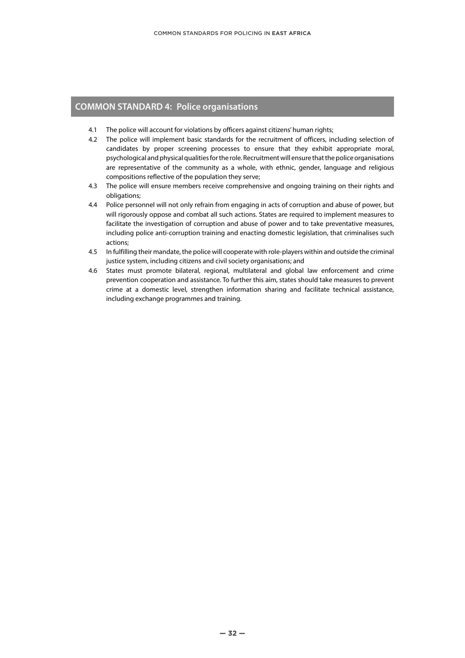#### **COMMON STANDARD 4: Police organisations**

- 4.1 The police will account for violations by officers against citizens' human rights;
- 4.2 The police will implement basic standards for the recruitment of officers, including selection of candidates by proper screening processes to ensure that they exhibit appropriate moral, psychological and physical qualities for the role. Recruitment will ensure that the police organisations are representative of the community as a whole, with ethnic, gender, language and religious compositions reflective of the population they serve;
- 4.3 The police will ensure members receive comprehensive and ongoing training on their rights and obligations;
- 4.4 Police personnel will not only refrain from engaging in acts of corruption and abuse of power, but will rigorously oppose and combat all such actions. States are required to implement measures to facilitate the investigation of corruption and abuse of power and to take preventative measures, including police anti-corruption training and enacting domestic legislation, that criminalises such actions;
- 4.5 In fulfilling their mandate, the police will cooperate with role-players within and outside the criminal justice system, including citizens and civil society organisations; and
- 4.6 States must promote bilateral, regional, multilateral and global law enforcement and crime prevention cooperation and assistance. To further this aim, states should take measures to prevent crime at a domestic level, strengthen information sharing and facilitate technical assistance, including exchange programmes and training.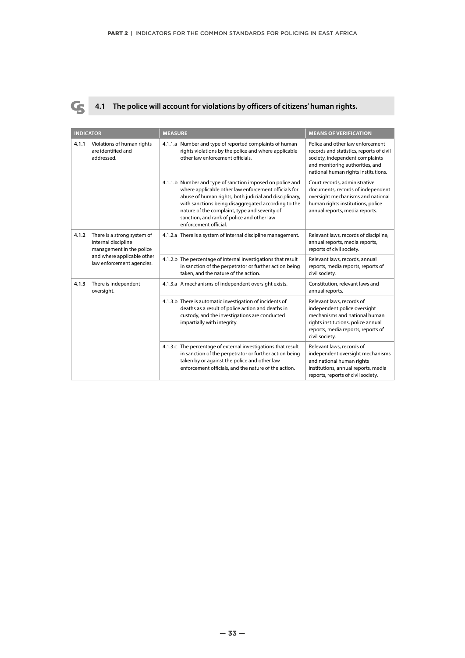

### **4.1 The police will account for violations by officers of citizens' human rights.**

| <b>INDICATOR</b> |                                                                                                                                                                                                                                                                                                                                                                                                                                  | <b>MEASURE</b>                                                                                                                                                                                                                                                                                                                                             | <b>MEANS OF VERIFICATION</b>                                                                                                                                                              |
|------------------|----------------------------------------------------------------------------------------------------------------------------------------------------------------------------------------------------------------------------------------------------------------------------------------------------------------------------------------------------------------------------------------------------------------------------------|------------------------------------------------------------------------------------------------------------------------------------------------------------------------------------------------------------------------------------------------------------------------------------------------------------------------------------------------------------|-------------------------------------------------------------------------------------------------------------------------------------------------------------------------------------------|
| 4.1.1            | Violations of human rights<br>are identified and<br>addressed.                                                                                                                                                                                                                                                                                                                                                                   | 4.1.1.a Number and type of reported complaints of human<br>rights violations by the police and where applicable<br>other law enforcement officials.                                                                                                                                                                                                        | Police and other law enforcement<br>records and statistics, reports of civil<br>society, independent complaints<br>and monitoring authorities, and<br>national human rights institutions. |
|                  |                                                                                                                                                                                                                                                                                                                                                                                                                                  | 4.1.1.b Number and type of sanction imposed on police and<br>where applicable other law enforcement officials for<br>abuse of human rights, both judicial and disciplinary,<br>with sanctions being disaggregated according to the<br>nature of the complaint, type and severity of<br>sanction, and rank of police and other law<br>enforcement official. | Court records, administrative<br>documents, records of independent<br>oversight mechanisms and national<br>human rights institutions, police<br>annual reports, media reports.            |
| 4.1.2            | There is a strong system of<br>internal discipline<br>management in the police<br>and where applicable other<br>law enforcement agencies.                                                                                                                                                                                                                                                                                        | 4.1.2.a There is a system of internal discipline management.                                                                                                                                                                                                                                                                                               | Relevant laws, records of discipline,<br>annual reports, media reports,<br>reports of civil society.                                                                                      |
|                  |                                                                                                                                                                                                                                                                                                                                                                                                                                  | 4.1.2.b The percentage of internal investigations that result<br>in sanction of the perpetrator or further action being<br>taken, and the nature of the action.                                                                                                                                                                                            | Relevant laws, records, annual<br>reports, media reports, reports of<br>civil society.                                                                                                    |
| 4.1.3            | There is independent<br>oversight.                                                                                                                                                                                                                                                                                                                                                                                               | 4.1.3.a A mechanisms of independent oversight exists.                                                                                                                                                                                                                                                                                                      | Constitution, relevant laws and<br>annual reports.                                                                                                                                        |
|                  | 4.1.3.b There is automatic investigation of incidents of<br>deaths as a result of police action and deaths in<br>custody, and the investigations are conducted<br>impartially with integrity.<br>4.1.3.c The percentage of external investigations that result<br>in sanction of the perpetrator or further action being<br>taken by or against the police and other law<br>enforcement officials, and the nature of the action. | Relevant laws, records of<br>independent police oversight<br>mechanisms and national human<br>rights institutions, police annual<br>reports, media reports, reports of<br>civil society.                                                                                                                                                                   |                                                                                                                                                                                           |
|                  |                                                                                                                                                                                                                                                                                                                                                                                                                                  |                                                                                                                                                                                                                                                                                                                                                            | Relevant laws, records of<br>independent oversight mechanisms<br>and national human rights<br>institutions, annual reports, media<br>reports, reports of civil society.                   |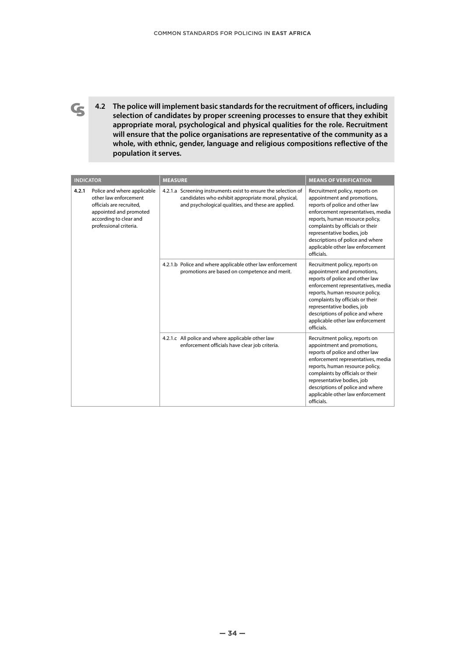**4.2 The police will implement basic standards for the recruitment of officers, including selection of candidates by proper screening processes to ensure that they exhibit appropriate moral, psychological and physical qualities for the role. Recruitment will ensure that the police organisations are representative of the community as a whole, with ethnic, gender, language and religious compositions reflective of the population it serves.**

 $\mathbf G$ 

|                                                                                                                                                                         | <b>INDICATOR</b>                                                                                                                                                             | <b>MEASURE</b>                                                                                                                                                                                                                                                                                                                    | <b>MEANS OF VERIFICATION</b>                                                                                                                                                                                                                                                                                                      |
|-------------------------------------------------------------------------------------------------------------------------------------------------------------------------|------------------------------------------------------------------------------------------------------------------------------------------------------------------------------|-----------------------------------------------------------------------------------------------------------------------------------------------------------------------------------------------------------------------------------------------------------------------------------------------------------------------------------|-----------------------------------------------------------------------------------------------------------------------------------------------------------------------------------------------------------------------------------------------------------------------------------------------------------------------------------|
| Police and where applicable<br>4.2.1<br>other law enforcement<br>officials are recruited.<br>appointed and promoted<br>according to clear and<br>professional criteria. | 4.2.1.a Screening instruments exist to ensure the selection of<br>candidates who exhibit appropriate moral, physical,<br>and psychological qualities, and these are applied. | Recruitment policy, reports on<br>appointment and promotions,<br>reports of police and other law<br>enforcement representatives, media<br>reports, human resource policy,<br>complaints by officials or their<br>representative bodies, job<br>descriptions of police and where<br>applicable other law enforcement<br>officials. |                                                                                                                                                                                                                                                                                                                                   |
|                                                                                                                                                                         | 4.2.1.b Police and where applicable other law enforcement<br>promotions are based on competence and merit.                                                                   | Recruitment policy, reports on<br>appointment and promotions,<br>reports of police and other law<br>enforcement representatives, media<br>reports, human resource policy,<br>complaints by officials or their<br>representative bodies, job<br>descriptions of police and where<br>applicable other law enforcement<br>officials. |                                                                                                                                                                                                                                                                                                                                   |
|                                                                                                                                                                         |                                                                                                                                                                              | 4.2.1.c All police and where applicable other law<br>enforcement officials have clear job criteria.                                                                                                                                                                                                                               | Recruitment policy, reports on<br>appointment and promotions,<br>reports of police and other law<br>enforcement representatives, media<br>reports, human resource policy,<br>complaints by officials or their<br>representative bodies, job<br>descriptions of police and where<br>applicable other law enforcement<br>officials. |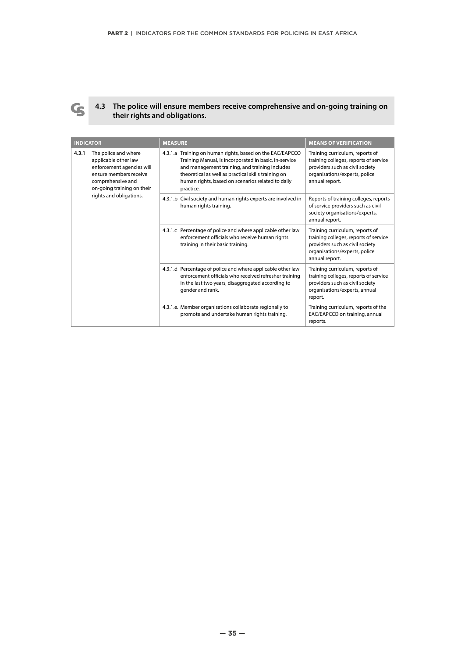

#### **4.3 The police will ensure members receive comprehensive and on-going training on their rights and obligations.**

| <b>INDICATOR</b> |                                                                                                                                                        | <b>MEASURE</b>                                                                                                                                                                                                                                                                                | <b>MEANS OF VERIFICATION</b>                                                                                                                                   |
|------------------|--------------------------------------------------------------------------------------------------------------------------------------------------------|-----------------------------------------------------------------------------------------------------------------------------------------------------------------------------------------------------------------------------------------------------------------------------------------------|----------------------------------------------------------------------------------------------------------------------------------------------------------------|
| 4.3.1            | The police and where<br>applicable other law<br>enforcement agencies will<br>ensure members receive<br>comprehensive and<br>on-going training on their | 4.3.1.a Training on human rights, based on the EAC/EAPCCO<br>Training Manual, is incorporated in basic, in-service<br>and management training, and training includes<br>theoretical as well as practical skills training on<br>human rights, based on scenarios related to daily<br>practice. | Training curriculum, reports of<br>training colleges, reports of service<br>providers such as civil society<br>organisations/experts, police<br>annual report. |
|                  | rights and obligations.                                                                                                                                | 4.3.1.b Civil society and human rights experts are involved in<br>human rights training.                                                                                                                                                                                                      | Reports of training colleges, reports<br>of service providers such as civil<br>society organisations/experts,<br>annual report.                                |
|                  |                                                                                                                                                        | 4.3.1.c Percentage of police and where applicable other law<br>enforcement officials who receive human rights<br>training in their basic training.                                                                                                                                            | Training curriculum, reports of<br>training colleges, reports of service<br>providers such as civil society<br>organisations/experts, police<br>annual report. |
|                  |                                                                                                                                                        | 4.3.1.d Percentage of police and where applicable other law<br>enforcement officials who received refresher training<br>in the last two years, disaggregated according to<br>gender and rank.                                                                                                 | Training curriculum, reports of<br>training colleges, reports of service<br>providers such as civil society<br>organisations/experts, annual<br>report.        |
|                  |                                                                                                                                                        | 4.3.1.e. Member organisations collaborate regionally to<br>promote and undertake human rights training.                                                                                                                                                                                       | Training curriculum, reports of the<br>EAC/EAPCCO on training, annual<br>reports.                                                                              |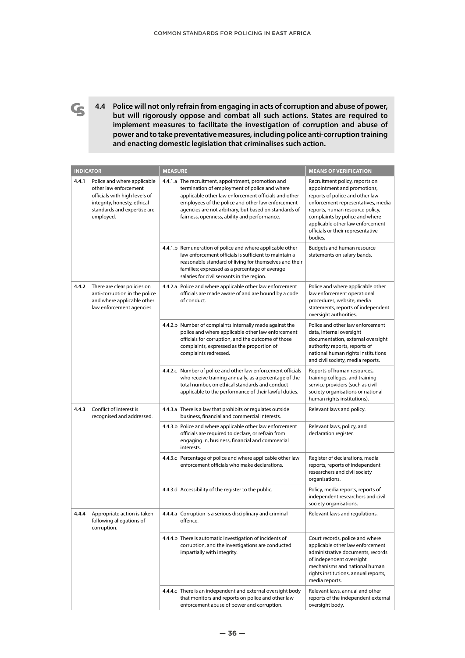**4.4 Police will not only refrain from engaging in acts of corruption and abuse of power, but will rigorously oppose and combat all such actions. States are required to implement measures to facilitate the investigation of corruption and abuse of power and to take preventative measures, including police anti-corruption training and enacting domestic legislation that criminalises such action.**

 $\mathbf G$ 

| <b>INDICATOR</b> |                                                                                                                                                                  | <b>MEASURE</b>                                                                                                                                                                                                                                                                                                             | <b>MEANS OF VERIFICATION</b>                                                                                                                                                                                                                                                                    |
|------------------|------------------------------------------------------------------------------------------------------------------------------------------------------------------|----------------------------------------------------------------------------------------------------------------------------------------------------------------------------------------------------------------------------------------------------------------------------------------------------------------------------|-------------------------------------------------------------------------------------------------------------------------------------------------------------------------------------------------------------------------------------------------------------------------------------------------|
| 4.4.1            | Police and where applicable<br>other law enforcement<br>officials with high levels of<br>integrity, honesty, ethical<br>standards and expertise are<br>employed. | 4.4.1.a The recruitment, appointment, promotion and<br>termination of employment of police and where<br>applicable other law enforcement officials and other<br>employees of the police and other law enforcement<br>agencies are not arbitrary, but based on standards of<br>fairness, openness, ability and performance. | Recruitment policy, reports on<br>appointment and promotions,<br>reports of police and other law<br>enforcement representatives, media<br>reports, human resource policy,<br>complaints by police and where<br>applicable other law enforcement<br>officials or their representative<br>bodies. |
|                  |                                                                                                                                                                  | 4.4.1.b Remuneration of police and where applicable other<br>law enforcement officials is sufficient to maintain a<br>reasonable standard of living for themselves and their<br>families; expressed as a percentage of average<br>salaries for civil servants in the region.                                               | Budgets and human resource<br>statements on salary bands.                                                                                                                                                                                                                                       |
| 4.4.2            | There are clear policies on<br>anti-corruption in the police<br>and where applicable other<br>law enforcement agencies.                                          | 4.4.2.a Police and where applicable other law enforcement<br>officials are made aware of and are bound by a code<br>of conduct.                                                                                                                                                                                            | Police and where applicable other<br>law enforcement operational<br>procedures, website, media<br>statements, reports of independent<br>oversight authorities.                                                                                                                                  |
|                  |                                                                                                                                                                  | 4.4.2.b Number of complaints internally made against the<br>police and where applicable other law enforcement<br>officials for corruption, and the outcome of those<br>complaints, expressed as the proportion of<br>complaints redressed.                                                                                 | Police and other law enforcement<br>data, internal oversight<br>documentation, external oversight<br>authority reports, reports of<br>national human rights institutions<br>and civil society, media reports.                                                                                   |
|                  |                                                                                                                                                                  | 4.4.2.c Number of police and other law enforcement officials<br>who receive training annually, as a percentage of the<br>total number, on ethical standards and conduct<br>applicable to the performance of their lawful duties.                                                                                           | Reports of human resources,<br>training colleges, and training<br>service providers (such as civil<br>society organisations or national<br>human rights institutions).                                                                                                                          |
| 4.4.3            | Conflict of interest is<br>recognised and addressed.                                                                                                             | 4.4.3.a There is a law that prohibits or regulates outside<br>business, financial and commercial interests.                                                                                                                                                                                                                | Relevant laws and policy.                                                                                                                                                                                                                                                                       |
|                  |                                                                                                                                                                  | 4.4.3.b Police and where applicable other law enforcement<br>officials are required to declare, or refrain from<br>engaging in, business, financial and commercial<br>interests.                                                                                                                                           | Relevant laws, policy, and<br>declaration register.                                                                                                                                                                                                                                             |
|                  |                                                                                                                                                                  | 4.4.3.c Percentage of police and where applicable other law<br>enforcement officials who make declarations.                                                                                                                                                                                                                | Register of declarations, media<br>reports, reports of independent<br>researchers and civil society<br>organisations.                                                                                                                                                                           |
|                  |                                                                                                                                                                  | 4.4.3.d Accessibility of the register to the public.                                                                                                                                                                                                                                                                       | Policy, media reports, reports of<br>independent researchers and civil<br>society organisations.                                                                                                                                                                                                |
|                  | following allegations of<br>corruption.                                                                                                                          | 4.4.4 Appropriate action is taken 4.4.4.a Corruption is a serious disciplinary and criminal<br>offence.                                                                                                                                                                                                                    | Relevant laws and regulations.                                                                                                                                                                                                                                                                  |
|                  |                                                                                                                                                                  | 4.4.4.b There is automatic investigation of incidents of<br>corruption, and the investigations are conducted<br>impartially with integrity.                                                                                                                                                                                | Court records, police and where<br>applicable other law enforcement<br>administrative documents, records<br>of independent oversight<br>mechanisms and national human<br>rights institutions, annual reports,<br>media reports.                                                                 |
|                  |                                                                                                                                                                  | 4.4.4.c There is an independent and external oversight body<br>that monitors and reports on police and other law<br>enforcement abuse of power and corruption.                                                                                                                                                             | Relevant laws, annual and other<br>reports of the independent external<br>oversight body.                                                                                                                                                                                                       |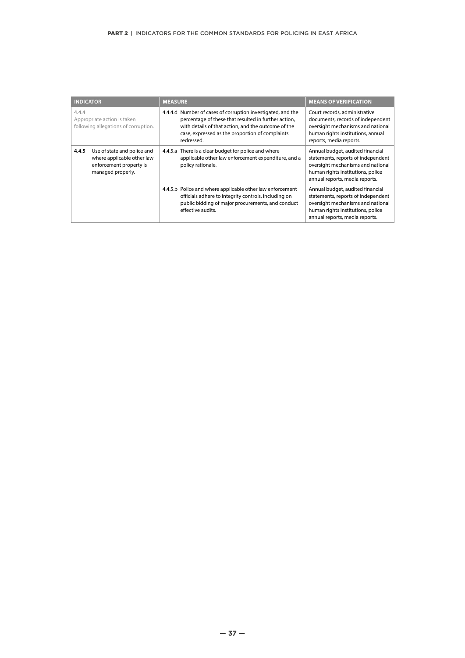| <b>INDICATOR</b>                                                                                                   | <b>MEASURE</b>                                                                                                                                                                                                                              | <b>MEANS OF VERIFICATION</b>                                                                                                                                                                                           |
|--------------------------------------------------------------------------------------------------------------------|---------------------------------------------------------------------------------------------------------------------------------------------------------------------------------------------------------------------------------------------|------------------------------------------------------------------------------------------------------------------------------------------------------------------------------------------------------------------------|
| 4.4.4<br>Appropriate action is taken<br>following allegations of corruption.                                       | 4.4.4.d Number of cases of corruption investigated, and the<br>percentage of these that resulted in further action,<br>with details of that action, and the outcome of the<br>case, expressed as the proportion of complaints<br>redressed. | Court records, administrative<br>documents, records of independent<br>oversight mechanisms and national<br>human rights institutions, annual<br>reports, media reports.                                                |
| Use of state and police and<br>4.4.5<br>where applicable other law<br>enforcement property is<br>managed properly. | 4.4.5.a There is a clear budget for police and where<br>applicable other law enforcement expenditure, and a<br>policy rationale.                                                                                                            | Annual budget, audited financial<br>statements, reports of independent<br>oversight mechanisms and national<br>human rights institutions, police<br>annual reports, media reports.<br>Annual budget, audited financial |
|                                                                                                                    | 4.4.5.b Police and where applicable other law enforcement<br>officials adhere to integrity controls, including on<br>public bidding of major procurements, and conduct<br>effective audits.                                                 | statements, reports of independent<br>oversight mechanisms and national<br>human rights institutions, police<br>annual reports, media reports.                                                                         |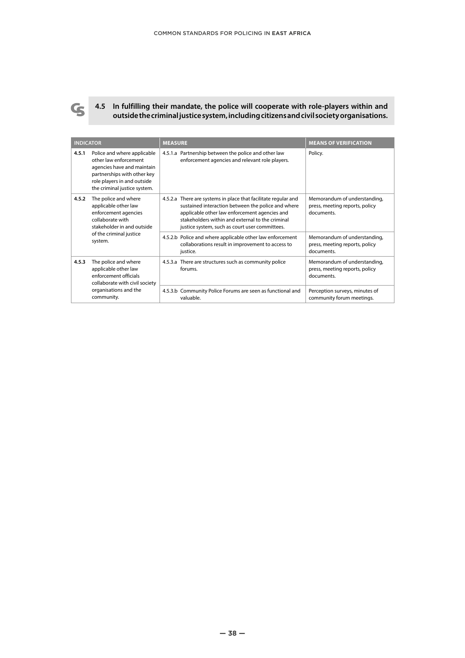

**4.5 In fulfilling their mandate, the police will cooperate with role-players within and outside the criminal justice system, including citizens and civil society organisations.**

| <b>INDICATOR</b> |                                                                                                                                                                                  | <b>MEASURE</b>                                                                                                                                                                                                                                                              | <b>MEANS OF VERIFICATION</b>                                                 |
|------------------|----------------------------------------------------------------------------------------------------------------------------------------------------------------------------------|-----------------------------------------------------------------------------------------------------------------------------------------------------------------------------------------------------------------------------------------------------------------------------|------------------------------------------------------------------------------|
| 4.5.1            | Police and where applicable<br>other law enforcement<br>agencies have and maintain<br>partnerships with other key<br>role players in and outside<br>the criminal justice system. | 4.5.1.a Partnership between the police and other law<br>enforcement agencies and relevant role players.                                                                                                                                                                     | Policy.                                                                      |
| 4.5.2            | The police and where<br>applicable other law<br>enforcement agencies<br>collaborate with<br>stakeholder in and outside                                                           | 4.5.2.a There are systems in place that facilitate regular and<br>sustained interaction between the police and where<br>applicable other law enforcement agencies and<br>stakeholders within and external to the criminal<br>justice system, such as court user committees. | Memorandum of understanding,<br>press, meeting reports, policy<br>documents  |
|                  | of the criminal justice<br>system.                                                                                                                                               | 4.5.2.b Police and where applicable other law enforcement<br>collaborations result in improvement to access to<br>justice.                                                                                                                                                  | Memorandum of understanding,<br>press, meeting reports, policy<br>documents. |
| 4.5.3            | The police and where<br>applicable other law<br>enforcement officials<br>collaborate with civil society<br>organisations and the<br>community.                                   | 4.5.3.a There are structures such as community police<br>forums.                                                                                                                                                                                                            | Memorandum of understanding,<br>press, meeting reports, policy<br>documents. |
|                  |                                                                                                                                                                                  | 4.5.3.b Community Police Forums are seen as functional and<br>valuable.                                                                                                                                                                                                     | Perception surveys, minutes of<br>community forum meetings.                  |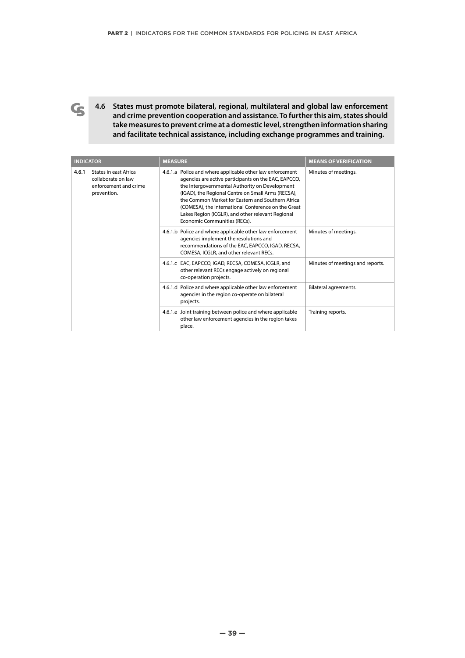**4.6 States must promote bilateral, regional, multilateral and global law enforcement and crime prevention cooperation and assistance. To further this aim, states should take measures to prevent crime at a domestic level, strengthen information sharing and facilitate technical assistance, including exchange programmes and training.** 

 $\mathbf G$ 

| <b>INDICATOR</b> |                                                                                     | <b>MEASURE</b>                                                                                                                                                                                                                                                                                                                                                                                                             | <b>MEANS OF VERIFICATION</b>     |
|------------------|-------------------------------------------------------------------------------------|----------------------------------------------------------------------------------------------------------------------------------------------------------------------------------------------------------------------------------------------------------------------------------------------------------------------------------------------------------------------------------------------------------------------------|----------------------------------|
| 4.6.1            | States in east Africa<br>collaborate on law<br>enforcement and crime<br>prevention. | 4.6.1.a Police and where applicable other law enforcement<br>agencies are active participants on the EAC, EAPCCO,<br>the Intergovernmental Authority on Development<br>(IGAD), the Regional Centre on Small Arms (RECSA),<br>the Common Market for Eastern and Southern Africa<br>(COMESA), the International Conference on the Great<br>Lakes Region (ICGLR), and other relevant Regional<br>Economic Communities (RECs). | Minutes of meetings.             |
|                  |                                                                                     | 4.6.1.b Police and where applicable other law enforcement<br>agencies implement the resolutions and<br>recommendations of the EAC, EAPCCO, IGAD, RECSA,<br>COMESA, ICGLR, and other relevant RECs.                                                                                                                                                                                                                         | Minutes of meetings.             |
|                  |                                                                                     | 4.6.1.c EAC, EAPCCO, IGAD, RECSA, COMESA, ICGLR, and<br>other relevant RECs engage actively on regional<br>co-operation projects.                                                                                                                                                                                                                                                                                          | Minutes of meetings and reports. |
|                  |                                                                                     | 4.6.1.d Police and where applicable other law enforcement<br>agencies in the region co-operate on bilateral<br>projects.                                                                                                                                                                                                                                                                                                   | Bilateral agreements.            |
|                  |                                                                                     | 4.6.1.e Joint training between police and where applicable<br>other law enforcement agencies in the region takes<br>place.                                                                                                                                                                                                                                                                                                 | Training reports.                |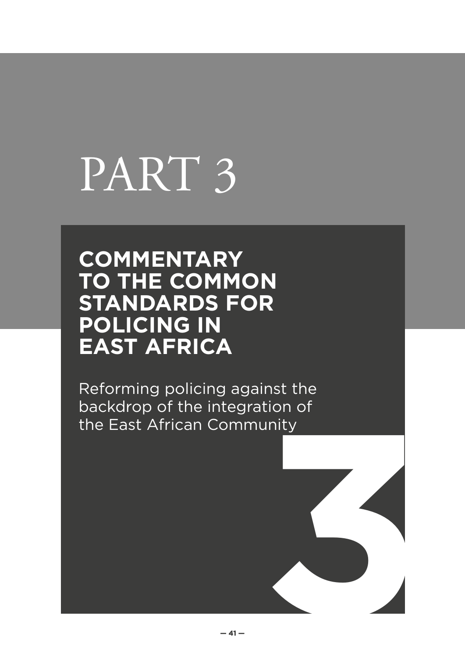# PART 3

## **COMMENTARY TO THE COMMON STANDARDS FOR POLICING IN EAST AFRICA**

**3** Reforming policing against the backdrop of the integration of the East African Community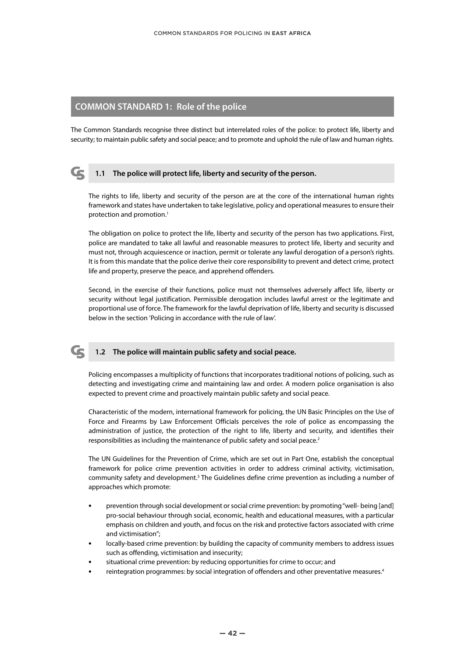#### **COMMON STANDARD 1: Role of the police**

The Common Standards recognise three distinct but interrelated roles of the police: to protect life, liberty and security; to maintain public safety and social peace; and to promote and uphold the rule of law and human rights.



#### **1.1 The police will protect life, liberty and security of the person.**

The rights to life, liberty and security of the person are at the core of the international human rights framework and states have undertaken to take legislative, policy and operational measures to ensure their protection and promotion.<sup>1</sup>

The obligation on police to protect the life, liberty and security of the person has two applications. First, police are mandated to take all lawful and reasonable measures to protect life, liberty and security and must not, through acquiescence or inaction, permit or tolerate any lawful derogation of a person's rights. It is from this mandate that the police derive their core responsibility to prevent and detect crime, protect life and property, preserve the peace, and apprehend offenders.

Second, in the exercise of their functions, police must not themselves adversely affect life, liberty or security without legal justification. Permissible derogation includes lawful arrest or the legitimate and proportional use of force. The framework for the lawful deprivation of life, liberty and security is discussed below in the section 'Policing in accordance with the rule of law'.



#### **1.2 The police will maintain public safety and social peace.**

Policing encompasses a multiplicity of functions that incorporates traditional notions of policing, such as detecting and investigating crime and maintaining law and order. A modern police organisation is also expected to prevent crime and proactively maintain public safety and social peace.

Characteristic of the modern, international framework for policing, the UN Basic Principles on the Use of Force and Firearms by Law Enforcement Officials perceives the role of police as encompassing the administration of justice, the protection of the right to life, liberty and security, and identifies their responsibilities as including the maintenance of public safety and social peace.<sup>2</sup>

The UN Guidelines for the Prevention of Crime, which are set out in Part One, establish the conceptual framework for police crime prevention activities in order to address criminal activity, victimisation, community safety and development.<sup>3</sup> The Guidelines define crime prevention as including a number of approaches which promote:

- **•** prevention through social development or social crime prevention: by promoting "well- being [and] pro-social behaviour through social, economic, health and educational measures, with a particular emphasis on children and youth, and focus on the risk and protective factors associated with crime and victimisation";
- **•** locally-based crime prevention: by building the capacity of community members to address issues such as offending, victimisation and insecurity;
- **•** situational crime prevention: by reducing opportunities for crime to occur; and
- **•** reintegration programmes: by social integration of offenders and other preventative measures.4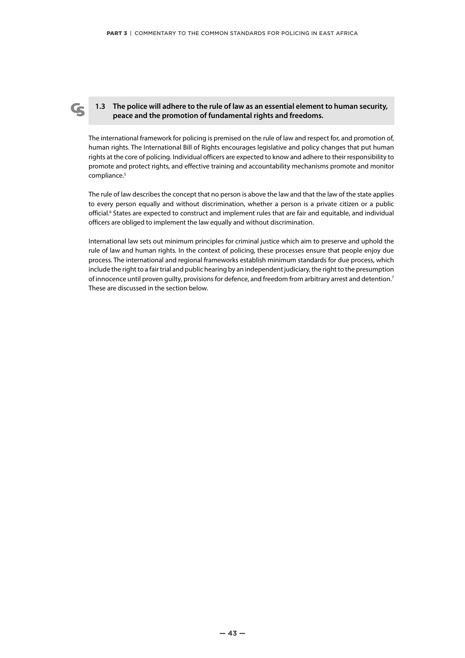#### **1.3 The police will adhere to the rule of law as an essential element to human security, peace and the promotion of fundamental rights and freedoms.**

The international framework for policing is premised on the rule of law and respect for, and promotion of, human rights. The International Bill of Rights encourages legislative and policy changes that put human rights at the core of policing. Individual officers are expected to know and adhere to their responsibility to promote and protect rights, and effective training and accountability mechanisms promote and monitor compliance.<sup>5</sup>

The rule of law describes the concept that no person is above the law and that the law of the state applies to every person equally and without discrimination, whether a person is a private citizen or a public official.<sup>6</sup> States are expected to construct and implement rules that are fair and equitable, and individual officers are obliged to implement the law equally and without discrimination.

International law sets out minimum principles for criminal justice which aim to preserve and uphold the rule of law and human rights. In the context of policing, these processes ensure that people enjoy due process. The international and regional frameworks establish minimum standards for due process, which include the right to a fair trial and public hearing by an independent judiciary, the right to the presumption of innocence until proven guilty, provisions for defence, and freedom from arbitrary arrest and detention.7 These are discussed in the section below.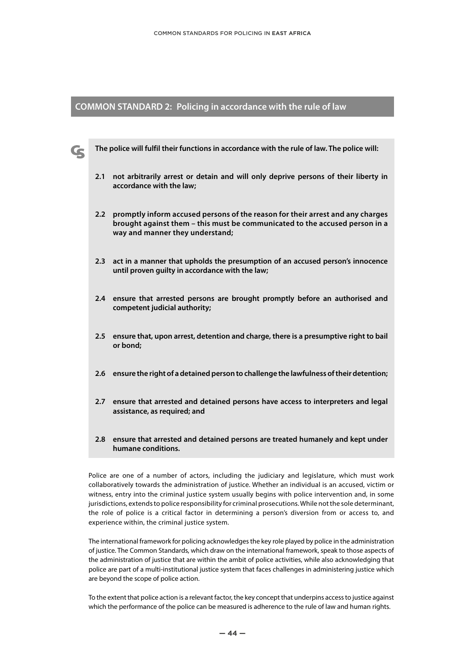#### **COMMON STANDARD 2: Policing in accordance with the rule of law**

G

- **The police will fulfil their functions in accordance with the rule of law. The police will:**
	- **2.1 not arbitrarily arrest or detain and will only deprive persons of their liberty in accordance with the law;**
	- **2.2 promptly inform accused persons of the reason for their arrest and any charges brought against them – this must be communicated to the accused person in a way and manner they understand;**
	- **2.3 act in a manner that upholds the presumption of an accused person's innocence until proven guilty in accordance with the law;**
	- **2.4 ensure that arrested persons are brought promptly before an authorised and competent judicial authority;**
	- **2.5 ensure that, upon arrest, detention and charge, there is a presumptive right to bail or bond;**
	- **2.6 ensure the right of a detained person to challenge the lawfulness of their detention;**
	- **2.7 ensure that arrested and detained persons have access to interpreters and legal assistance, as required; and**
	- **2.8 ensure that arrested and detained persons are treated humanely and kept under humane conditions.**

Police are one of a number of actors, including the judiciary and legislature, which must work collaboratively towards the administration of justice. Whether an individual is an accused, victim or witness, entry into the criminal justice system usually begins with police intervention and, in some jurisdictions, extends to police responsibility for criminal prosecutions. While not the sole determinant, the role of police is a critical factor in determining a person's diversion from or access to, and experience within, the criminal justice system.

The international framework for policing acknowledges the key role played by police in the administration of justice. The Common Standards, which draw on the international framework, speak to those aspects of the administration of justice that are within the ambit of police activities, while also acknowledging that police are part of a multi-institutional justice system that faces challenges in administering justice which are beyond the scope of police action.

To the extent that police action is a relevant factor, the key concept that underpins access to justice against which the performance of the police can be measured is adherence to the rule of law and human rights.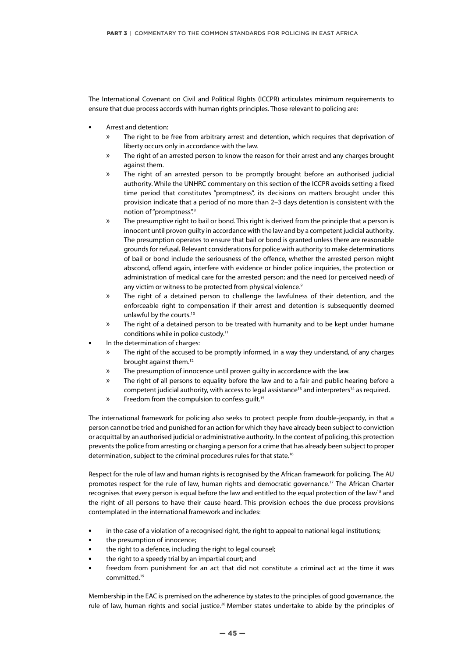The International Covenant on Civil and Political Rights (ICCPR) articulates minimum requirements to ensure that due process accords with human rights principles. Those relevant to policing are:

- **•** Arrest and detention:
	- » The right to be free from arbitrary arrest and detention, which requires that deprivation of liberty occurs only in accordance with the law.
	- » The right of an arrested person to know the reason for their arrest and any charges brought against them.
	- » The right of an arrested person to be promptly brought before an authorised judicial authority. While the UNHRC commentary on this section of the ICCPR avoids setting a fixed time period that constitutes "promptness", its decisions on matters brought under this provision indicate that a period of no more than 2–3 days detention is consistent with the notion of "promptness".8
	- » The presumptive right to bail or bond. This right is derived from the principle that a person is innocent until proven guilty in accordance with the law and by a competent judicial authority. The presumption operates to ensure that bail or bond is granted unless there are reasonable grounds for refusal. Relevant considerations for police with authority to make determinations of bail or bond include the seriousness of the offence, whether the arrested person might abscond, offend again, interfere with evidence or hinder police inquiries, the protection or administration of medical care for the arrested person; and the need (or perceived need) of any victim or witness to be protected from physical violence.<sup>9</sup>
	- » The right of a detained person to challenge the lawfulness of their detention, and the enforceable right to compensation if their arrest and detention is subsequently deemed unlawful by the courts.<sup>10</sup>
	- » The right of a detained person to be treated with humanity and to be kept under humane conditions while in police custody.<sup>11</sup>
- **•** In the determination of charges:
	- » The right of the accused to be promptly informed, in a way they understand, of any charges brought against them.12
	- » The presumption of innocence until proven guilty in accordance with the law.
	- » The right of all persons to equality before the law and to a fair and public hearing before a competent judicial authority, with access to legal assistance<sup>13</sup> and interpreters<sup>14</sup> as required.
	- » Freedom from the compulsion to confess quilt.<sup>15</sup>

The international framework for policing also seeks to protect people from double-jeopardy, in that a person cannot be tried and punished for an action for which they have already been subject to conviction or acquittal by an authorised judicial or administrative authority. In the context of policing, this protection prevents the police from arresting or charging a person for a crime that has already been subject to proper determination, subject to the criminal procedures rules for that state.16

Respect for the rule of law and human rights is recognised by the African framework for policing. The AU promotes respect for the rule of law, human rights and democratic governance.<sup>17</sup> The African Charter recognises that every person is equal before the law and entitled to the equal protection of the law<sup>18</sup> and the right of all persons to have their cause heard. This provision echoes the due process provisions contemplated in the international framework and includes:

- **•** in the case of a violation of a recognised right, the right to appeal to national legal institutions;
- **•** the presumption of innocence;
- **•** the right to a defence, including the right to legal counsel;
- **•** the right to a speedy trial by an impartial court; and
- **•** freedom from punishment for an act that did not constitute a criminal act at the time it was committed.19

Membership in the EAC is premised on the adherence by states to the principles of good governance, the rule of law, human rights and social justice.<sup>20</sup> Member states undertake to abide by the principles of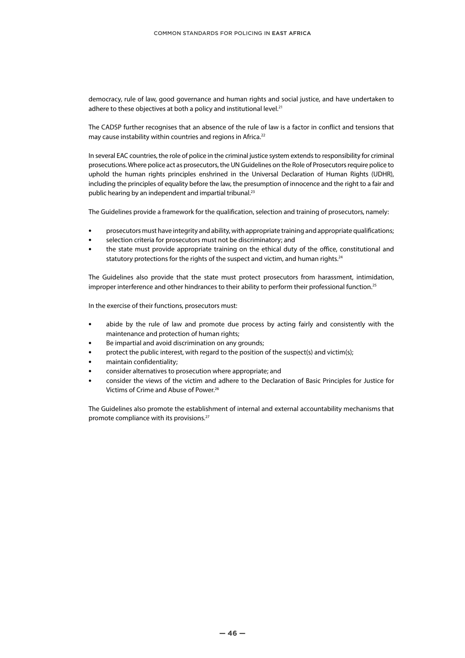democracy, rule of law, good governance and human rights and social justice, and have undertaken to adhere to these objectives at both a policy and institutional level.<sup>21</sup>

The CADSP further recognises that an absence of the rule of law is a factor in conflict and tensions that may cause instability within countries and regions in Africa.<sup>22</sup>

In several EAC countries, the role of police in the criminal justice system extends to responsibility for criminal prosecutions. Where police act as prosecutors, the UN Guidelines on the Role of Prosecutors require police to uphold the human rights principles enshrined in the Universal Declaration of Human Rights (UDHR), including the principles of equality before the law, the presumption of innocence and the right to a fair and public hearing by an independent and impartial tribunal.<sup>23</sup>

The Guidelines provide a framework for the qualification, selection and training of prosecutors, namely:

- **•** prosecutors must have integrity and ability, with appropriate training and appropriate qualifications;
- **•** selection criteria for prosecutors must not be discriminatory; and
- **•** the state must provide appropriate training on the ethical duty of the office, constitutional and statutory protections for the rights of the suspect and victim, and human rights.<sup>24</sup>

The Guidelines also provide that the state must protect prosecutors from harassment, intimidation, improper interference and other hindrances to their ability to perform their professional function.<sup>25</sup>

In the exercise of their functions, prosecutors must:

- **•** abide by the rule of law and promote due process by acting fairly and consistently with the maintenance and protection of human rights;
- **•** Be impartial and avoid discrimination on any grounds;
- **•** protect the public interest, with regard to the position of the suspect(s) and victim(s);
- **•** maintain confidentiality;
- **•** consider alternatives to prosecution where appropriate; and
- **•** consider the views of the victim and adhere to the Declaration of Basic Principles for Justice for Victims of Crime and Abuse of Power.26

The Guidelines also promote the establishment of internal and external accountability mechanisms that promote compliance with its provisions.27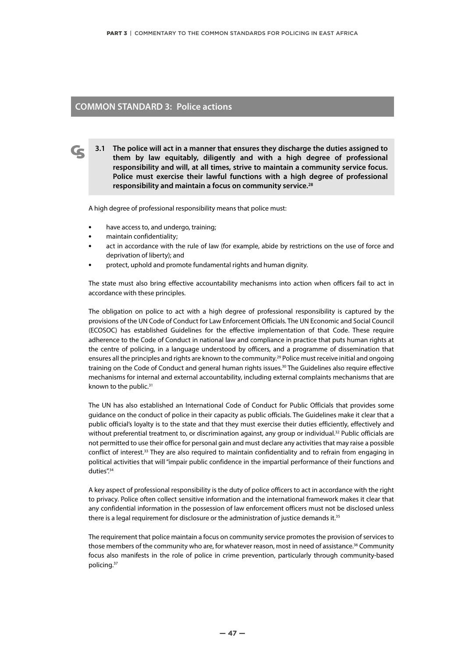#### **COMMON STANDARD 3: Police actions**

**3.1 The police will act in a manner that ensures they discharge the duties assigned to them by law equitably, diligently and with a high degree of professional responsibility and will, at all times, strive to maintain a community service focus. Police must exercise their lawful functions with a high degree of professional responsibility and maintain a focus on community service.28**

A high degree of professional responsibility means that police must:

- **•** have access to, and undergo, training;
- **•** maintain confidentiality;
- **•** act in accordance with the rule of law (for example, abide by restrictions on the use of force and deprivation of liberty); and
- **•** protect, uphold and promote fundamental rights and human dignity.

The state must also bring effective accountability mechanisms into action when officers fail to act in accordance with these principles.

The obligation on police to act with a high degree of professional responsibility is captured by the provisions of the UN Code of Conduct for Law Enforcement Officials. The UN Economic and Social Council (ECOSOC) has established Guidelines for the effective implementation of that Code. These require adherence to the Code of Conduct in national law and compliance in practice that puts human rights at the centre of policing, in a language understood by officers, and a programme of dissemination that ensures all the principles and rights are known to the community.<sup>29</sup> Police must receive initial and ongoing training on the Code of Conduct and general human rights issues.<sup>30</sup> The Guidelines also require effective mechanisms for internal and external accountability, including external complaints mechanisms that are known to the public.<sup>31</sup>

The UN has also established an International Code of Conduct for Public Officials that provides some guidance on the conduct of police in their capacity as public officials. The Guidelines make it clear that a public official's loyalty is to the state and that they must exercise their duties efficiently, effectively and without preferential treatment to, or discrimination against, any group or individual.<sup>32</sup> Public officials are not permitted to use their office for personal gain and must declare any activities that may raise a possible conflict of interest.<sup>33</sup> They are also required to maintain confidentiality and to refrain from engaging in political activities that will "impair public confidence in the impartial performance of their functions and duties".<sup>34</sup>

A key aspect of professional responsibility is the duty of police officers to act in accordance with the right to privacy. Police often collect sensitive information and the international framework makes it clear that any confidential information in the possession of law enforcement officers must not be disclosed unless there is a legal requirement for disclosure or the administration of justice demands it.<sup>35</sup>

The requirement that police maintain a focus on community service promotes the provision of services to those members of the community who are, for whatever reason, most in need of assistance.<sup>36</sup> Community focus also manifests in the role of police in crime prevention, particularly through community-based policing.37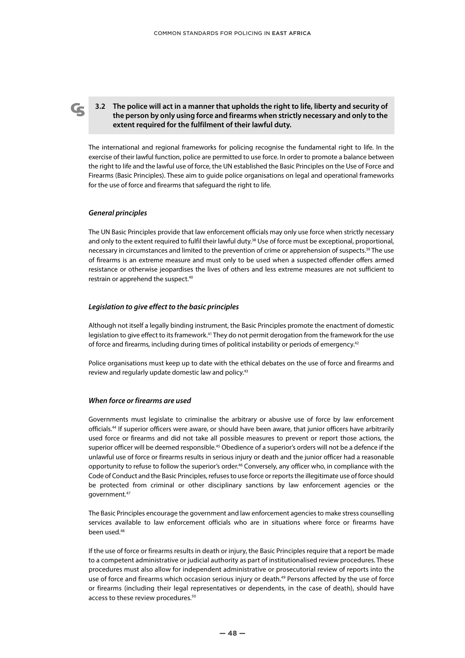#### **3.2 The police will act in a manner that upholds the right to life, liberty and security of the person by only using force and firearms when strictly necessary and only to the extent required for the fulfilment of their lawful duty.**

The international and regional frameworks for policing recognise the fundamental right to life. In the exercise of their lawful function, police are permitted to use force. In order to promote a balance between the right to life and the lawful use of force, the UN established the Basic Principles on the Use of Force and Firearms (Basic Principles). These aim to guide police organisations on legal and operational frameworks for the use of force and firearms that safeguard the right to life.

#### *General principles*

The UN Basic Principles provide that law enforcement officials may only use force when strictly necessary and only to the extent required to fulfil their lawful duty.<sup>38</sup> Use of force must be exceptional, proportional, necessary in circumstances and limited to the prevention of crime or apprehension of suspects.<sup>39</sup> The use of firearms is an extreme measure and must only to be used when a suspected offender offers armed resistance or otherwise jeopardises the lives of others and less extreme measures are not sufficient to restrain or apprehend the suspect.<sup>40</sup>

#### *Legislation to give effect to the basic principles*

Although not itself a legally binding instrument, the Basic Principles promote the enactment of domestic legislation to give effect to its framework.<sup>41</sup> They do not permit derogation from the framework for the use of force and firearms, including during times of political instability or periods of emergency.42

Police organisations must keep up to date with the ethical debates on the use of force and firearms and review and regularly update domestic law and policy.<sup>43</sup>

#### *When force or firearms are used*

Governments must legislate to criminalise the arbitrary or abusive use of force by law enforcement officials.44 If superior officers were aware, or should have been aware, that junior officers have arbitrarily used force or firearms and did not take all possible measures to prevent or report those actions, the superior officer will be deemed responsible.<sup>45</sup> Obedience of a superior's orders will not be a defence if the unlawful use of force or firearms results in serious injury or death and the junior officer had a reasonable opportunity to refuse to follow the superior's order.46 Conversely, any officer who, in compliance with the Code of Conduct and the Basic Principles, refuses to use force or reports the illegitimate use of force should be protected from criminal or other disciplinary sanctions by law enforcement agencies or the government.47

The Basic Principles encourage the government and law enforcement agencies to make stress counselling services available to law enforcement officials who are in situations where force or firearms have been used.48

If the use of force or firearms results in death or injury, the Basic Principles require that a report be made to a competent administrative or judicial authority as part of institutionalised review procedures. These procedures must also allow for independent administrative or prosecutorial review of reports into the use of force and firearms which occasion serious injury or death.<sup>49</sup> Persons affected by the use of force or firearms (including their legal representatives or dependents, in the case of death), should have access to these review procedures.<sup>50</sup>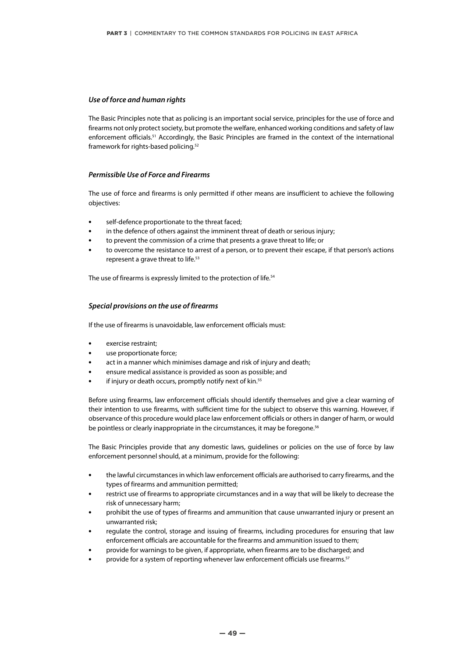#### *Use of force and human rights*

The Basic Principles note that as policing is an important social service, principles for the use of force and firearms not only protect society, but promote the welfare, enhanced working conditions and safety of law enforcement officials.<sup>51</sup> Accordingly, the Basic Principles are framed in the context of the international framework for rights-based policing.52

#### *Permissible Use of Force and Firearms*

The use of force and firearms is only permitted if other means are insufficient to achieve the following objectives:

- **•** self-defence proportionate to the threat faced;
- **•** in the defence of others against the imminent threat of death or serious injury;
- **•** to prevent the commission of a crime that presents a grave threat to life; or
- **•** to overcome the resistance to arrest of a person, or to prevent their escape, if that person's actions represent a grave threat to life.<sup>53</sup>

The use of firearms is expressly limited to the protection of life.<sup>54</sup>

#### *Special provisions on the use of firearms*

If the use of firearms is unavoidable, law enforcement officials must:

- **•** exercise restraint;
- **•** use proportionate force;
- **•** act in a manner which minimises damage and risk of injury and death;
- **•** ensure medical assistance is provided as soon as possible; and
- **if injury or death occurs, promptly notify next of kin.<sup>55</sup>**

Before using firearms, law enforcement officials should identify themselves and give a clear warning of their intention to use firearms, with sufficient time for the subject to observe this warning. However, if observance of this procedure would place law enforcement officials or others in danger of harm, or would be pointless or clearly inappropriate in the circumstances, it may be foregone.<sup>56</sup>

The Basic Principles provide that any domestic laws, guidelines or policies on the use of force by law enforcement personnel should, at a minimum, provide for the following:

- **•** the lawful circumstances in which law enforcement officials are authorised to carry firearms, and the types of firearms and ammunition permitted;
- **•** restrict use of firearms to appropriate circumstances and in a way that will be likely to decrease the risk of unnecessary harm;
- **•** prohibit the use of types of firearms and ammunition that cause unwarranted injury or present an unwarranted risk;
- **•** regulate the control, storage and issuing of firearms, including procedures for ensuring that law enforcement officials are accountable for the firearms and ammunition issued to them;
- **•** provide for warnings to be given, if appropriate, when firearms are to be discharged; and
- **•** provide for a system of reporting whenever law enforcement officials use firearms.57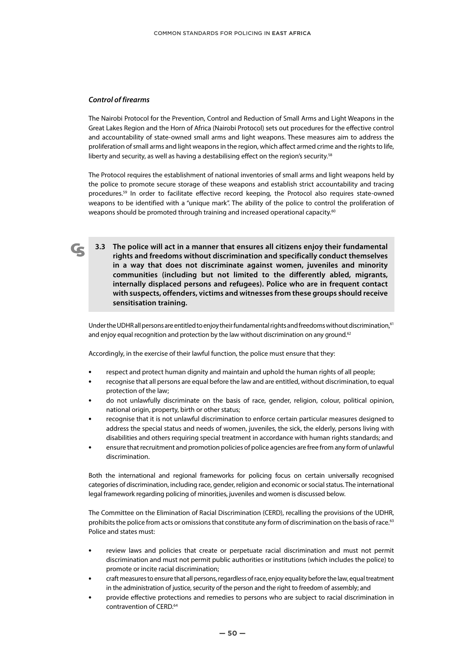#### *Control of firearms*

The Nairobi Protocol for the Prevention, Control and Reduction of Small Arms and Light Weapons in the Great Lakes Region and the Horn of Africa (Nairobi Protocol) sets out procedures for the effective control and accountability of state-owned small arms and light weapons. These measures aim to address the proliferation of small arms and light weapons in the region, which affect armed crime and the rights to life, liberty and security, as well as having a destabilising effect on the region's security.<sup>58</sup>

The Protocol requires the establishment of national inventories of small arms and light weapons held by the police to promote secure storage of these weapons and establish strict accountability and tracing procedures.59 In order to facilitate effective record keeping, the Protocol also requires state-owned weapons to be identified with a "unique mark". The ability of the police to control the proliferation of weapons should be promoted through training and increased operational capacity.<sup>60</sup>

**3.3 The police will act in a manner that ensures all citizens enjoy their fundamental rights and freedoms without discrimination and specifically conduct themselves in a way that does not discriminate against women, juveniles and minority communities (including but not limited to the differently abled, migrants, internally displaced persons and refugees). Police who are in frequent contact with suspects, offenders, victims and witnesses from these groups should receive sensitisation training.**

Under the UDHR all persons are entitled to enjoy their fundamental rights and freedoms without discrimination,<sup>61</sup> and enjoy equal recognition and protection by the law without discrimination on any ground.<sup>62</sup>

Accordingly, in the exercise of their lawful function, the police must ensure that they:

- **•** respect and protect human dignity and maintain and uphold the human rights of all people;
- **•** recognise that all persons are equal before the law and are entitled, without discrimination, to equal protection of the law;
- **•** do not unlawfully discriminate on the basis of race, gender, religion, colour, political opinion, national origin, property, birth or other status;
- **•** recognise that it is not unlawful discrimination to enforce certain particular measures designed to address the special status and needs of women, juveniles, the sick, the elderly, persons living with disabilities and others requiring special treatment in accordance with human rights standards; and
- **•** ensure that recruitment and promotion policies of police agencies are free from any form of unlawful discrimination.

Both the international and regional frameworks for policing focus on certain universally recognised categories of discrimination, including race, gender, religion and economic or social status. The international legal framework regarding policing of minorities, juveniles and women is discussed below.

The Committee on the Elimination of Racial Discrimination (CERD), recalling the provisions of the UDHR, prohibits the police from acts or omissions that constitute any form of discrimination on the basis of race.<sup>63</sup> Police and states must:

- **•** review laws and policies that create or perpetuate racial discrimination and must not permit discrimination and must not permit public authorities or institutions (which includes the police) to promote or incite racial discrimination;
- **•** craft measures to ensure that all persons, regardless of race, enjoy equality before the law, equal treatment in the administration of justice, security of the person and the right to freedom of assembly; and
- **•** provide effective protections and remedies to persons who are subject to racial discrimination in contravention of CERD.<sup>64</sup>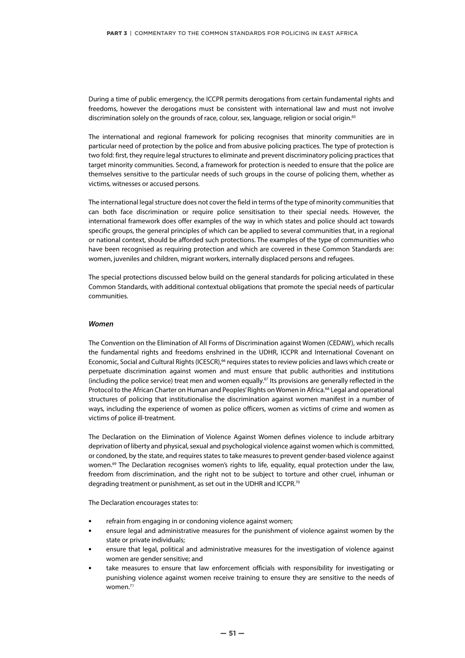During a time of public emergency, the ICCPR permits derogations from certain fundamental rights and freedoms, however the derogations must be consistent with international law and must not involve discrimination solely on the grounds of race, colour, sex, language, religion or social origin.<sup>65</sup>

The international and regional framework for policing recognises that minority communities are in particular need of protection by the police and from abusive policing practices. The type of protection is two fold: first, they require legal structures to eliminate and prevent discriminatory policing practices that target minority communities. Second, a framework for protection is needed to ensure that the police are themselves sensitive to the particular needs of such groups in the course of policing them, whether as victims, witnesses or accused persons.

The international legal structure does not cover the field in terms of the type of minority communities that can both face discrimination or require police sensitisation to their special needs. However, the international framework does offer examples of the way in which states and police should act towards specific groups, the general principles of which can be applied to several communities that, in a regional or national context, should be afforded such protections. The examples of the type of communities who have been recognised as requiring protection and which are covered in these Common Standards are: women, juveniles and children, migrant workers, internally displaced persons and refugees.

The special protections discussed below build on the general standards for policing articulated in these Common Standards, with additional contextual obligations that promote the special needs of particular communities.

#### *Women*

The Convention on the Elimination of All Forms of Discrimination against Women (CEDAW), which recalls the fundamental rights and freedoms enshrined in the UDHR, ICCPR and International Covenant on Economic, Social and Cultural Rights (ICESCR),<sup>66</sup> requires states to review policies and laws which create or perpetuate discrimination against women and must ensure that public authorities and institutions (including the police service) treat men and women equally.<sup>67</sup> Its provisions are generally reflected in the Protocol to the African Charter on Human and Peoples' Rights on Women in Africa.<sup>68</sup> Legal and operational structures of policing that institutionalise the discrimination against women manifest in a number of ways, including the experience of women as police officers, women as victims of crime and women as victims of police ill-treatment.

The Declaration on the Elimination of Violence Against Women defines violence to include arbitrary deprivation of liberty and physical, sexual and psychological violence against women which is committed, or condoned, by the state, and requires states to take measures to prevent gender-based violence against women.<sup>69</sup> The Declaration recognises women's rights to life, equality, equal protection under the law, freedom from discrimination, and the right not to be subject to torture and other cruel, inhuman or degrading treatment or punishment, as set out in the UDHR and ICCPR.70

The Declaration encourages states to:

- **•** refrain from engaging in or condoning violence against women;
- **•** ensure legal and administrative measures for the punishment of violence against women by the state or private individuals;
- **•** ensure that legal, political and administrative measures for the investigation of violence against women are gender sensitive; and
- **•** take measures to ensure that law enforcement officials with responsibility for investigating or punishing violence against women receive training to ensure they are sensitive to the needs of women.<sup>71</sup>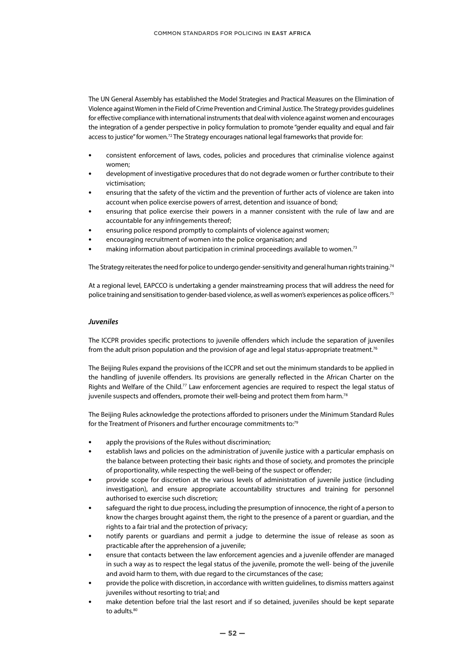The UN General Assembly has established the Model Strategies and Practical Measures on the Elimination of Violence against Women in the Field of Crime Prevention and Criminal Justice. The Strategy provides guidelines for effective compliance with international instruments that deal with violence against women and encourages the integration of a gender perspective in policy formulation to promote "gender equality and equal and fair access to justice" for women.<sup>72</sup> The Strategy encourages national legal frameworks that provide for:

- **•** consistent enforcement of laws, codes, policies and procedures that criminalise violence against women;
- **•** development of investigative procedures that do not degrade women or further contribute to their victimisation;
- **•** ensuring that the safety of the victim and the prevention of further acts of violence are taken into account when police exercise powers of arrest, detention and issuance of bond;
- **•** ensuring that police exercise their powers in a manner consistent with the rule of law and are accountable for any infringements thereof;
- **•** ensuring police respond promptly to complaints of violence against women;
- **•** encouraging recruitment of women into the police organisation; and
- **•** making information about participation in criminal proceedings available to women.73

The Strategy reiterates the need for police to undergo gender-sensitivity and general human rights training.<sup>74</sup>

At a regional level, EAPCCO is undertaking a gender mainstreaming process that will address the need for police training and sensitisation to gender-based violence, as well as women's experiences as police officers.75

#### *Juveniles*

The ICCPR provides specific protections to juvenile offenders which include the separation of juveniles from the adult prison population and the provision of age and legal status-appropriate treatment.<sup>76</sup>

The Beijing Rules expand the provisions of the ICCPR and set out the minimum standards to be applied in the handling of juvenile offenders. Its provisions are generally reflected in the African Charter on the Rights and Welfare of the Child.77 Law enforcement agencies are required to respect the legal status of juvenile suspects and offenders, promote their well-being and protect them from harm.<sup>78</sup>

The Beijing Rules acknowledge the protections afforded to prisoners under the Minimum Standard Rules for the Treatment of Prisoners and further encourage commitments to:79

- **•** apply the provisions of the Rules without discrimination;
- **•** establish laws and policies on the administration of juvenile justice with a particular emphasis on the balance between protecting their basic rights and those of society, and promotes the principle of proportionality, while respecting the well-being of the suspect or offender;
- **•** provide scope for discretion at the various levels of administration of juvenile justice (including investigation), and ensure appropriate accountability structures and training for personnel authorised to exercise such discretion;
- **•** safeguard the right to due process, including the presumption of innocence, the right of a person to know the charges brought against them, the right to the presence of a parent or guardian, and the rights to a fair trial and the protection of privacy;
- **•** notify parents or guardians and permit a judge to determine the issue of release as soon as practicable after the apprehension of a juvenile;
- **•** ensure that contacts between the law enforcement agencies and a juvenile offender are managed in such a way as to respect the legal status of the juvenile, promote the well- being of the juvenile and avoid harm to them, with due regard to the circumstances of the case;
- **•** provide the police with discretion, in accordance with written guidelines, to dismiss matters against juveniles without resorting to trial; and
- **•** make detention before trial the last resort and if so detained, juveniles should be kept separate to adults.<sup>80</sup>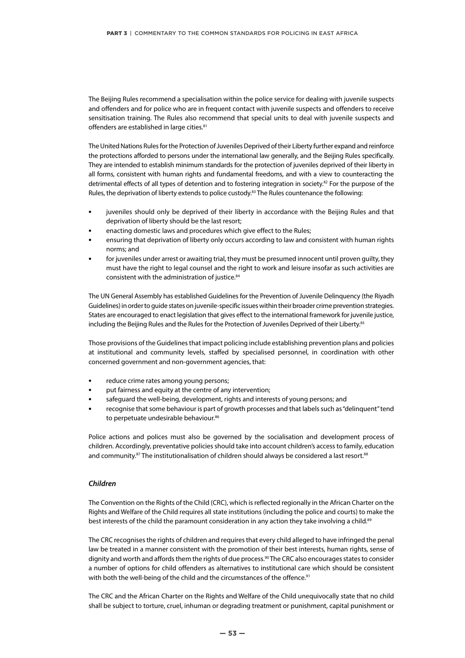The Beijing Rules recommend a specialisation within the police service for dealing with juvenile suspects and offenders and for police who are in frequent contact with juvenile suspects and offenders to receive sensitisation training. The Rules also recommend that special units to deal with juvenile suspects and offenders are established in large cities.<sup>81</sup>

The United Nations Rules for the Protection of Juveniles Deprived of their Liberty further expand and reinforce the protections afforded to persons under the international law generally, and the Beijing Rules specifically. They are intended to establish minimum standards for the protection of juveniles deprived of their liberty in all forms, consistent with human rights and fundamental freedoms, and with a view to counteracting the detrimental effects of all types of detention and to fostering integration in society.82 For the purpose of the Rules, the deprivation of liberty extends to police custody.<sup>83</sup> The Rules countenance the following:

- **•** juveniles should only be deprived of their liberty in accordance with the Beijing Rules and that deprivation of liberty should be the last resort;
- **•** enacting domestic laws and procedures which give effect to the Rules;
- **•** ensuring that deprivation of liberty only occurs according to law and consistent with human rights norms; and
- **•** for juveniles under arrest or awaiting trial, they must be presumed innocent until proven guilty, they must have the right to legal counsel and the right to work and leisure insofar as such activities are consistent with the administration of justice.<sup>84</sup>

The UN General Assembly has established Guidelines for the Prevention of Juvenile Delinquency (the Riyadh Guidelines) in order to guide states on juvenile-specific issues within their broader crime prevention strategies. States are encouraged to enact legislation that gives effect to the international framework for juvenile justice, including the Beijing Rules and the Rules for the Protection of Juveniles Deprived of their Liberty.<sup>85</sup>

Those provisions of the Guidelines that impact policing include establishing prevention plans and policies at institutional and community levels, staffed by specialised personnel, in coordination with other concerned government and non-government agencies, that:

- **•** reduce crime rates among young persons;
- **•** put fairness and equity at the centre of any intervention;
- **•** safeguard the well-being, development, rights and interests of young persons; and
- **•** recognise that some behaviour is part of growth processes and that labels such as "delinquent" tend to perpetuate undesirable behaviour.<sup>86</sup>

Police actions and polices must also be governed by the socialisation and development process of children. Accordingly, preventative policies should take into account children's access to family, education and community.<sup>87</sup> The institutionalisation of children should always be considered a last resort.<sup>88</sup>

#### *Children*

The Convention on the Rights of the Child (CRC), which is reflected regionally in the African Charter on the Rights and Welfare of the Child requires all state institutions (including the police and courts) to make the best interests of the child the paramount consideration in any action they take involving a child.<sup>89</sup>

The CRC recognises the rights of children and requires that every child alleged to have infringed the penal law be treated in a manner consistent with the promotion of their best interests, human rights, sense of dignity and worth and affords them the rights of due process.<sup>90</sup> The CRC also encourages states to consider a number of options for child offenders as alternatives to institutional care which should be consistent with both the well-being of the child and the circumstances of the offence.<sup>91</sup>

The CRC and the African Charter on the Rights and Welfare of the Child unequivocally state that no child shall be subject to torture, cruel, inhuman or degrading treatment or punishment, capital punishment or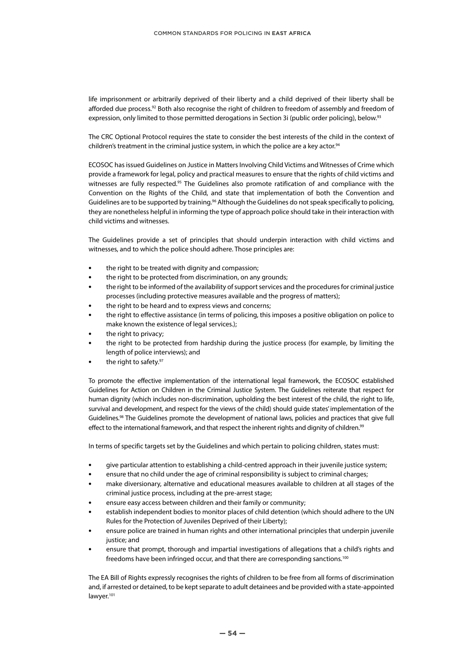life imprisonment or arbitrarily deprived of their liberty and a child deprived of their liberty shall be afforded due process.<sup>92</sup> Both also recognise the right of children to freedom of assembly and freedom of expression, only limited to those permitted derogations in Section 3i (public order policing), below.<sup>93</sup>

The CRC Optional Protocol requires the state to consider the best interests of the child in the context of children's treatment in the criminal justice system, in which the police are a key actor.<sup>94</sup>

ECOSOC has issued Guidelines on Justice in Matters Involving Child Victims and Witnesses of Crime which provide a framework for legal, policy and practical measures to ensure that the rights of child victims and witnesses are fully respected.<sup>95</sup> The Guidelines also promote ratification of and compliance with the Convention on the Rights of the Child, and state that implementation of both the Convention and Guidelines are to be supported by training.<sup>96</sup> Although the Guidelines do not speak specifically to policing, they are nonetheless helpful in informing the type of approach police should take in their interaction with child victims and witnesses.

The Guidelines provide a set of principles that should underpin interaction with child victims and witnesses, and to which the police should adhere. Those principles are:

- **•** the right to be treated with dignity and compassion;
- **•** the right to be protected from discrimination, on any grounds;
- **•** the right to be informed of the availability of support services and the procedures for criminal justice processes (including protective measures available and the progress of matters);
- **•** the right to be heard and to express views and concerns;
- **•** the right to effective assistance (in terms of policing, this imposes a positive obligation on police to make known the existence of legal services.);
- **•** the right to privacy;
- **•** the right to be protected from hardship during the justice process (for example, by limiting the length of police interviews); and
- the right to safety.<sup>97</sup>

To promote the effective implementation of the international legal framework, the ECOSOC established Guidelines for Action on Children in the Criminal Justice System. The Guidelines reiterate that respect for human dignity (which includes non-discrimination, upholding the best interest of the child, the right to life, survival and development, and respect for the views of the child) should guide states' implementation of the Guidelines.<sup>98</sup> The Guidelines promote the development of national laws, policies and practices that give full effect to the international framework, and that respect the inherent rights and dignity of children.<sup>99</sup>

In terms of specific targets set by the Guidelines and which pertain to policing children, states must:

- **•** give particular attention to establishing a child-centred approach in their juvenile justice system;
- **•** ensure that no child under the age of criminal responsibility is subject to criminal charges;
- **•** make diversionary, alternative and educational measures available to children at all stages of the criminal justice process, including at the pre-arrest stage;
- **•** ensure easy access between children and their family or community;
- **•** establish independent bodies to monitor places of child detention (which should adhere to the UN Rules for the Protection of Juveniles Deprived of their Liberty);
- **•** ensure police are trained in human rights and other international principles that underpin juvenile justice; and
- **•** ensure that prompt, thorough and impartial investigations of allegations that a child's rights and freedoms have been infringed occur, and that there are corresponding sanctions.<sup>100</sup>

The EA Bill of Rights expressly recognises the rights of children to be free from all forms of discrimination and, if arrested or detained, to be kept separate to adult detainees and be provided with a state-appointed lawyer.<sup>101</sup>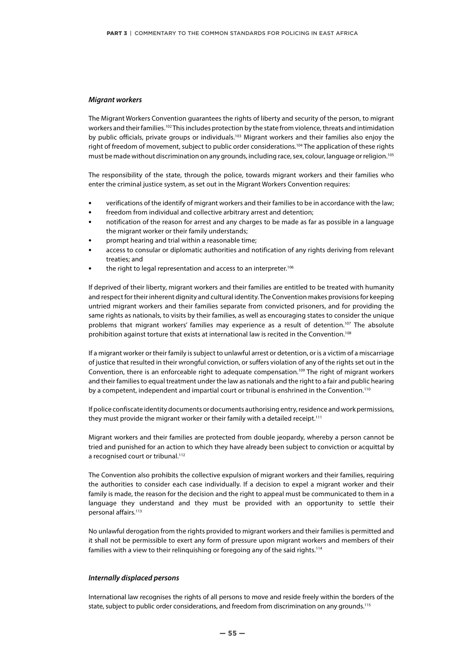#### *Migrant workers*

The Migrant Workers Convention guarantees the rights of liberty and security of the person, to migrant workers and their families.<sup>102</sup> This includes protection by the state from violence, threats and intimidation by public officials, private groups or individuals.<sup>103</sup> Migrant workers and their families also enjoy the right of freedom of movement, subject to public order considerations.104 The application of these rights must be made without discrimination on any grounds, including race, sex, colour, language or religion.105

The responsibility of the state, through the police, towards migrant workers and their families who enter the criminal justice system, as set out in the Migrant Workers Convention requires:

- **•** verifications of the identify of migrant workers and their families to be in accordance with the law;
- **•** freedom from individual and collective arbitrary arrest and detention;
- **•** notification of the reason for arrest and any charges to be made as far as possible in a language the migrant worker or their family understands;
- **•** prompt hearing and trial within a reasonable time;
- **•** access to consular or diplomatic authorities and notification of any rights deriving from relevant treaties; and
- the right to legal representation and access to an interpreter.<sup>106</sup>

If deprived of their liberty, migrant workers and their families are entitled to be treated with humanity and respect for their inherent dignity and cultural identity. The Convention makes provisions for keeping untried migrant workers and their families separate from convicted prisoners, and for providing the same rights as nationals, to visits by their families, as well as encouraging states to consider the unique problems that migrant workers' families may experience as a result of detention.<sup>107</sup> The absolute prohibition against torture that exists at international law is recited in the Convention.108

If a migrant worker or their family is subject to unlawful arrest or detention, or is a victim of a miscarriage of justice that resulted in their wrongful conviction, or suffers violation of any of the rights set out in the Convention, there is an enforceable right to adequate compensation.109 The right of migrant workers and their families to equal treatment under the law as nationals and the right to a fair and public hearing by a competent, independent and impartial court or tribunal is enshrined in the Convention.<sup>110</sup>

If police confiscate identity documents or documents authorising entry, residence and work permissions, they must provide the migrant worker or their family with a detailed receipt.<sup>111</sup>

Migrant workers and their families are protected from double jeopardy, whereby a person cannot be tried and punished for an action to which they have already been subject to conviction or acquittal by a recognised court or tribunal.<sup>112</sup>

The Convention also prohibits the collective expulsion of migrant workers and their families, requiring the authorities to consider each case individually. If a decision to expel a migrant worker and their family is made, the reason for the decision and the right to appeal must be communicated to them in a language they understand and they must be provided with an opportunity to settle their personal affairs.<sup>113</sup>

No unlawful derogation from the rights provided to migrant workers and their families is permitted and it shall not be permissible to exert any form of pressure upon migrant workers and members of their families with a view to their relinquishing or foregoing any of the said rights.<sup>114</sup>

#### *Internally displaced persons*

International law recognises the rights of all persons to move and reside freely within the borders of the state, subject to public order considerations, and freedom from discrimination on any grounds.<sup>115</sup>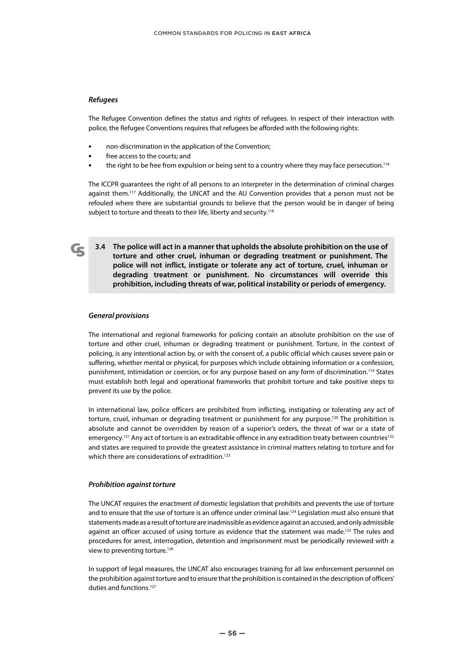#### *Refugees*

The Refugee Convention defines the status and rights of refugees. In respect of their interaction with police, the Refugee Conventions requires that refugees be afforded with the following rights:

- **•** non-discrimination in the application of the Convention;
- **•** free access to the courts; and
- **•** the right to be free from expulsion or being sent to a country where they may face persecution.116

The ICCPR guarantees the right of all persons to an interpreter in the determination of criminal charges against them.<sup>117</sup> Additionally, the UNCAT and the AU Convention provides that a person must not be refouled where there are substantial grounds to believe that the person would be in danger of being subject to torture and threats to their life, liberty and security.<sup>118</sup>

**3.4 The police will act in a manner that upholds the absolute prohibition on the use of torture and other cruel, inhuman or degrading treatment or punishment. The police will not inflict, instigate or tolerate any act of torture, cruel, inhuman or degrading treatment or punishment. No circumstances will override this prohibition, including threats of war, political instability or periods of emergency.**

#### *General provisions*

The international and regional frameworks for policing contain an absolute prohibition on the use of torture and other cruel, inhuman or degrading treatment or punishment. Torture, in the context of policing, is any intentional action by, or with the consent of, a public official which causes severe pain or suffering, whether mental or physical, for purposes which include obtaining information or a confession, punishment, intimidation or coercion, or for any purpose based on any form of discrimination.<sup>119</sup> States must establish both legal and operational frameworks that prohibit torture and take positive steps to prevent its use by the police.

In international law, police officers are prohibited from inflicting, instigating or tolerating any act of torture, cruel, inhuman or degrading treatment or punishment for any purpose.<sup>120</sup> The prohibition is absolute and cannot be overridden by reason of a superior's orders, the threat of war or a state of emergency.<sup>121</sup> Any act of torture is an extraditable offence in any extradition treaty between countries<sup>122</sup> and states are required to provide the greatest assistance in criminal matters relating to torture and for which there are considerations of extradition.<sup>123</sup>

#### *Prohibition against torture*

The UNCAT requires the enactment of domestic legislation that prohibits and prevents the use of torture and to ensure that the use of torture is an offence under criminal law.<sup>124</sup> Legislation must also ensure that statements made as a result of torture are inadmissible as evidence against an accused, and only admissible against an officer accused of using torture as evidence that the statement was made.<sup>125</sup> The rules and procedures for arrest, interrogation, detention and imprisonment must be periodically reviewed with a view to preventing torture.<sup>126</sup>

In support of legal measures, the UNCAT also encourages training for all law enforcement personnel on the prohibition against torture and to ensure that the prohibition is contained in the description of officers' duties and functions.<sup>127</sup>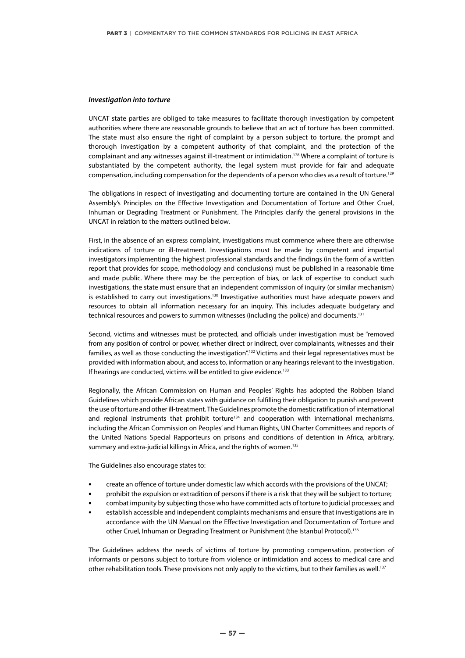#### *Investigation into torture*

UNCAT state parties are obliged to take measures to facilitate thorough investigation by competent authorities where there are reasonable grounds to believe that an act of torture has been committed. The state must also ensure the right of complaint by a person subject to torture, the prompt and thorough investigation by a competent authority of that complaint, and the protection of the complainant and any witnesses against ill-treatment or intimidation.128 Where a complaint of torture is substantiated by the competent authority, the legal system must provide for fair and adequate compensation, including compensation for the dependents of a person who dies as a result of torture.<sup>129</sup>

The obligations in respect of investigating and documenting torture are contained in the UN General Assembly's Principles on the Effective Investigation and Documentation of Torture and Other Cruel, Inhuman or Degrading Treatment or Punishment. The Principles clarify the general provisions in the UNCAT in relation to the matters outlined below.

First, in the absence of an express complaint, investigations must commence where there are otherwise indications of torture or ill-treatment. Investigations must be made by competent and impartial investigators implementing the highest professional standards and the findings (in the form of a written report that provides for scope, methodology and conclusions) must be published in a reasonable time and made public. Where there may be the perception of bias, or lack of expertise to conduct such investigations, the state must ensure that an independent commission of inquiry (or similar mechanism) is established to carry out investigations.<sup>130</sup> Investigative authorities must have adequate powers and resources to obtain all information necessary for an inquiry. This includes adequate budgetary and technical resources and powers to summon witnesses (including the police) and documents.<sup>131</sup>

Second, victims and witnesses must be protected, and officials under investigation must be "removed from any position of control or power, whether direct or indirect, over complainants, witnesses and their families, as well as those conducting the investigation".132 Victims and their legal representatives must be provided with information about, and access to, information or any hearings relevant to the investigation. If hearings are conducted, victims will be entitled to give evidence.<sup>133</sup>

Regionally, the African Commission on Human and Peoples' Rights has adopted the Robben Island Guidelines which provide African states with guidance on fulfilling their obligation to punish and prevent the use of torture and other ill-treatment. The Guidelines promote the domestic ratification of international and regional instruments that prohibit torture<sup>134</sup> and cooperation with international mechanisms, including the African Commission on Peoples' and Human Rights, UN Charter Committees and reports of the United Nations Special Rapporteurs on prisons and conditions of detention in Africa, arbitrary, summary and extra-judicial killings in Africa, and the rights of women.<sup>135</sup>

The Guidelines also encourage states to:

- **•** create an offence of torture under domestic law which accords with the provisions of the UNCAT;
- **•** prohibit the expulsion or extradition of persons if there is a risk that they will be subject to torture;
- **•** combat impunity by subjecting those who have committed acts of torture to judicial processes; and
- **•** establish accessible and independent complaints mechanisms and ensure that investigations are in accordance with the UN Manual on the Effective Investigation and Documentation of Torture and other Cruel, Inhuman or Degrading Treatment or Punishment (the Istanbul Protocol).136

The Guidelines address the needs of victims of torture by promoting compensation, protection of informants or persons subject to torture from violence or intimidation and access to medical care and other rehabilitation tools. These provisions not only apply to the victims, but to their families as well.<sup>137</sup>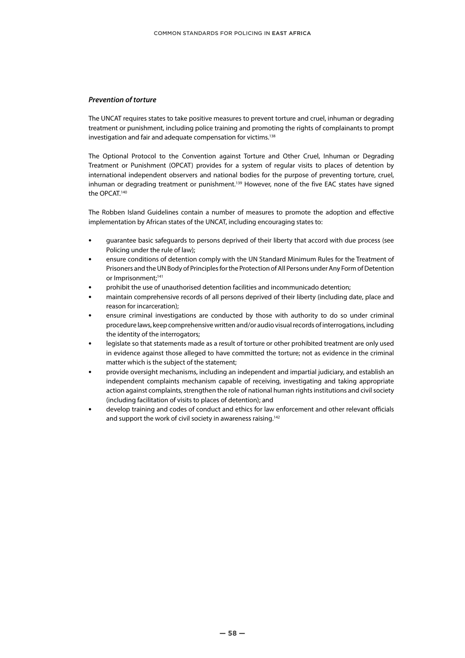#### *Prevention of torture*

The UNCAT requires states to take positive measures to prevent torture and cruel, inhuman or degrading treatment or punishment, including police training and promoting the rights of complainants to prompt investigation and fair and adequate compensation for victims.<sup>138</sup>

The Optional Protocol to the Convention against Torture and Other Cruel, Inhuman or Degrading Treatment or Punishment (OPCAT) provides for a system of regular visits to places of detention by international independent observers and national bodies for the purpose of preventing torture, cruel, inhuman or degrading treatment or punishment.<sup>139</sup> However, none of the five EAC states have signed the OPCAT.140

The Robben Island Guidelines contain a number of measures to promote the adoption and effective implementation by African states of the UNCAT, including encouraging states to:

- **•** guarantee basic safeguards to persons deprived of their liberty that accord with due process (see Policing under the rule of law);
- **•** ensure conditions of detention comply with the UN Standard Minimum Rules for the Treatment of Prisoners and the UN Body of Principles for the Protection of All Persons under Any Form of Detention or Imprisonment;<sup>141</sup>
- **•** prohibit the use of unauthorised detention facilities and incommunicado detention;
- **•** maintain comprehensive records of all persons deprived of their liberty (including date, place and reason for incarceration);
- **•** ensure criminal investigations are conducted by those with authority to do so under criminal procedure laws, keep comprehensive written and/or audio visual records of interrogations, including the identity of the interrogators;
- **•** legislate so that statements made as a result of torture or other prohibited treatment are only used in evidence against those alleged to have committed the torture; not as evidence in the criminal matter which is the subject of the statement;
- **•** provide oversight mechanisms, including an independent and impartial judiciary, and establish an independent complaints mechanism capable of receiving, investigating and taking appropriate action against complaints, strengthen the role of national human rights institutions and civil society (including facilitation of visits to places of detention); and
- **•** develop training and codes of conduct and ethics for law enforcement and other relevant officials and support the work of civil society in awareness raising.<sup>142</sup>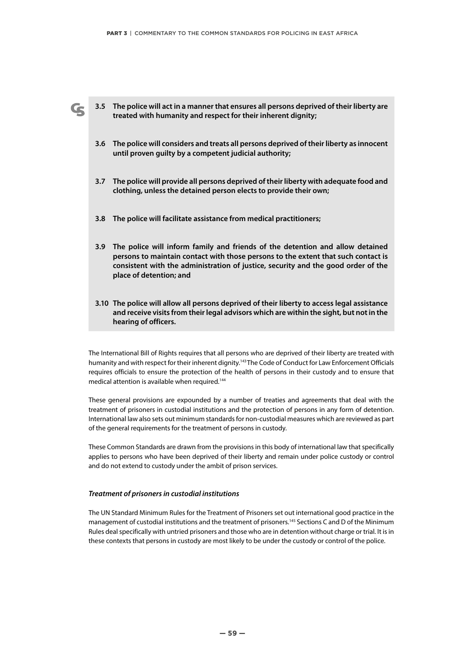**3.5 The police will act in a manner that ensures all persons deprived of their liberty are treated with humanity and respect for their inherent dignity;**

- **3.6 The police will considers and treats all persons deprived of their liberty as innocent until proven guilty by a competent judicial authority;**
- **3.7 The police will provide all persons deprived of their liberty with adequate food and clothing, unless the detained person elects to provide their own;**
- **3.8 The police will facilitate assistance from medical practitioners;**
- **3.9 The police will inform family and friends of the detention and allow detained persons to maintain contact with those persons to the extent that such contact is consistent with the administration of justice, security and the good order of the place of detention; and**
- **3.10 The police will allow all persons deprived of their liberty to access legal assistance and receive visits from their legal advisors which are within the sight, but not in the hearing of officers.**

The International Bill of Rights requires that all persons who are deprived of their liberty are treated with humanity and with respect for their inherent dignity.<sup>143</sup>The Code of Conduct for Law Enforcement Officials requires officials to ensure the protection of the health of persons in their custody and to ensure that medical attention is available when required.<sup>144</sup>

These general provisions are expounded by a number of treaties and agreements that deal with the treatment of prisoners in custodial institutions and the protection of persons in any form of detention. International law also sets out minimum standards for non-custodial measures which are reviewed as part of the general requirements for the treatment of persons in custody.

These Common Standards are drawn from the provisions in this body of international law that specifically applies to persons who have been deprived of their liberty and remain under police custody or control and do not extend to custody under the ambit of prison services.

#### *Treatment of prisoners in custodial institutions*

The UN Standard Minimum Rules for the Treatment of Prisoners set out international good practice in the management of custodial institutions and the treatment of prisoners.<sup>145</sup> Sections C and D of the Minimum Rules deal specifically with untried prisoners and those who are in detention without charge or trial. It is in these contexts that persons in custody are most likely to be under the custody or control of the police.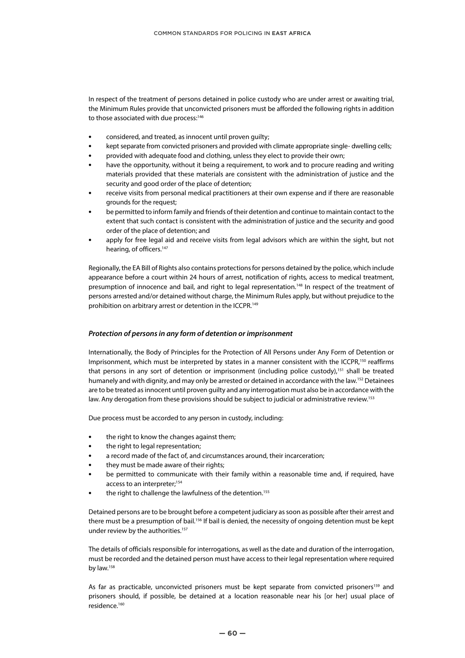In respect of the treatment of persons detained in police custody who are under arrest or awaiting trial, the Minimum Rules provide that unconvicted prisoners must be afforded the following rights in addition to those associated with due process:<sup>146</sup>

- **•** considered, and treated, as innocent until proven guilty;
- **•** kept separate from convicted prisoners and provided with climate appropriate single- dwelling cells;
- **•** provided with adequate food and clothing, unless they elect to provide their own;
- **•** have the opportunity, without it being a requirement, to work and to procure reading and writing materials provided that these materials are consistent with the administration of justice and the security and good order of the place of detention;
- **•** receive visits from personal medical practitioners at their own expense and if there are reasonable grounds for the request;
- **•** be permitted to inform family and friends of their detention and continue to maintain contact to the extent that such contact is consistent with the administration of justice and the security and good order of the place of detention; and
- **•** apply for free legal aid and receive visits from legal advisors which are within the sight, but not hearing, of officers.<sup>147</sup>

Regionally, the EA Bill of Rights also contains protections for persons detained by the police, which include appearance before a court within 24 hours of arrest, notification of rights, access to medical treatment, presumption of innocence and bail, and right to legal representation.148 In respect of the treatment of persons arrested and/or detained without charge, the Minimum Rules apply, but without prejudice to the prohibition on arbitrary arrest or detention in the ICCPR.<sup>149</sup>

#### *Protection of persons in any form of detention or imprisonment*

Internationally, the Body of Principles for the Protection of All Persons under Any Form of Detention or Imprisonment, which must be interpreted by states in a manner consistent with the ICCPR,<sup>150</sup> reaffirms that persons in any sort of detention or imprisonment (including police custody),<sup>151</sup> shall be treated humanely and with dignity, and may only be arrested or detained in accordance with the law.<sup>152</sup> Detainees are to be treated as innocent until proven guilty and any interrogation must also be in accordance with the law. Any derogation from these provisions should be subject to judicial or administrative review.<sup>153</sup>

Due process must be accorded to any person in custody, including:

- **•** the right to know the changes against them;
- **•** the right to legal representation;
- **•** a record made of the fact of, and circumstances around, their incarceration;
- **•** they must be made aware of their rights;
- **•** be permitted to communicate with their family within a reasonable time and, if required, have access to an interpreter;<sup>154</sup>
- the right to challenge the lawfulness of the detention.<sup>155</sup>

Detained persons are to be brought before a competent judiciary as soon as possible after their arrest and there must be a presumption of bail.<sup>156</sup> If bail is denied, the necessity of ongoing detention must be kept under review by the authorities.<sup>157</sup>

The details of officials responsible for interrogations, as well as the date and duration of the interrogation, must be recorded and the detained person must have access to their legal representation where required by law.<sup>158</sup>

As far as practicable, unconvicted prisoners must be kept separate from convicted prisoners<sup>159</sup> and prisoners should, if possible, be detained at a location reasonable near his [or her] usual place of residence.160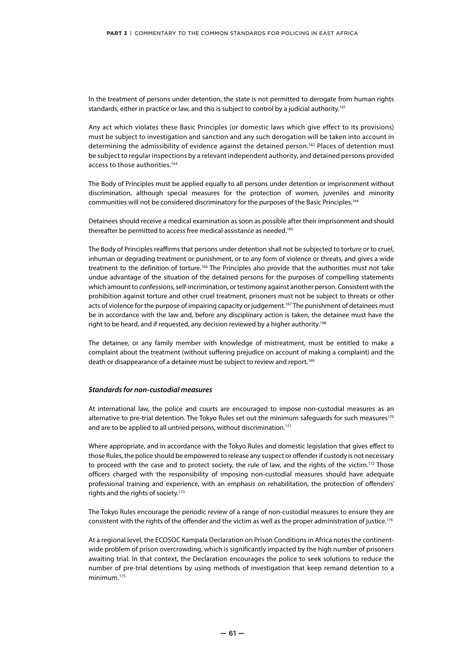In the treatment of persons under detention, the state is not permitted to derogate from human rights standards, either in practice or law, and this is subject to control by a judicial authority.<sup>161</sup>

Any act which violates these Basic Principles (or domestic laws which give effect to its provisions) must be subject to investigation and sanction and any such derogation will be taken into account in determining the admissibility of evidence against the detained person.<sup>162</sup> Places of detention must be subject to regular inspections by a relevant independent authority, and detained persons provided access to those authorities.<sup>163</sup>

The Body of Principles must be applied equally to all persons under detention or imprisonment without discrimination, although special measures for the protection of women, juveniles and minority communities will not be considered discriminatory for the purposes of the Basic Principles.<sup>164</sup>

Detainees should receive a medical examination as soon as possible after their imprisonment and should thereafter be permitted to access free medical assistance as needed.<sup>165</sup>

The Body of Principles reaffirms that persons under detention shall not be subjected to torture or to cruel, inhuman or degrading treatment or punishment, or to any form of violence or threats, and gives a wide treatment to the definition of torture.<sup>166</sup> The Principles also provide that the authorities must not take undue advantage of the situation of the detained persons for the purposes of compelling statements which amount to confessions, self-incrimination, or testimony against another person. Consistent with the prohibition against torture and other cruel treatment, prisoners must not be subject to threats or other acts of violence for the purpose of impairing capacity or judgement.<sup>167</sup> The punishment of detainees must be in accordance with the law and, before any disciplinary action is taken, the detainee must have the right to be heard, and if requested, any decision reviewed by a higher authority.<sup>168</sup>

The detainee, or any family member with knowledge of mistreatment, must be entitled to make a complaint about the treatment (without suffering prejudice on account of making a complaint) and the death or disappearance of a detainee must be subject to review and report.<sup>169</sup>

#### *Standards for non-custodial measures*

At international law, the police and courts are encouraged to impose non-custodial measures as an alternative to pre-trial detention. The Tokyo Rules set out the minimum safeguards for such measures<sup>170</sup> and are to be applied to all untried persons, without discrimination.<sup>171</sup>

Where appropriate, and in accordance with the Tokyo Rules and domestic legislation that gives effect to those Rules, the police should be empowered to release any suspect or offender if custody is not necessary to proceed with the case and to protect society, the rule of law, and the rights of the victim.<sup>172</sup> Those officers charged with the responsibility of imposing non-custodial measures should have adequate professional training and experience, with an emphasis on rehabilitation, the protection of offenders' rights and the rights of society.173

The Tokyo Rules encourage the periodic review of a range of non-custodial measures to ensure they are consistent with the rights of the offender and the victim as well as the proper administration of justice.174

At a regional level, the ECOSOC Kampala Declaration on Prison Conditions in Africa notes the continentwide problem of prison overcrowding, which is significantly impacted by the high number of prisoners awaiting trial. In that context, the Declaration encourages the police to seek solutions to reduce the number of pre-trial detentions by using methods of investigation that keep remand detention to a minimum.175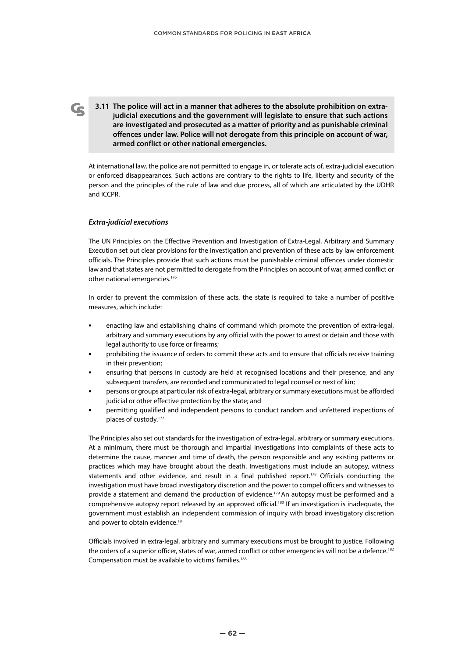**3.11 The police will act in a manner that adheres to the absolute prohibition on extrajudicial executions and the government will legislate to ensure that such actions are investigated and prosecuted as a matter of priority and as punishable criminal offences under law. Police will not derogate from this principle on account of war, armed conflict or other national emergencies.**

At international law, the police are not permitted to engage in, or tolerate acts of, extra-judicial execution or enforced disappearances. Such actions are contrary to the rights to life, liberty and security of the person and the principles of the rule of law and due process, all of which are articulated by the UDHR and ICCPR.

#### *Extra-judicial executions*

The UN Principles on the Effective Prevention and Investigation of Extra-Legal, Arbitrary and Summary Execution set out clear provisions for the investigation and prevention of these acts by law enforcement officials. The Principles provide that such actions must be punishable criminal offences under domestic law and that states are not permitted to derogate from the Principles on account of war, armed conflict or other national emergencies.176

In order to prevent the commission of these acts, the state is required to take a number of positive measures, which include:

- **•** enacting law and establishing chains of command which promote the prevention of extra-legal, arbitrary and summary executions by any official with the power to arrest or detain and those with legal authority to use force or firearms;
- **•** prohibiting the issuance of orders to commit these acts and to ensure that officials receive training in their prevention;
- **•** ensuring that persons in custody are held at recognised locations and their presence, and any subsequent transfers, are recorded and communicated to legal counsel or next of kin;
- **•** persons or groups at particular risk of extra-legal, arbitrary or summary executions must be afforded judicial or other effective protection by the state; and
- **•** permitting qualified and independent persons to conduct random and unfettered inspections of places of custody.177

The Principles also set out standards for the investigation of extra-legal, arbitrary or summary executions. At a minimum, there must be thorough and impartial investigations into complaints of these acts to determine the cause, manner and time of death, the person responsible and any existing patterns or practices which may have brought about the death. Investigations must include an autopsy, witness statements and other evidence, and result in a final published report.<sup>178</sup> Officials conducting the investigation must have broad investigatory discretion and the power to compel officers and witnesses to provide a statement and demand the production of evidence.<sup>179</sup> An autopsy must be performed and a comprehensive autopsy report released by an approved official.<sup>180</sup> If an investigation is inadequate, the government must establish an independent commission of inquiry with broad investigatory discretion and power to obtain evidence.<sup>181</sup>

Officials involved in extra-legal, arbitrary and summary executions must be brought to justice. Following the orders of a superior officer, states of war, armed conflict or other emergencies will not be a defence.<sup>182</sup> Compensation must be available to victims' families.<sup>183</sup>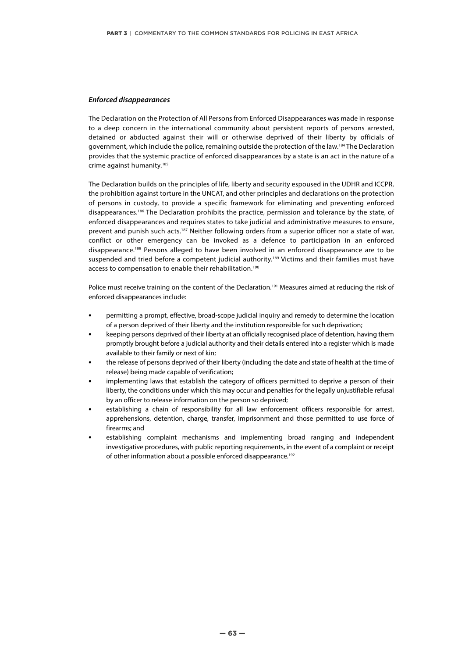#### *Enforced disappearances*

The Declaration on the Protection of All Persons from Enforced Disappearances was made in response to a deep concern in the international community about persistent reports of persons arrested, detained or abducted against their will or otherwise deprived of their liberty by officials of government, which include the police, remaining outside the protection of the law.184 The Declaration provides that the systemic practice of enforced disappearances by a state is an act in the nature of a crime against humanity.<sup>185</sup>

The Declaration builds on the principles of life, liberty and security espoused in the UDHR and ICCPR, the prohibition against torture in the UNCAT, and other principles and declarations on the protection of persons in custody, to provide a specific framework for eliminating and preventing enforced disappearances.186 The Declaration prohibits the practice, permission and tolerance by the state, of enforced disappearances and requires states to take judicial and administrative measures to ensure, prevent and punish such acts.<sup>187</sup> Neither following orders from a superior officer nor a state of war, conflict or other emergency can be invoked as a defence to participation in an enforced disappearance.188 Persons alleged to have been involved in an enforced disappearance are to be suspended and tried before a competent judicial authority.<sup>189</sup> Victims and their families must have access to compensation to enable their rehabilitation.<sup>190</sup>

Police must receive training on the content of the Declaration.<sup>191</sup> Measures aimed at reducing the risk of enforced disappearances include:

- **•** permitting a prompt, effective, broad-scope judicial inquiry and remedy to determine the location of a person deprived of their liberty and the institution responsible for such deprivation;
- **•** keeping persons deprived of their liberty at an officially recognised place of detention, having them promptly brought before a judicial authority and their details entered into a register which is made available to their family or next of kin;
- **•** the release of persons deprived of their liberty (including the date and state of health at the time of release) being made capable of verification;
- **•** implementing laws that establish the category of officers permitted to deprive a person of their liberty, the conditions under which this may occur and penalties for the legally unjustifiable refusal by an officer to release information on the person so deprived;
- **•** establishing a chain of responsibility for all law enforcement officers responsible for arrest, apprehensions, detention, charge, transfer, imprisonment and those permitted to use force of firearms; and
- **•** establishing complaint mechanisms and implementing broad ranging and independent investigative procedures, with public reporting requirements, in the event of a complaint or receipt of other information about a possible enforced disappearance.<sup>192</sup>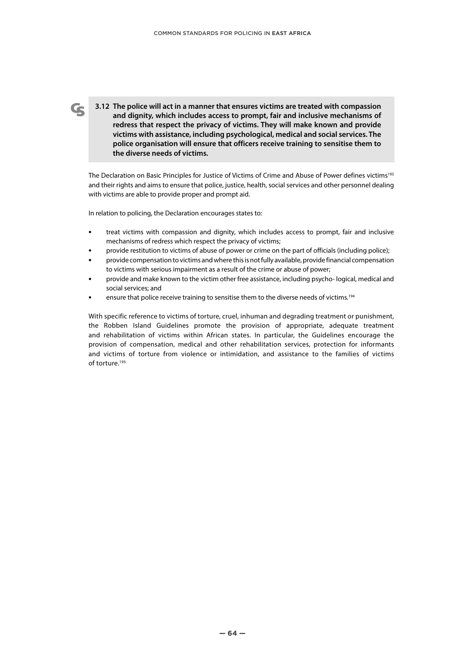**3.12 The police will act in a manner that ensures victims are treated with compassion and dignity, which includes access to prompt, fair and inclusive mechanisms of redress that respect the privacy of victims. They will make known and provide victims with assistance, including psychological, medical and social services. The police organisation will ensure that officers receive training to sensitise them to the diverse needs of victims.**

The Declaration on Basic Principles for Justice of Victims of Crime and Abuse of Power defines victims<sup>193</sup> and their rights and aims to ensure that police, justice, health, social services and other personnel dealing with victims are able to provide proper and prompt aid.

In relation to policing, the Declaration encourages states to:

- **•** treat victims with compassion and dignity, which includes access to prompt, fair and inclusive mechanisms of redress which respect the privacy of victims;
- **•** provide restitution to victims of abuse of power or crime on the part of officials (including police);
- **•** provide compensation to victims and where this is not fully available, provide financial compensation to victims with serious impairment as a result of the crime or abuse of power;
- **•** provide and make known to the victim other free assistance, including psycho- logical, medical and social services; and
- ensure that police receive training to sensitise them to the diverse needs of victims.<sup>194</sup>

With specific reference to victims of torture, cruel, inhuman and degrading treatment or punishment, the Robben Island Guidelines promote the provision of appropriate, adequate treatment and rehabilitation of victims within African states. In particular, the Guidelines encourage the provision of compensation, medical and other rehabilitation services, protection for informants and victims of torture from violence or intimidation, and assistance to the families of victims of torture.<sup>195</sup>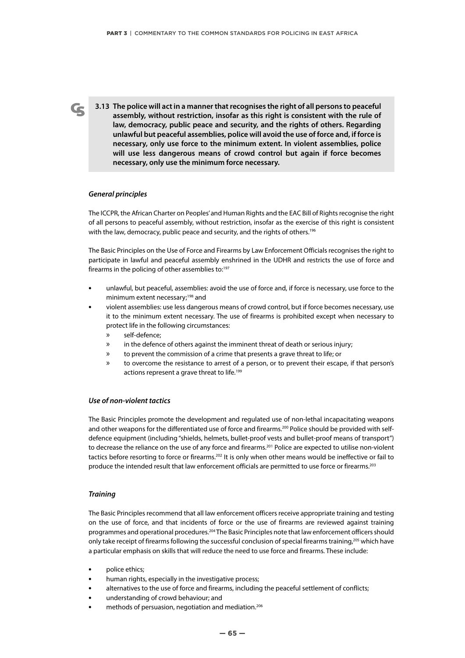**3.13 The police will act in a manner that recognises the right of all persons to peaceful assembly, without restriction, insofar as this right is consistent with the rule of law, democracy, public peace and security, and the rights of others. Regarding unlawful but peaceful assemblies, police will avoid the use of force and, if force is necessary, only use force to the minimum extent. In violent assemblies, police will use less dangerous means of crowd control but again if force becomes necessary, only use the minimum force necessary.**

#### *General principles*

The ICCPR, the African Charter on Peoples' and Human Rights and the EAC Bill of Rights recognise the right of all persons to peaceful assembly, without restriction, insofar as the exercise of this right is consistent with the law, democracy, public peace and security, and the rights of others.<sup>196</sup>

The Basic Principles on the Use of Force and Firearms by Law Enforcement Officials recognises the right to participate in lawful and peaceful assembly enshrined in the UDHR and restricts the use of force and firearms in the policing of other assemblies to:<sup>197</sup>

- **•** unlawful, but peaceful, assemblies: avoid the use of force and, if force is necessary, use force to the minimum extent necessary;198 and
- **•** violent assemblies: use less dangerous means of crowd control, but if force becomes necessary, use it to the minimum extent necessary. The use of firearms is prohibited except when necessary to protect life in the following circumstances:
	- » self-defence;
	- » in the defence of others against the imminent threat of death or serious injury;
	- » to prevent the commission of a crime that presents a grave threat to life; or
	- » to overcome the resistance to arrest of a person, or to prevent their escape, if that person's actions represent a grave threat to life.<sup>199</sup>

#### *Use of non-violent tactics*

The Basic Principles promote the development and regulated use of non-lethal incapacitating weapons and other weapons for the differentiated use of force and firearms.<sup>200</sup> Police should be provided with selfdefence equipment (including "shields, helmets, bullet-proof vests and bullet-proof means of transport") to decrease the reliance on the use of any force and firearms.<sup>201</sup> Police are expected to utilise non-violent tactics before resorting to force or firearms.<sup>202</sup> It is only when other means would be ineffective or fail to produce the intended result that law enforcement officials are permitted to use force or firearms.<sup>203</sup>

#### *Training*

The Basic Principles recommend that all law enforcement officers receive appropriate training and testing on the use of force, and that incidents of force or the use of firearms are reviewed against training programmes and operational procedures.<sup>204</sup> The Basic Principles note that law enforcement officers should only take receipt of firearms following the successful conclusion of special firearms training,<sup>205</sup> which have a particular emphasis on skills that will reduce the need to use force and firearms. These include:

- **•** police ethics;
- **•** human rights, especially in the investigative process;
- **•** alternatives to the use of force and firearms, including the peaceful settlement of conflicts;
- **•** understanding of crowd behaviour; and
- **•** methods of persuasion, negotiation and mediation.206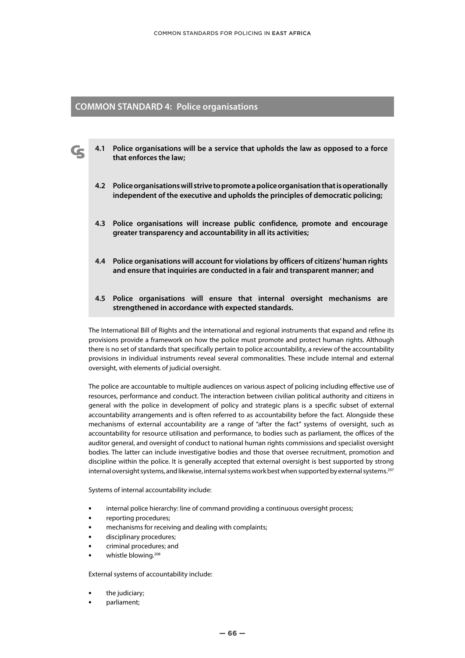# **COMMON STANDARD 4: Police organisations**

- **4.1 Police organisations will be a service that upholds the law as opposed to a force that enforces the law;**
	- **4.2 Police organisations will strive to promote a police organisation that is operationally independent of the executive and upholds the principles of democratic policing;**
	- **4.3 Police organisations will increase public confidence, promote and encourage greater transparency and accountability in all its activities;**
	- **4.4 Police organisations will account for violations by officers of citizens' human rights and ensure that inquiries are conducted in a fair and transparent manner; and**
	- **4.5 Police organisations will ensure that internal oversight mechanisms are strengthened in accordance with expected standards.**

The International Bill of Rights and the international and regional instruments that expand and refine its provisions provide a framework on how the police must promote and protect human rights. Although there is no set of standards that specifically pertain to police accountability, a review of the accountability provisions in individual instruments reveal several commonalities. These include internal and external oversight, with elements of judicial oversight.

The police are accountable to multiple audiences on various aspect of policing including effective use of resources, performance and conduct. The interaction between civilian political authority and citizens in general with the police in development of policy and strategic plans is a specific subset of external accountability arrangements and is often referred to as accountability before the fact. Alongside these mechanisms of external accountability are a range of "after the fact" systems of oversight, such as accountability for resource utilisation and performance, to bodies such as parliament, the offices of the auditor general, and oversight of conduct to national human rights commissions and specialist oversight bodies. The latter can include investigative bodies and those that oversee recruitment, promotion and discipline within the police. It is generally accepted that external oversight is best supported by strong internal oversight systems, and likewise, internal systems work best when supported by external systems.<sup>207</sup>

Systems of internal accountability include:

- **•** internal police hierarchy: line of command providing a continuous oversight process;
- **•** reporting procedures;
- **•** mechanisms for receiving and dealing with complaints;
- **•** disciplinary procedures;
- **•** criminal procedures; and
- **•** whistle blowing.208

External systems of accountability include:

- **•** the judiciary;
- **•** parliament;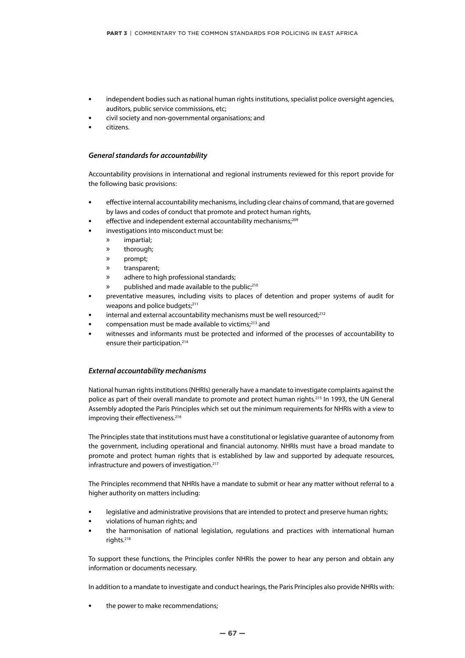- **•** independent bodies such as national human rights institutions, specialist police oversight agencies, auditors, public service commissions, etc;
- **•** civil society and non-governmental organisations; and
- **•** citizens.

#### *General standards for accountability*

Accountability provisions in international and regional instruments reviewed for this report provide for the following basic provisions:

- **•** effective internal accountability mechanisms, including clear chains of command, that are governed by laws and codes of conduct that promote and protect human rights,
- effective and independent external accountability mechanisms;<sup>209</sup>
- **•** investigations into misconduct must be:
	- » impartial;
	- » thorough;
	- » prompt;
	- » transparent;
	- » adhere to high professional standards;
	- published and made available to the public;<sup>210</sup>
- **•** preventative measures, including visits to places of detention and proper systems of audit for weapons and police budgets;<sup>211</sup>
- internal and external accountability mechanisms must be well resourced;<sup>212</sup>
- **•** compensation must be made available to victims;213 and
- **•** witnesses and informants must be protected and informed of the processes of accountability to ensure their participation.214

#### *External accountability mechanisms*

National human rights institutions (NHRIs) generally have a mandate to investigate complaints against the police as part of their overall mandate to promote and protect human rights.<sup>215</sup> In 1993, the UN General Assembly adopted the Paris Principles which set out the minimum requirements for NHRIs with a view to improving their effectiveness.<sup>216</sup>

The Principles state that institutions must have a constitutional or legislative guarantee of autonomy from the government, including operational and financial autonomy. NHRIs must have a broad mandate to promote and protect human rights that is established by law and supported by adequate resources, infrastructure and powers of investigation.<sup>217</sup>

The Principles recommend that NHRIs have a mandate to submit or hear any matter without referral to a higher authority on matters including:

- **•** legislative and administrative provisions that are intended to protect and preserve human rights;
- **•** violations of human rights; and
- **•** the harmonisation of national legislation, regulations and practices with international human rights.218

To support these functions, the Principles confer NHRIs the power to hear any person and obtain any information or documents necessary.

In addition to a mandate to investigate and conduct hearings, the Paris Principles also provide NHRIs with:

**•** the power to make recommendations;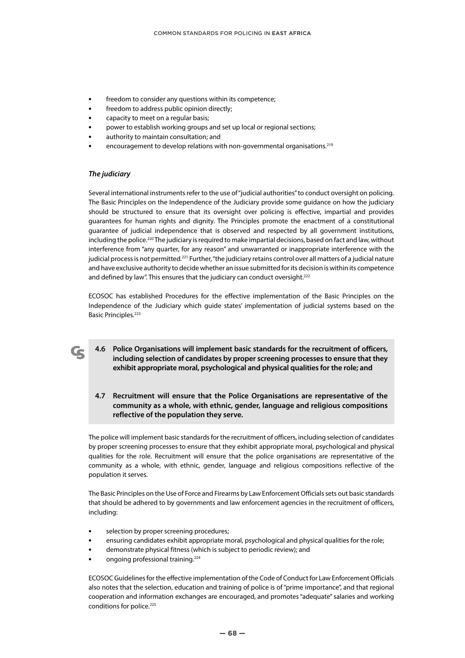- **•** freedom to consider any questions within its competence;
- **•** freedom to address public opinion directly;
- **•** capacity to meet on a regular basis;
- **•** power to establish working groups and set up local or regional sections;
- **•** authority to maintain consultation; and
- **•** encouragement to develop relations with non-governmental organisations.219

#### *The judiciary*

 $\mathbf G$ 

Several international instruments refer to the use of "judicial authorities" to conduct oversight on policing. The Basic Principles on the Independence of the Judiciary provide some guidance on how the judiciary should be structured to ensure that its oversight over policing is effective, impartial and provides guarantees for human rights and dignity. The Principles promote the enactment of a constitutional guarantee of judicial independence that is observed and respected by all government institutions, including the police.220 The judiciary is required to make impartial decisions, based on fact and law, without interference from "any quarter, for any reason" and unwarranted or inappropriate interference with the judicial process is not permitted.221 Further, "the judiciary retains control over all matters of a judicial nature and have exclusive authority to decide whether an issue submitted for its decision is within its competence and defined by law". This ensures that the judiciary can conduct oversight.<sup>222</sup>

ECOSOC has established Procedures for the effective implementation of the Basic Principles on the Independence of the Judiciary which guide states' implementation of judicial systems based on the Basic Principles.<sup>223</sup>

- **4.6 Police Organisations will implement basic standards for the recruitment of officers, including selection of candidates by proper screening processes to ensure that they exhibit appropriate moral, psychological and physical qualities for the role; and**
- **4.7 Recruitment will ensure that the Police Organisations are representative of the community as a whole, with ethnic, gender, language and religious compositions reflective of the population they serve.**

The police will implement basic standards for the recruitment of officers, including selection of candidates by proper screening processes to ensure that they exhibit appropriate moral, psychological and physical qualities for the role. Recruitment will ensure that the police organisations are representative of the community as a whole, with ethnic, gender, language and religious compositions reflective of the population it serves.

The Basic Principles on the Use of Force and Firearms by Law Enforcement Officials sets out basic standards that should be adhered to by governments and law enforcement agencies in the recruitment of officers, including:

- **•** selection by proper screening procedures;
- **•** ensuring candidates exhibit appropriate moral, psychological and physical qualities for the role;
- **•** demonstrate physical fitness (which is subject to periodic review); and
- **•** ongoing professional training.224

ECOSOC Guidelines for the effective implementation of the Code of Conduct for Law Enforcement Officials also notes that the selection, education and training of police is of "prime importance", and that regional cooperation and information exchanges are encouraged, and promotes "adequate" salaries and working conditions for police.<sup>225</sup>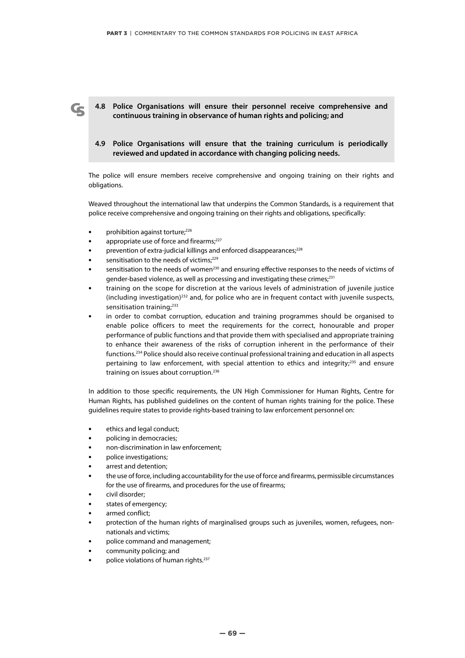**4.8 Police Organisations will ensure their personnel receive comprehensive and continuous training in observance of human rights and policing; and**

# **4.9 Police Organisations will ensure that the training curriculum is periodically reviewed and updated in accordance with changing policing needs.**

The police will ensure members receive comprehensive and ongoing training on their rights and obligations.

Weaved throughout the international law that underpins the Common Standards, is a requirement that police receive comprehensive and ongoing training on their rights and obligations, specifically:

- prohibition against torture;<sup>226</sup>
- appropriate use of force and firearms;<sup>227</sup>
- prevention of extra-judicial killings and enforced disappearances;<sup>228</sup>
- sensitisation to the needs of victims;<sup>229</sup>
- sensitisation to the needs of women<sup>230</sup> and ensuring effective responses to the needs of victims of gender-based violence, as well as processing and investigating these crimes;<sup>231</sup>
- **•** training on the scope for discretion at the various levels of administration of juvenile justice  $(including investigation)<sup>232</sup>$  and, for police who are in frequent contact with juvenile suspects, sensitisation training;<sup>233</sup>
- **•** in order to combat corruption, education and training programmes should be organised to enable police officers to meet the requirements for the correct, honourable and proper performance of public functions and that provide them with specialised and appropriate training to enhance their awareness of the risks of corruption inherent in the performance of their functions.234 Police should also receive continual professional training and education in all aspects pertaining to law enforcement, with special attention to ethics and integrity;<sup>235</sup> and ensure training on issues about corruption.236

In addition to those specific requirements, the UN High Commissioner for Human Rights, Centre for Human Rights, has published guidelines on the content of human rights training for the police. These guidelines require states to provide rights-based training to law enforcement personnel on:

- **•** ethics and legal conduct;
- **•** policing in democracies;
- **•** non-discrimination in law enforcement;
- **•** police investigations;
- **•** arrest and detention;
- **•** the use of force, including accountability for the use of force and firearms, permissible circumstances for the use of firearms, and procedures for the use of firearms;
- **•** civil disorder;
- **•** states of emergency;
- **•** armed conflict;
- **•** protection of the human rights of marginalised groups such as juveniles, women, refugees, nonnationals and victims;
- **•** police command and management;
- **•** community policing; and
- **•** police violations of human rights.237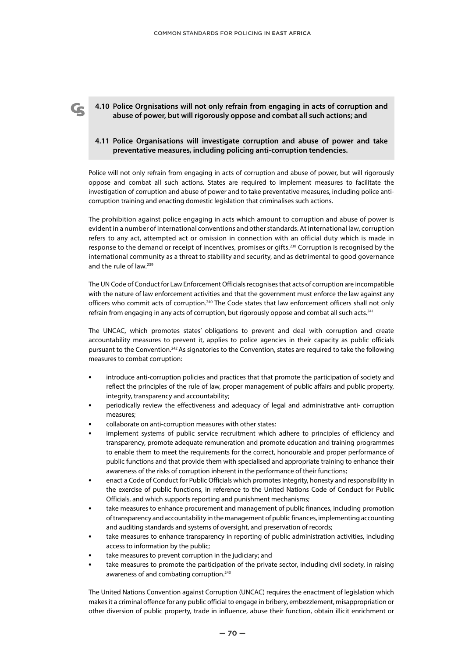#### **4.10 Police Orgnisations will not only refrain from engaging in acts of corruption and abuse of power, but will rigorously oppose and combat all such actions; and**

Ce

### **4.11 Police Organisations will investigate corruption and abuse of power and take preventative measures, including policing anti-corruption tendencies.**

Police will not only refrain from engaging in acts of corruption and abuse of power, but will rigorously oppose and combat all such actions. States are required to implement measures to facilitate the investigation of corruption and abuse of power and to take preventative measures, including police anticorruption training and enacting domestic legislation that criminalises such actions.

The prohibition against police engaging in acts which amount to corruption and abuse of power is evident in a number of international conventions and other standards. At international law, corruption refers to any act, attempted act or omission in connection with an official duty which is made in response to the demand or receipt of incentives, promises or gifts.<sup>238</sup> Corruption is recognised by the international community as a threat to stability and security, and as detrimental to good governance and the rule of law.239

The UN Code of Conduct for Law Enforcement Officials recognises that acts of corruption are incompatible with the nature of law enforcement activities and that the government must enforce the law against any officers who commit acts of corruption.<sup>240</sup> The Code states that law enforcement officers shall not only refrain from engaging in any acts of corruption, but rigorously oppose and combat all such acts.<sup>241</sup>

The UNCAC, which promotes states' obligations to prevent and deal with corruption and create accountability measures to prevent it, applies to police agencies in their capacity as public officials pursuant to the Convention.<sup>242</sup> As signatories to the Convention, states are required to take the following measures to combat corruption:

- **•** introduce anti-corruption policies and practices that that promote the participation of society and reflect the principles of the rule of law, proper management of public affairs and public property, integrity, transparency and accountability;
- **•** periodically review the effectiveness and adequacy of legal and administrative anti- corruption measures;
- **•** collaborate on anti-corruption measures with other states;
- **•** implement systems of public service recruitment which adhere to principles of efficiency and transparency, promote adequate remuneration and promote education and training programmes to enable them to meet the requirements for the correct, honourable and proper performance of public functions and that provide them with specialised and appropriate training to enhance their awareness of the risks of corruption inherent in the performance of their functions;
- **•** enact a Code of Conduct for Public Officials which promotes integrity, honesty and responsibility in the exercise of public functions, in reference to the United Nations Code of Conduct for Public Officials, and which supports reporting and punishment mechanisms;
- **•** take measures to enhance procurement and management of public finances, including promotion of transparency and accountability in the management of public finances, implementing accounting and auditing standards and systems of oversight, and preservation of records;
- **•** take measures to enhance transparency in reporting of public administration activities, including access to information by the public;
- **•** take measures to prevent corruption in the judiciary; and
- **•** take measures to promote the participation of the private sector, including civil society, in raising awareness of and combating corruption.<sup>243</sup>

The United Nations Convention against Corruption (UNCAC) requires the enactment of legislation which makes it a criminal offence for any public official to engage in bribery, embezzlement, misappropriation or other diversion of public property, trade in influence, abuse their function, obtain illicit enrichment or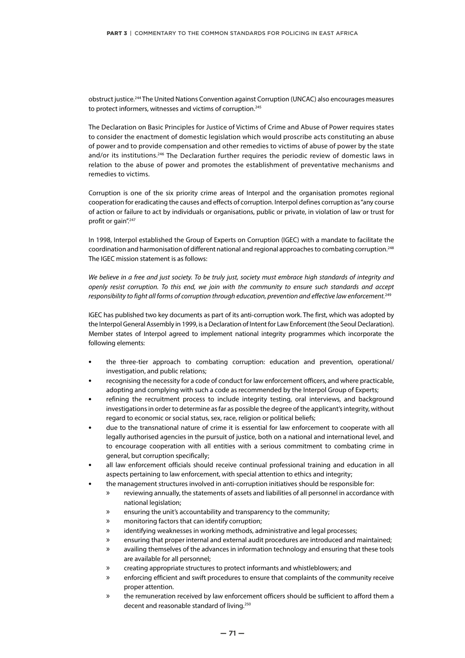obstruct justice.244 The United Nations Convention against Corruption (UNCAC) also encourages measures to protect informers, witnesses and victims of corruption.<sup>245</sup>

The Declaration on Basic Principles for Justice of Victims of Crime and Abuse of Power requires states to consider the enactment of domestic legislation which would proscribe acts constituting an abuse of power and to provide compensation and other remedies to victims of abuse of power by the state and/or its institutions.<sup>246</sup> The Declaration further requires the periodic review of domestic laws in relation to the abuse of power and promotes the establishment of preventative mechanisms and remedies to victims.

Corruption is one of the six priority crime areas of Interpol and the organisation promotes regional cooperation for eradicating the causes and effects of corruption. Interpol defines corruption as "any course of action or failure to act by individuals or organisations, public or private, in violation of law or trust for profit or gain".<sup>247</sup>

In 1998, Interpol established the Group of Experts on Corruption (IGEC) with a mandate to facilitate the coordination and harmonisation of different national and regional approaches to combating corruption.248 The IGEC mission statement is as follows:

*We believe in a free and just society. To be truly just, society must embrace high standards of integrity and openly resist corruption. To this end, we join with the community to ensure such standards and accept responsibility to fight all forms of corruption through education, prevention and effective law enforcement.*<sup>249</sup>

IGEC has published two key documents as part of its anti-corruption work. The first, which was adopted by the Interpol General Assembly in 1999, is a Declaration of Intent for Law Enforcement (the Seoul Declaration). Member states of Interpol agreed to implement national integrity programmes which incorporate the following elements:

- **•** the three-tier approach to combating corruption: education and prevention, operational/ investigation, and public relations;
- **•** recognising the necessity for a code of conduct for law enforcement officers, and where practicable, adopting and complying with such a code as recommended by the Interpol Group of Experts;
- **•** refining the recruitment process to include integrity testing, oral interviews, and background investigations in order to determine as far as possible the degree of the applicant's integrity, without regard to economic or social status, sex, race, religion or political beliefs;
- **•** due to the transnational nature of crime it is essential for law enforcement to cooperate with all legally authorised agencies in the pursuit of justice, both on a national and international level, and to encourage cooperation with all entities with a serious commitment to combating crime in general, but corruption specifically;
- **•** all law enforcement officials should receive continual professional training and education in all aspects pertaining to law enforcement, with special attention to ethics and integrity;
- **•** the management structures involved in anti-corruption initiatives should be responsible for:
	- » reviewing annually, the statements of assets and liabilities of all personnel in accordance with national legislation;
	- » ensuring the unit's accountability and transparency to the community;
	- » monitoring factors that can identify corruption;
	- » identifying weaknesses in working methods, administrative and legal processes;
	- » ensuring that proper internal and external audit procedures are introduced and maintained;
	- » availing themselves of the advances in information technology and ensuring that these tools are available for all personnel;
	- » creating appropriate structures to protect informants and whistleblowers; and
	- » enforcing efficient and swift procedures to ensure that complaints of the community receive proper attention.
	- » the remuneration received by law enforcement officers should be sufficient to afford them a decent and reasonable standard of living.<sup>250</sup>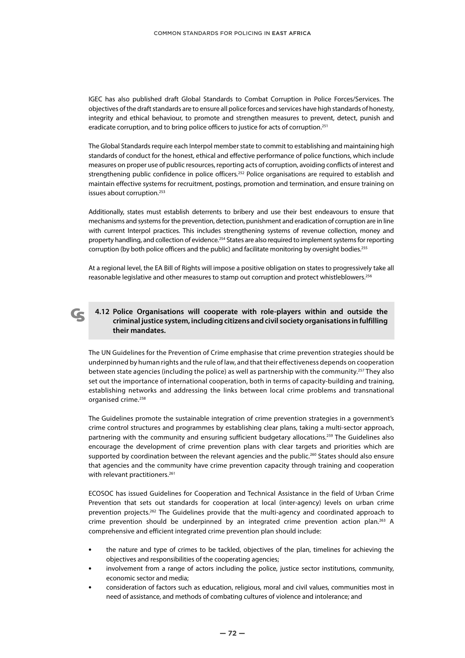IGEC has also published draft Global Standards to Combat Corruption in Police Forces/Services. The objectives of the draft standards are to ensure all police forces and services have high standards of honesty, integrity and ethical behaviour, to promote and strengthen measures to prevent, detect, punish and eradicate corruption, and to bring police officers to justice for acts of corruption.<sup>251</sup>

The Global Standards require each Interpol member state to commit to establishing and maintaining high standards of conduct for the honest, ethical and effective performance of police functions, which include measures on proper use of public resources, reporting acts of corruption, avoiding conflicts of interest and strengthening public confidence in police officers.<sup>252</sup> Police organisations are required to establish and maintain effective systems for recruitment, postings, promotion and termination, and ensure training on issues about corruption.<sup>253</sup>

Additionally, states must establish deterrents to bribery and use their best endeavours to ensure that mechanisms and systems for the prevention, detection, punishment and eradication of corruption are in line with current Interpol practices. This includes strengthening systems of revenue collection, money and property handling, and collection of evidence.<sup>254</sup> States are also required to implement systems for reporting corruption (by both police officers and the public) and facilitate monitoring by oversight bodies.<sup>255</sup>

At a regional level, the EA Bill of Rights will impose a positive obligation on states to progressively take all reasonable legislative and other measures to stamp out corruption and protect whistleblowers.<sup>256</sup>

# **4.12 Police Organisations will cooperate with role-players within and outside the criminal justice system, including citizens and civil society organisations in fulfilling their mandates.**

The UN Guidelines for the Prevention of Crime emphasise that crime prevention strategies should be underpinned by human rights and the rule of law, and that their effectiveness depends on cooperation between state agencies (including the police) as well as partnership with the community.<sup>257</sup> They also set out the importance of international cooperation, both in terms of capacity-building and training, establishing networks and addressing the links between local crime problems and transnational organised crime.<sup>258</sup>

The Guidelines promote the sustainable integration of crime prevention strategies in a government's crime control structures and programmes by establishing clear plans, taking a multi-sector approach, partnering with the community and ensuring sufficient budgetary allocations.<sup>259</sup> The Guidelines also encourage the development of crime prevention plans with clear targets and priorities which are supported by coordination between the relevant agencies and the public.<sup>260</sup> States should also ensure that agencies and the community have crime prevention capacity through training and cooperation with relevant practitioners.<sup>261</sup>

ECOSOC has issued Guidelines for Cooperation and Technical Assistance in the field of Urban Crime Prevention that sets out standards for cooperation at local (inter-agency) levels on urban crime prevention projects.262 The Guidelines provide that the multi-agency and coordinated approach to crime prevention should be underpinned by an integrated crime prevention action plan.263 A comprehensive and efficient integrated crime prevention plan should include:

- **•** the nature and type of crimes to be tackled, objectives of the plan, timelines for achieving the objectives and responsibilities of the cooperating agencies;
- **•** involvement from a range of actors including the police, justice sector institutions, community, economic sector and media;
- **•** consideration of factors such as education, religious, moral and civil values, communities most in need of assistance, and methods of combating cultures of violence and intolerance; and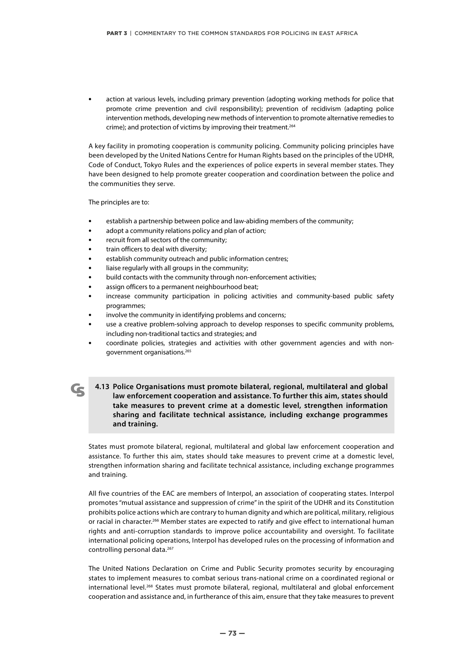**•** action at various levels, including primary prevention (adopting working methods for police that promote crime prevention and civil responsibility); prevention of recidivism (adapting police intervention methods, developing new methods of intervention to promote alternative remedies to crime); and protection of victims by improving their treatment.264

A key facility in promoting cooperation is community policing. Community policing principles have been developed by the United Nations Centre for Human Rights based on the principles of the UDHR, Code of Conduct, Tokyo Rules and the experiences of police experts in several member states. They have been designed to help promote greater cooperation and coordination between the police and the communities they serve.

The principles are to:

- **•** establish a partnership between police and law-abiding members of the community;
- **•** adopt a community relations policy and plan of action;
- **•** recruit from all sectors of the community;
- **•** train officers to deal with diversity;
- **•** establish community outreach and public information centres;
- **•** liaise regularly with all groups in the community;
- **•** build contacts with the community through non-enforcement activities;
- **•** assign officers to a permanent neighbourhood beat;
- **•** increase community participation in policing activities and community-based public safety programmes;
- **•** involve the community in identifying problems and concerns;
- **•** use a creative problem-solving approach to develop responses to specific community problems, including non-traditional tactics and strategies; and
- **•** coordinate policies, strategies and activities with other government agencies and with nongovernment organisations.265
- **4.13 Police Organisations must promote bilateral, regional, multilateral and global law enforcement cooperation and assistance. To further this aim, states should take measures to prevent crime at a domestic level, strengthen information sharing and facilitate technical assistance, including exchange programmes and training.**

States must promote bilateral, regional, multilateral and global law enforcement cooperation and assistance. To further this aim, states should take measures to prevent crime at a domestic level, strengthen information sharing and facilitate technical assistance, including exchange programmes and training.

All five countries of the EAC are members of Interpol, an association of cooperating states. Interpol promotes "mutual assistance and suppression of crime" in the spirit of the UDHR and its Constitution prohibits police actions which are contrary to human dignity and which are political, military, religious or racial in character.266 Member states are expected to ratify and give effect to international human rights and anti-corruption standards to improve police accountability and oversight. To facilitate international policing operations, Interpol has developed rules on the processing of information and controlling personal data.267

The United Nations Declaration on Crime and Public Security promotes security by encouraging states to implement measures to combat serious trans-national crime on a coordinated regional or international level.<sup>268</sup> States must promote bilateral, regional, multilateral and global enforcement cooperation and assistance and, in furtherance of this aim, ensure that they take measures to prevent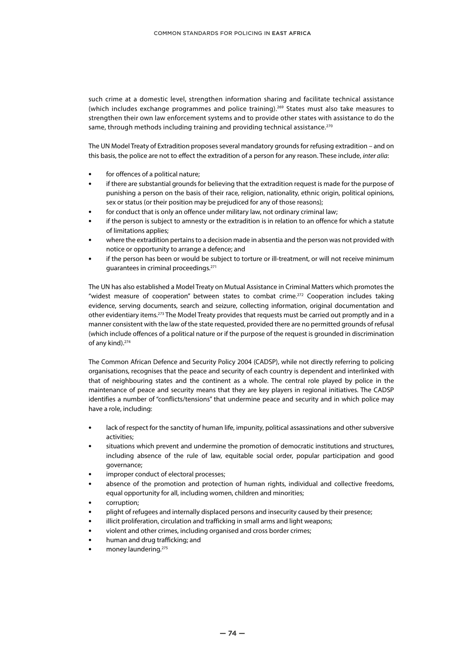such crime at a domestic level, strengthen information sharing and facilitate technical assistance (which includes exchange programmes and police training).269 States must also take measures to strengthen their own law enforcement systems and to provide other states with assistance to do the same, through methods including training and providing technical assistance.<sup>270</sup>

The UN Model Treaty of Extradition proposes several mandatory grounds for refusing extradition – and on this basis, the police are not to effect the extradition of a person for any reason. These include, *inter alia*:

- **•** for offences of a political nature;
- **•** if there are substantial grounds for believing that the extradition request is made for the purpose of punishing a person on the basis of their race, religion, nationality, ethnic origin, political opinions, sex or status (or their position may be prejudiced for any of those reasons);
- **•** for conduct that is only an offence under military law, not ordinary criminal law;
- **•** if the person is subject to amnesty or the extradition is in relation to an offence for which a statute of limitations applies;
- **•** where the extradition pertains to a decision made in absentia and the person was not provided with notice or opportunity to arrange a defence; and
- **•** if the person has been or would be subject to torture or ill-treatment, or will not receive minimum guarantees in criminal proceedings.271

The UN has also established a Model Treaty on Mutual Assistance in Criminal Matters which promotes the "widest measure of cooperation" between states to combat crime.272 Cooperation includes taking evidence, serving documents, search and seizure, collecting information, original documentation and other evidentiary items.<sup>273</sup> The Model Treaty provides that requests must be carried out promptly and in a manner consistent with the law of the state requested, provided there are no permitted grounds of refusal (which include offences of a political nature or if the purpose of the request is grounded in discrimination of any kind).274

The Common African Defence and Security Policy 2004 (CADSP), while not directly referring to policing organisations, recognises that the peace and security of each country is dependent and interlinked with that of neighbouring states and the continent as a whole. The central role played by police in the maintenance of peace and security means that they are key players in regional initiatives. The CADSP identifies a number of "conflicts/tensions" that undermine peace and security and in which police may have a role, including:

- **•** lack of respect for the sanctity of human life, impunity, political assassinations and other subversive activities;
- **•** situations which prevent and undermine the promotion of democratic institutions and structures, including absence of the rule of law, equitable social order, popular participation and good governance;
- **•** improper conduct of electoral processes;
- **•** absence of the promotion and protection of human rights, individual and collective freedoms, equal opportunity for all, including women, children and minorities;
- **•** corruption;
- **•** plight of refugees and internally displaced persons and insecurity caused by their presence;
- **•** illicit proliferation, circulation and trafficking in small arms and light weapons;
- **•** violent and other crimes, including organised and cross border crimes;
- **•** human and drug trafficking; and
- **•** money laundering.275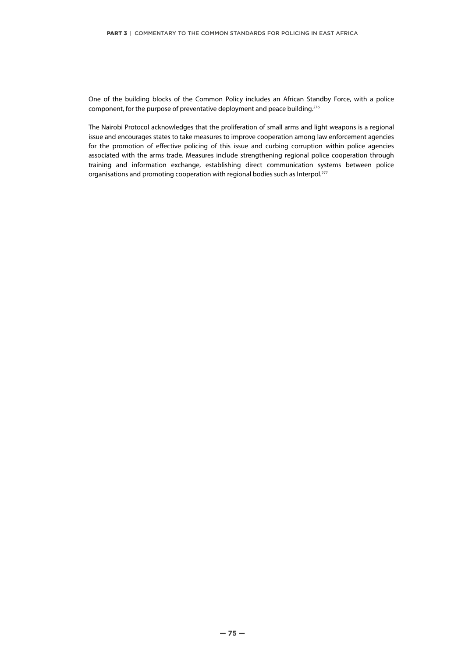One of the building blocks of the Common Policy includes an African Standby Force, with a police component, for the purpose of preventative deployment and peace building.276

The Nairobi Protocol acknowledges that the proliferation of small arms and light weapons is a regional issue and encourages states to take measures to improve cooperation among law enforcement agencies for the promotion of effective policing of this issue and curbing corruption within police agencies associated with the arms trade. Measures include strengthening regional police cooperation through training and information exchange, establishing direct communication systems between police organisations and promoting cooperation with regional bodies such as Interpol.<sup>277</sup>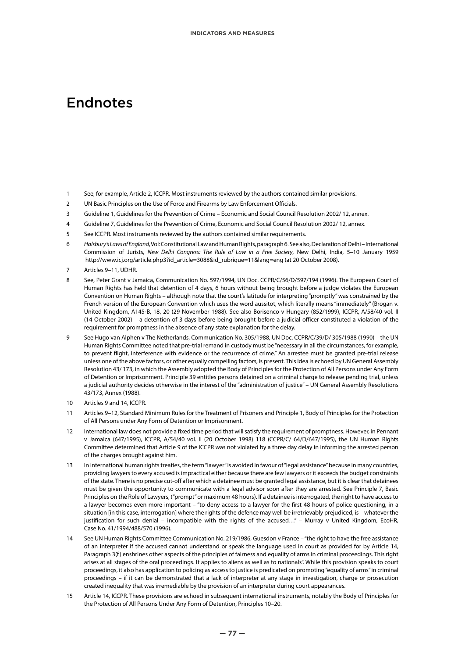# Endnotes

- 1 See, for example, Article 2, ICCPR. Most instruments reviewed by the authors contained similar provisions.
- 2 UN Basic Principles on the Use of Force and Firearms by Law Enforcement Officials.
- 3 Guideline 1, Guidelines for the Prevention of Crime Economic and Social Council Resolution 2002/ 12, annex.
- 4 Guideline 7, Guidelines for the Prevention of Crime, Economic and Social Council Resolution 2002/ 12, annex.
- 5 See ICCPR. Most instruments reviewed by the authors contained similar requirements.
- 6 *Halsbury's Laws of England*, Vol: Constitutional Law and Human Rights, paragraph 6. See also, Declaration of Delhi International Commission of Jurists, *New Delhi Congress: The Rule of Law in a Free Society*, New Delhi, India, 5–10 January 1959 http://www.icj.org/article.php3?id\_article=3088&id\_rubrique=11&lang=eng (at 20 October 2008).
- 7 Articles 9–11, UDHR.
- 8 See, Peter Grant v Jamaica, Communication No. 597/1994, UN Doc. CCPR/C/56/D/597/194 (1996). The European Court of Human Rights has held that detention of 4 days, 6 hours without being brought before a judge violates the European Convention on Human Rights – although note that the court's latitude for interpreting "promptly" was constrained by the French version of the European Convention which uses the word aussitot, which literally means "immediately" (Brogan v. United Kingdom, A145-B, 18, 20 (29 November 1988). See also Borisenco v Hungary (852/1999), ICCPR, A/58/40 vol. II (14 October 2002) – a detention of 3 days before being brought before a judicial officer constituted a violation of the requirement for promptness in the absence of any state explanation for the delay.
- 9 See Hugo van Alphen v The Netherlands, Communication No. 305/1988, UN Doc. CCPR/C/39/D/ 305/1988 (1990) the UN Human Rights Committee noted that pre-trial remand in custody must be "necessary in all the circumstances, for example, to prevent flight, interference with evidence or the recurrence of crime." An arrestee must be granted pre-trial release unless one of the above factors, or other equally compelling factors, is present. This idea is echoed by UN General Assembly Resolution 43/ 173, in which the Assembly adopted the Body of Principles for the Protection of All Persons under Any Form of Detention or Imprisonment. Principle 39 entitles persons detained on a criminal charge to release pending trial, unless a judicial authority decides otherwise in the interest of the "administration of justice" – UN General Assembly Resolutions 43/173, Annex (1988).
- 10 Articles 9 and 14, ICCPR.
- 11 Articles 9–12, Standard Minimum Rules for the Treatment of Prisoners and Principle 1, Body of Principles for the Protection of All Persons under Any Form of Detention or Imprisonment.
- 12 International law does not provide a fixed time period that will satisfy the requirement of promptness. However, in Pennant v Jamaica (647/1995), ICCPR, A/54/40 vol. II (20 October 1998) 118 (CCPR/C/ 64/D/647/1995), the UN Human Rights Committee determined that Article 9 of the ICCPR was not violated by a three day delay in informing the arrested person of the charges brought against him.
- 13 In international human rights treaties, the term "lawyer" is avoided in favour of "legal assistance" because in many countries, providing lawyers to every accused is impractical either because there are few lawyers or it exceeds the budget constraints of the state. There is no precise cut-off after which a detainee must be granted legal assistance, but it is clear that detainees must be given the opportunity to communicate with a legal advisor soon after they are arrested. See Principle 7, Basic Principles on the Role of Lawyers, ("prompt" or maximum 48 hours). If a detainee is interrogated, the right to have access to a lawyer becomes even more important – "to deny access to a lawyer for the first 48 hours of police questioning, in a situation [in this case, interrogation] where the rights of the defence may well be irretrievably prejudiced, is – whatever the justification for such denial – incompatible with the rights of the accused…" – Murray v United Kingdom, EcoHR, Case No. 41/1994/488/570 (1996).
- 14 See UN Human Rights Committee Communication No. 219/1986, Guesdon v France "the right to have the free assistance of an interpreter if the accused cannot understand or speak the language used in court as provided for by Article 14, Paragraph 3(f) enshrines other aspects of the principles of fairness and equality of arms in criminal proceedings. This right arises at all stages of the oral proceedings. It applies to aliens as well as to nationals". While this provision speaks to court proceedings, it also has application to policing as access to justice is predicated on promoting "equality of arms" in criminal proceedings – if it can be demonstrated that a lack of interpreter at any stage in investigation, charge or prosecution created inequality that was irremediable by the provision of an interpreter during court appearances.
- 15 Article 14, ICCPR. These provisions are echoed in subsequent international instruments, notably the Body of Principles for the Protection of All Persons Under Any Form of Detention, Principles 10–20.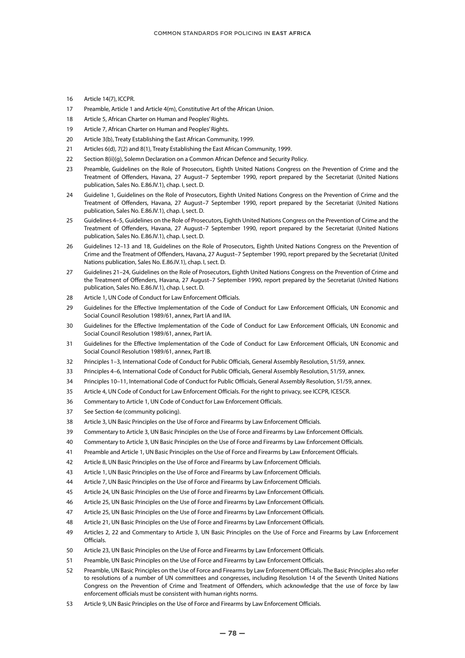- Article 14(7), ICCPR.
- Preamble, Article 1 and Article 4(m), Constitutive Art of the African Union.
- Article 5, African Charter on Human and Peoples' Rights.
- Article 7, African Charter on Human and Peoples' Rights.
- Article 3(b), Treaty Establishing the East African Community, 1999.
- Articles 6(d), 7(2) and 8(1), Treaty Establishing the East African Community, 1999.
- 22 Section 8(ii)(q), Solemn Declaration on a Common African Defence and Security Policy.
- Preamble, Guidelines on the Role of Prosecutors, Eighth United Nations Congress on the Prevention of Crime and the Treatment of Offenders, Havana, 27 August–7 September 1990, report prepared by the Secretariat (United Nations publication, Sales No. E.86.IV.1), chap. I, sect. D.
- Guideline 1, Guidelines on the Role of Prosecutors, Eighth United Nations Congress on the Prevention of Crime and the Treatment of Offenders, Havana, 27 August–7 September 1990, report prepared by the Secretariat (United Nations publication, Sales No. E.86.IV.1), chap. I, sect. D.
- Guidelines 4–5, Guidelines on the Role of Prosecutors, Eighth United Nations Congress on the Prevention of Crime and the Treatment of Offenders, Havana, 27 August–7 September 1990, report prepared by the Secretariat (United Nations publication, Sales No. E.86.IV.1), chap. I, sect. D.
- Guidelines 12–13 and 18, Guidelines on the Role of Prosecutors, Eighth United Nations Congress on the Prevention of Crime and the Treatment of Offenders, Havana, 27 August–7 September 1990, report prepared by the Secretariat (United Nations publication, Sales No. E.86.IV.1), chap. I, sect. D.
- Guidelines 21–24, Guidelines on the Role of Prosecutors, Eighth United Nations Congress on the Prevention of Crime and the Treatment of Offenders, Havana, 27 August–7 September 1990, report prepared by the Secretariat (United Nations publication, Sales No. E.86.IV.1), chap. I, sect. D.
- Article 1, UN Code of Conduct for Law Enforcement Officials.
- Guidelines for the Effective Implementation of the Code of Conduct for Law Enforcement Officials, UN Economic and Social Council Resolution 1989/61, annex, Part IA and IIA.
- Guidelines for the Effective Implementation of the Code of Conduct for Law Enforcement Officials, UN Economic and Social Council Resolution 1989/61, annex, Part IA.
- Guidelines for the Effective Implementation of the Code of Conduct for Law Enforcement Officials, UN Economic and Social Council Resolution 1989/61, annex, Part IB.
- Principles 1–3, International Code of Conduct for Public Officials, General Assembly Resolution, 51/59, annex.
- Principles 4–6, International Code of Conduct for Public Officials, General Assembly Resolution, 51/59, annex.
- Principles 10–11, International Code of Conduct for Public Officials, General Assembly Resolution, 51/59, annex.
- Article 4, UN Code of Conduct for Law Enforcement Officials. For the right to privacy, see ICCPR, ICESCR.
- Commentary to Article 1, UN Code of Conduct for Law Enforcement Officials.
- See Section 4e (community policing).
- Article 3, UN Basic Principles on the Use of Force and Firearms by Law Enforcement Officials.
- Commentary to Article 3, UN Basic Principles on the Use of Force and Firearms by Law Enforcement Officials.
- Commentary to Article 3, UN Basic Principles on the Use of Force and Firearms by Law Enforcement Officials.
- Preamble and Article 1, UN Basic Principles on the Use of Force and Firearms by Law Enforcement Officials.
- Article 8, UN Basic Principles on the Use of Force and Firearms by Law Enforcement Officials.
- Article 1, UN Basic Principles on the Use of Force and Firearms by Law Enforcement Officials.
- Article 7, UN Basic Principles on the Use of Force and Firearms by Law Enforcement Officials.
- Article 24, UN Basic Principles on the Use of Force and Firearms by Law Enforcement Officials.
- Article 25, UN Basic Principles on the Use of Force and Firearms by Law Enforcement Officials.
- Article 25, UN Basic Principles on the Use of Force and Firearms by Law Enforcement Officials.
- Article 21, UN Basic Principles on the Use of Force and Firearms by Law Enforcement Officials.
- Articles 2, 22 and Commentary to Article 3, UN Basic Principles on the Use of Force and Firearms by Law Enforcement Officials.
- Article 23, UN Basic Principles on the Use of Force and Firearms by Law Enforcement Officials.
- Preamble, UN Basic Principles on the Use of Force and Firearms by Law Enforcement Officials.
- Preamble, UN Basic Principles on the Use of Force and Firearms by Law Enforcement Officials. The Basic Principles also refer to resolutions of a number of UN committees and congresses, including Resolution 14 of the Seventh United Nations Congress on the Prevention of Crime and Treatment of Offenders, which acknowledge that the use of force by law enforcement officials must be consistent with human rights norms.
- Article 9, UN Basic Principles on the Use of Force and Firearms by Law Enforcement Officials.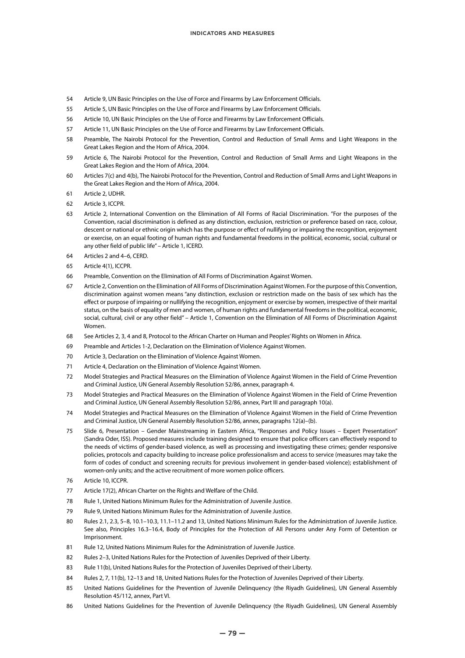- 54 Article 9, UN Basic Principles on the Use of Force and Firearms by Law Enforcement Officials.
- 55 Article 5, UN Basic Principles on the Use of Force and Firearms by Law Enforcement Officials.
- 56 Article 10, UN Basic Principles on the Use of Force and Firearms by Law Enforcement Officials.
- 57 Article 11, UN Basic Principles on the Use of Force and Firearms by Law Enforcement Officials.
- 58 Preamble, The Nairobi Protocol for the Prevention, Control and Reduction of Small Arms and Light Weapons in the Great Lakes Region and the Horn of Africa, 2004.
- 59 Article 6, The Nairobi Protocol for the Prevention, Control and Reduction of Small Arms and Light Weapons in the Great Lakes Region and the Horn of Africa, 2004.
- 60 Articles 7(c) and 4(b), The Nairobi Protocol for the Prevention, Control and Reduction of Small Arms and Light Weapons in the Great Lakes Region and the Horn of Africa, 2004.
- 61 Article 2, UDHR.
- 62 Article 3, ICCPR.
- 63 Article 2, International Convention on the Elimination of All Forms of Racial Discrimination. "For the purposes of the Convention, racial discrimination is defined as any distinction, exclusion, restriction or preference based on race, colour, descent or national or ethnic origin which has the purpose or effect of nullifying or impairing the recognition, enjoyment or exercise, on an equal footing of human rights and fundamental freedoms in the political, economic, social, cultural or any other field of public life" – Article 1, ICERD.
- 64 Articles 2 and 4–6, CERD.
- 65 Article 4(1), ICCPR.
- 66 Preamble, Convention on the Elimination of All Forms of Discrimination Against Women.
- 67 Article 2, Convention on the Elimination of All Forms of Discrimination Against Women. For the purpose of this Convention, discrimination against women means "any distinction, exclusion or restriction made on the basis of sex which has the effect or purpose of impairing or nullifying the recognition, enjoyment or exercise by women, irrespective of their marital status, on the basis of equality of men and women, of human rights and fundamental freedoms in the political, economic, social, cultural, civil or any other field" – Article 1, Convention on the Elimination of All Forms of Discrimination Against Women.
- 68 See Articles 2, 3, 4 and 8, Protocol to the African Charter on Human and Peoples' Rights on Women in Africa.
- 69 Preamble and Articles 1-2, Declaration on the Elimination of Violence Against Women.
- 70 Article 3, Declaration on the Elimination of Violence Against Women.
- 71 Article 4, Declaration on the Elimination of Violence Against Women.
- 72 Model Strategies and Practical Measures on the Elimination of Violence Against Women in the Field of Crime Prevention and Criminal Justice, UN General Assembly Resolution 52/86, annex, paragraph 4.
- 73 Model Strategies and Practical Measures on the Elimination of Violence Against Women in the Field of Crime Prevention and Criminal Justice, UN General Assembly Resolution 52/86, annex, Part III and paragraph 10(a).
- 74 Model Strategies and Practical Measures on the Elimination of Violence Against Women in the Field of Crime Prevention and Criminal Justice, UN General Assembly Resolution 52/86, annex, paragraphs 12(a)–(b).
- 75 Slide 6, Presentation Gender Mainstreaming in Eastern Africa, "Responses and Policy Issues Expert Presentation" (Sandra Oder, ISS). Proposed measures include training designed to ensure that police officers can effectively respond to the needs of victims of gender-based violence, as well as processing and investigating these crimes; gender responsive policies, protocols and capacity building to increase police professionalism and access to service (measures may take the form of codes of conduct and screening recruits for previous involvement in gender-based violence); establishment of women-only units; and the active recruitment of more women police officers.
- 76 Article 10, ICCPR.
- 77 Article 17(2), African Charter on the Rights and Welfare of the Child.
- 78 Rule 1, United Nations Minimum Rules for the Administration of Juvenile Justice.
- 79 Rule 9, United Nations Minimum Rules for the Administration of Juvenile Justice.
- 80 Rules 2.1, 2.3, 5–8, 10.1–10.3, 11.1–11.2 and 13, United Nations Minimum Rules for the Administration of Juvenile Justice. See also, Principles 16.3–16.4, Body of Principles for the Protection of All Persons under Any Form of Detention or Imprisonment.
- 81 Rule 12, United Nations Minimum Rules for the Administration of Juvenile Justice.
- 82 Rules 2–3, United Nations Rules for the Protection of Juveniles Deprived of their Liberty.
- 83 Rule 11(b), United Nations Rules for the Protection of Juveniles Deprived of their Liberty.
- 84 Rules 2, 7, 11(b), 12–13 and 18, United Nations Rules for the Protection of Juveniles Deprived of their Liberty.
- 85 United Nations Guidelines for the Prevention of Juvenile Delinquency (the Riyadh Guidelines), UN General Assembly Resolution 45/112, annex, Part VI.
- 86 United Nations Guidelines for the Prevention of Juvenile Delinquency (the Riyadh Guidelines), UN General Assembly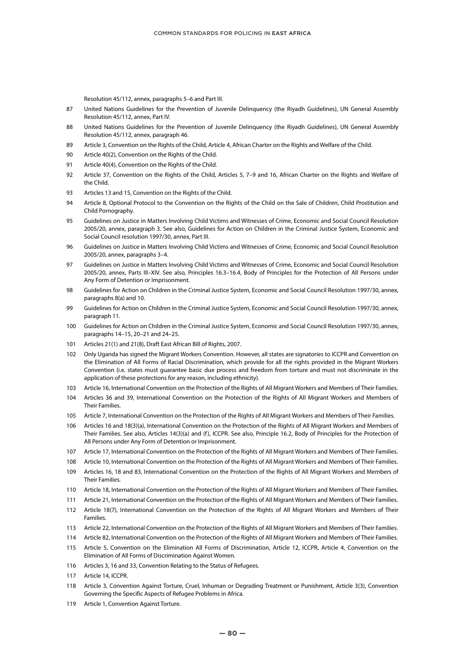Resolution 45/112, annex, paragraphs 5–6 and Part III.

- 87 United Nations Guidelines for the Prevention of Juvenile Delinquency (the Riyadh Guidelines), UN General Assembly Resolution 45/112, annex, Part IV.
- 88 United Nations Guidelines for the Prevention of Juvenile Delinquency (the Riyadh Guidelines), UN General Assembly Resolution 45/112, annex, paragraph 46.
- 89 Article 3, Convention on the Rights of the Child, Article 4, African Charter on the Rights and Welfare of the Child.
- 90 Article 40(2), Convention on the Rights of the Child.
- 91 Article 40(4), Convention on the Rights of the Child.
- 92 Article 37, Convention on the Rights of the Child, Articles 5, 7–9 and 16, African Charter on the Rights and Welfare of the Child.
- 93 Articles 13 and 15, Convention on the Rights of the Child.
- 94 Article 8, Optional Protocol to the Convention on the Rights of the Child on the Sale of Children, Child Prostitution and Child Pornography.
- 95 Guidelines on Justice in Matters Involving Child Victims and Witnesses of Crime, Economic and Social Council Resolution 2005/20, annex, paragraph 3. See also, Guidelines for Action on Children in the Criminal Justice System, Economic and Social Council resolution 1997/30, annex, Part III.
- 96 Guidelines on Justice in Matters Involving Child Victims and Witnesses of Crime, Economic and Social Council Resolution 2005/20, annex, paragraphs 3–4.
- 97 Guidelines on Justice in Matters Involving Child Victims and Witnesses of Crime, Economic and Social Council Resolution 2005/20, annex, Parts III–XIV. See also, Principles 16.3–16.4, Body of Principles for the Protection of All Persons under Any Form of Detention or Imprisonment.
- 98 Guidelines for Action on Children in the Criminal Justice System, Economic and Social Council Resolution 1997/30, annex, paragraphs 8(a) and 10.
- 99 Guidelines for Action on Children in the Criminal Justice System, Economic and Social Council Resolution 1997/30, annex, paragraph 11.
- 100 Guidelines for Action on Children in the Criminal Justice System, Economic and Social Council Resolution 1997/30, annex, paragraphs 14–15, 20–21 and 24–25.
- 101 Articles 21(1) and 21(8), Draft East African Bill of Rights, 2007.
- 102 Only Uganda has signed the Migrant Workers Convention. However, all states are signatories to ICCPR and Convention on the Elimination of All Forms of Racial Discrimination, which provide for all the rights provided in the Migrant Workers Convention (i.e. states must guarantee basic due process and freedom from torture and must not discriminate in the application of these protections for any reason, including ethnicity).
- 103 Article 16, International Convention on the Protection of the Rights of All Migrant Workers and Members of Their Families.
- 104 Articles 36 and 39, International Convention on the Protection of the Rights of All Migrant Workers and Members of Their Families.
- 105 Article 7, International Convention on the Protection of the Rights of All Migrant Workers and Members of Their Families.
- 106 Articles 16 and 18(3)(a), International Convention on the Protection of the Rights of All Migrant Workers and Members of Their Families. See also, Articles 14(3)(a) and (f), ICCPR. See also, Principle 16.2, Body of Principles for the Protection of All Persons under Any Form of Detention or Imprisonment.
- 107 Article 17, International Convention on the Protection of the Rights of All Migrant Workers and Members of Their Families.
- 108 Article 10, International Convention on the Protection of the Rights of All Migrant Workers and Members of Their Families.
- 109 Articles 16, 18 and 83, International Convention on the Protection of the Rights of All Migrant Workers and Members of Their Families.
- 110 Article 18, International Convention on the Protection of the Rights of All Migrant Workers and Members of Their Families.
- 111 Article 21, International Convention on the Protection of the Rights of All Migrant Workers and Members of Their Families.
- 112 Article 18(7), International Convention on the Protection of the Rights of All Migrant Workers and Members of Their Families.
- 113 Article 22, International Convention on the Protection of the Rights of All Migrant Workers and Members of Their Families.
- 114 Article 82, International Convention on the Protection of the Rights of All Migrant Workers and Members of Their Families.
- 115 Article 5, Convention on the Elimination All Forms of Discrimination, Article 12, ICCPR, Article 4, Convention on the Elimination of All Forms of Discrimination Against Women.
- 116 Articles 3, 16 and 33, Convention Relating to the Status of Refugees.
- 117 Article 14, ICCPR.
- 118 Article 3, Convention Against Torture, Cruel, Inhuman or Degrading Treatment or Punishment, Article 3(3), Convention Governing the Specific Aspects of Refugee Problems in Africa.
- 119 Article 1, Convention Against Torture.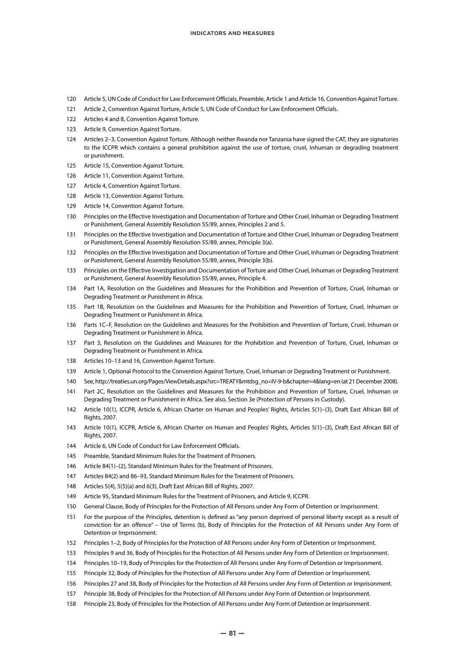- Article 5, UN Code of Conduct for Law Enforcement Officials, Preamble, Article 1 and Article 16, Convention Against Torture.
- Article 2, Convention Against Torture, Article 5, UN Code of Conduct for Law Enforcement Officials.
- Articles 4 and 8, Convention Against Torture.
- Article 9, Convention Against Torture.
- Articles 2–3, Convention Against Torture. Although neither Rwanda nor Tanzania have signed the CAT, they are signatories to the ICCPR which contains a general prohibition against the use of torture, cruel, inhuman or degrading treatment or punishment.
- Article 15, Convention Against Torture.
- Article 11, Convention Against Torture.
- Article 4, Convention Against Torture.
- Article 13, Convention Against Torture.
- Article 14, Convention Against Torture.
- Principles on the Effective Investigation and Documentation of Torture and Other Cruel, Inhuman or Degrading Treatment or Punishment, General Assembly Resolution 55/89, annex, Principles 2 and 5.
- Principles on the Effective Investigation and Documentation of Torture and Other Cruel, Inhuman or Degrading Treatment or Punishment, General Assembly Resolution 55/89, annex, Principle 3(a).
- Principles on the Effective Investigation and Documentation of Torture and Other Cruel, Inhuman or Degrading Treatment or Punishment, General Assembly Resolution 55/89, annex, Principle 3(b).
- Principles on the Effective Investigation and Documentation of Torture and Other Cruel, Inhuman or Degrading Treatment or Punishment, General Assembly Resolution 55/89, annex, Principle 4.
- Part 1A, Resolution on the Guidelines and Measures for the Prohibition and Prevention of Torture, Cruel, Inhuman or Degrading Treatment or Punishment in Africa.
- Part 1B, Resolution on the Guidelines and Measures for the Prohibition and Prevention of Torture, Cruel, Inhuman or Degrading Treatment or Punishment in Africa.
- Parts 1C–F, Resolution on the Guidelines and Measures for the Prohibition and Prevention of Torture, Cruel, Inhuman or Degrading Treatment or Punishment in Africa.
- Part 3, Resolution on the Guidelines and Measures for the Prohibition and Prevention of Torture, Cruel, Inhuman or Degrading Treatment or Punishment in Africa.
- Articles 10–13 and 16, Convention Against Torture.
- Article 1, Optional Protocol to the Convention Against Torture, Cruel, Inhuman or Degrading Treatment or Punishment.
- See, http://treaties.un.org/Pages/ViewDetails.aspx?src=TREATY&mtdsg\_no=IV-9-b&chapter=4&lang=en (at 21 December 2008).
- Part 2C, Resolution on the Guidelines and Measures for the Prohibition and Prevention of Torture, Cruel, Inhuman or Degrading Treatment or Punishment in Africa. See also, Section 3e (Protection of Persons in Custody).
- Article 10(1), ICCPR, Article 6, African Charter on Human and Peoples' Rights, Articles 5(1)–(3), Draft East African Bill of Rights, 2007.
- Article 10(1), ICCPR, Article 6, African Charter on Human and Peoples' Rights, Articles 5(1)–(3), Draft East African Bill of Rights, 2007.
- Article 6, UN Code of Conduct for Law Enforcement Officials.
- Preamble, Standard Minimum Rules for the Treatment of Prisoners.
- Article 84(1)–(2), Standard Minimum Rules for the Treatment of Prisoners.
- Articles 84(2) and 86–93, Standard Minimum Rules for the Treatment of Prisoners.
- Articles 5(4), 5(5)(a) and 6(3), Draft East African Bill of Rights, 2007.
- Article 95, Standard Minimum Rules for the Treatment of Prisoners, and Article 9, ICCPR.
- General Clause, Body of Principles for the Protection of All Persons under Any Form of Detention or Imprisonment.
- For the purpose of the Principles, detention is defined as "any person deprived of personal liberty except as a result of conviction for an offence" – Use of Terms (b), Body of Principles for the Protection of All Persons under Any Form of Detention or Imprisonment.
- Principles 1–2, Body of Principles for the Protection of All Persons under Any Form of Detention or Imprisonment.
- Principles 9 and 36, Body of Principles for the Protection of All Persons under Any Form of Detention or Imprisonment.
- Principles 10–19, Body of Principles for the Protection of All Persons under Any Form of Detention or Imprisonment.
- Principle 32, Body of Principles for the Protection of All Persons under Any Form of Detention or Imprisonment.
- Principles 27 and 38, Body of Principles for the Protection of All Persons under Any Form of Detention or Imprisonment.
- Principle 38, Body of Principles for the Protection of All Persons under Any Form of Detention or Imprisonment.
- Principle 23, Body of Principles for the Protection of All Persons under Any Form of Detention or Imprisonment.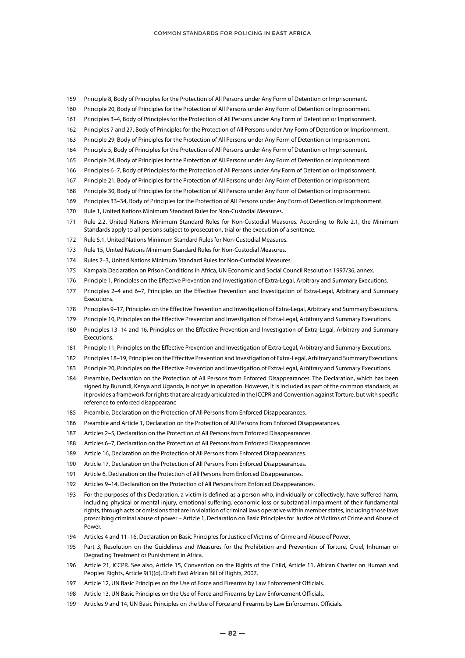- Principle 8, Body of Principles for the Protection of All Persons under Any Form of Detention or Imprisonment.
- Principle 20, Body of Principles for the Protection of All Persons under Any Form of Detention or Imprisonment.
- Principles 3–4, Body of Principles for the Protection of All Persons under Any Form of Detention or Imprisonment.
- Principles 7 and 27, Body of Principles for the Protection of All Persons under Any Form of Detention or Imprisonment.
- Principle 29, Body of Principles for the Protection of All Persons under Any Form of Detention or Imprisonment.
- Principle 5, Body of Principles for the Protection of All Persons under Any Form of Detention or Imprisonment.
- Principle 24, Body of Principles for the Protection of All Persons under Any Form of Detention or Imprisonment.
- Principles 6–7, Body of Principles for the Protection of All Persons under Any Form of Detention or Imprisonment.
- Principle 21, Body of Principles for the Protection of All Persons under Any Form of Detention or Imprisonment.
- Principle 30, Body of Principles for the Protection of All Persons under Any Form of Detention or Imprisonment.
- Principles 33–34, Body of Principles for the Protection of All Persons under Any Form of Detention or Imprisonment.
- Rule 1, United Nations Minimum Standard Rules for Non-Custodial Measures.
- Rule 2.2, United Nations Minimum Standard Rules for Non-Custodial Measures. According to Rule 2.1, the Minimum Standards apply to all persons subject to prosecution, trial or the execution of a sentence.
- Rule 5.1, United Nations Minimum Standard Rules for Non-Custodial Measures.
- Rule 15, United Nations Minimum Standard Rules for Non-Custodial Measures.
- Rules 2–3, United Nations Minimum Standard Rules for Non-Custodial Measures.
- Kampala Declaration on Prison Conditions in Africa, UN Economic and Social Council Resolution 1997/36, annex.
- Principle 1, Principles on the Effective Prevention and Investigation of Extra-Legal, Arbitrary and Summary Executions.
- Principles 2–4 and 6–7, Principles on the Effective Prevention and Investigation of Extra-Legal, Arbitrary and Summary Executions.
- Principles 9–17, Principles on the Effective Prevention and Investigation of Extra-Legal, Arbitrary and Summary Executions.
- Principle 10, Principles on the Effective Prevention and Investigation of Extra-Legal, Arbitrary and Summary Executions.
- Principles 13–14 and 16, Principles on the Effective Prevention and Investigation of Extra-Legal, Arbitrary and Summary Executions.
- Principle 11, Principles on the Effective Prevention and Investigation of Extra-Legal, Arbitrary and Summary Executions.
- Principles 18–19, Principles on the Effective Prevention and Investigation of Extra-Legal, Arbitrary and Summary Executions.
- Principle 20, Principles on the Effective Prevention and Investigation of Extra-Legal, Arbitrary and Summary Executions.
- Preamble, Declaration on the Protection of All Persons from Enforced Disappearances. The Declaration, which has been signed by Burundi, Kenya and Uganda, is not yet in operation. However, it is included as part of the common standards, as it provides a framework for rights that are already articulated in the ICCPR and Convention against Torture, but with specific reference to enforced disappearanc
- Preamble, Declaration on the Protection of All Persons from Enforced Disappearances.
- Preamble and Article 1, Declaration on the Protection of All Persons from Enforced Disappearances.
- Articles 2–5, Declaration on the Protection of All Persons from Enforced Disappearances.
- Articles 6–7, Declaration on the Protection of All Persons from Enforced Disappearances.
- Article 16, Declaration on the Protection of All Persons from Enforced Disappearances.
- Article 17, Declaration on the Protection of All Persons from Enforced Disappearances.
- Article 6, Declaration on the Protection of All Persons from Enforced Disappearances.
- Articles 9–14, Declaration on the Protection of All Persons from Enforced Disappearances.
- For the purposes of this Declaration, a victim is defined as a person who, individually or collectively, have suffered harm, including physical or mental injury, emotional suffering, economic loss or substantial impairment of their fundamental rights, through acts or omissions that are in violation of criminal laws operative within member states, including those laws proscribing criminal abuse of power – Article 1, Declaration on Basic Principles for Justice of Victims of Crime and Abuse of Power.
- Articles 4 and 11–16, Declaration on Basic Principles for Justice of Victims of Crime and Abuse of Power.
- Part 3, Resolution on the Guidelines and Measures for the Prohibition and Prevention of Torture, Cruel, Inhuman or Degrading Treatment or Punishment in Africa.
- Article 21, ICCPR. See also, Article 15, Convention on the Rights of the Child, Article 11, African Charter on Human and Peoples' Rights, Article 9(1)(d), Draft East African Bill of Rights, 2007.
- Article 12, UN Basic Principles on the Use of Force and Firearms by Law Enforcement Officials.
- Article 13, UN Basic Principles on the Use of Force and Firearms by Law Enforcement Officials.
- Articles 9 and 14, UN Basic Principles on the Use of Force and Firearms by Law Enforcement Officials.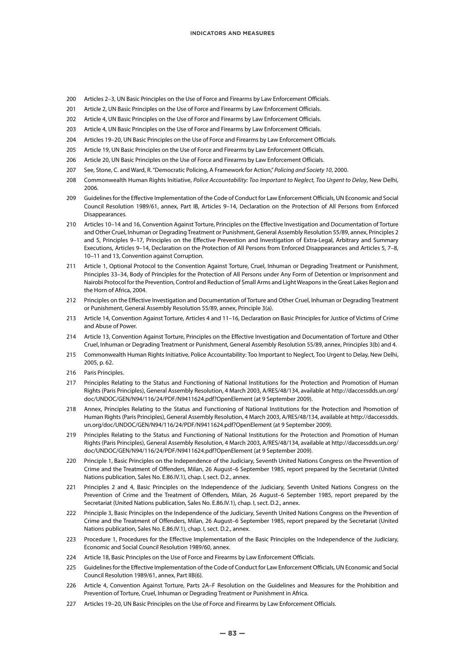- 200 Articles 2–3, UN Basic Principles on the Use of Force and Firearms by Law Enforcement Officials.
- 201 Article 2, UN Basic Principles on the Use of Force and Firearms by Law Enforcement Officials.
- 202 Article 4, UN Basic Principles on the Use of Force and Firearms by Law Enforcement Officials.
- 203 Article 4, UN Basic Principles on the Use of Force and Firearms by Law Enforcement Officials.
- 204 Articles 19–20, UN Basic Principles on the Use of Force and Firearms by Law Enforcement Officials.
- 205 Article 19, UN Basic Principles on the Use of Force and Firearms by Law Enforcement Officials.
- 206 Article 20, UN Basic Principles on the Use of Force and Firearms by Law Enforcement Officials.
- 207 See, Stone, C. and Ward, R. "Democratic Policing, A Framework for Action," *Policing and Society 10*, 2000.
- 208 Commonwealth Human Rights Initiative, *Police Accountability: Too Important to Neglect, Too Urgent to Delay*, New Delhi, 2006.
- 209 Guidelines for the Effective Implementation of the Code of Conduct for Law Enforcement Officials, UN Economic and Social Council Resolution 1989/61, annex, Part IB, Articles 9–14, Declaration on the Protection of All Persons from Enforced Disappearances.
- 210 Articles 10–14 and 16, Convention Against Torture, Principles on the Effective Investigation and Documentation of Torture and Other Cruel, Inhuman or Degrading Treatment or Punishment, General Assembly Resolution 55/89, annex, Principles 2 and 5, Principles 9–17, Principles on the Effective Prevention and Investigation of Extra-Legal, Arbitrary and Summary Executions, Articles 9–14, Declaration on the Protection of All Persons from Enforced Disappearances and Articles 5, 7–8, 10–11 and 13, Convention against Corruption.
- 211 Article 1, Optional Protocol to the Convention Against Torture, Cruel, Inhuman or Degrading Treatment or Punishment, Principles 33–34, Body of Principles for the Protection of All Persons under Any Form of Detention or Imprisonment and Nairobi Protocol for the Prevention, Control and Reduction of Small Arms and Light Weapons in the Great Lakes Region and the Horn of Africa, 2004.
- 212 Principles on the Effective Investigation and Documentation of Torture and Other Cruel, Inhuman or Degrading Treatment or Punishment, General Assembly Resolution 55/89, annex, Principle 3(a).
- 213 Article 14, Convention Against Torture, Articles 4 and 11–16, Declaration on Basic Principles for Justice of Victims of Crime and Abuse of Power.
- 214 Article 13, Convention Against Torture, Principles on the Effective Investigation and Documentation of Torture and Other Cruel, Inhuman or Degrading Treatment or Punishment, General Assembly Resolution 55/89, annex, Principles 3(b) and 4.
- 215 Commonwealth Human Rights Initiative, Police Accountability: Too Important to Neglect, Too Urgent to Delay, New Delhi, 2005, p. 62.
- 216 Paris Principles.
- 217 Principles Relating to the Status and Functioning of National Institutions for the Protection and Promotion of Human Rights (Paris Principles), General Assembly Resolution, 4 March 2003, A/RES/48/134, available at http://daccessdds.un.org/ doc/UNDOC/GEN/N94/116/24/PDF/N9411624.pdf?OpenElement (at 9 September 2009).
- 218 Annex, Principles Relating to the Status and Functioning of National Institutions for the Protection and Promotion of Human Rights (Paris Principles), General Assembly Resolution, 4 March 2003, A/RES/48/134, available at http://daccessdds. un.org/doc/UNDOC/GEN/N94/116/24/PDF/N9411624.pdf?OpenElement (at 9 September 2009).
- 219 Principles Relating to the Status and Functioning of National Institutions for the Protection and Promotion of Human Rights (Paris Principles), General Assembly Resolution, 4 March 2003, A/RES/48/134, available at http://daccessdds.un.org/ doc/UNDOC/GEN/N94/116/24/PDF/N9411624.pdf?OpenElement (at 9 September 2009).
- 220 Principle 1, Basic Principles on the Independence of the Judiciary, Seventh United Nations Congress on the Prevention of Crime and the Treatment of Offenders, Milan, 26 August–6 September 1985, report prepared by the Secretariat (United Nations publication, Sales No. E.86.IV.1), chap. I, sect. D.2., annex.
- 221 Principles 2 and 4, Basic Principles on the Independence of the Judiciary, Seventh United Nations Congress on the Prevention of Crime and the Treatment of Offenders, Milan, 26 August–6 September 1985, report prepared by the Secretariat (United Nations publication, Sales No. E.86.IV.1), chap. I, sect. D.2., annex.
- 222 Principle 3, Basic Principles on the Independence of the Judiciary, Seventh United Nations Congress on the Prevention of Crime and the Treatment of Offenders, Milan, 26 August–6 September 1985, report prepared by the Secretariat (United Nations publication, Sales No. E.86.IV.1), chap. I, sect. D.2., annex.
- 223 Procedure 1, Procedures for the Effective Implementation of the Basic Principles on the Independence of the Judiciary, Economic and Social Council Resolution 1989/60, annex.
- 224 Article 18, Basic Principles on the Use of Force and Firearms by Law Enforcement Officials.
- 225 Guidelines for the Effective Implementation of the Code of Conduct for Law Enforcement Officials, UN Economic and Social Council Resolution 1989/61, annex, Part IIB(6).
- 226 Article 4, Convention Against Torture, Parts 2A–F Resolution on the Guidelines and Measures for the Prohibition and Prevention of Torture, Cruel, Inhuman or Degrading Treatment or Punishment in Africa.
- 227 Articles 19–20, UN Basic Principles on the Use of Force and Firearms by Law Enforcement Officials.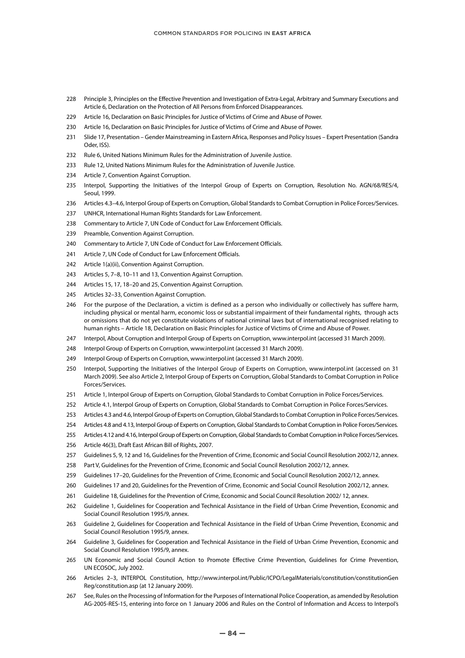- Principle 3, Principles on the Effective Prevention and Investigation of Extra-Legal, Arbitrary and Summary Executions and Article 6, Declaration on the Protection of All Persons from Enforced Disappearances.
- Article 16, Declaration on Basic Principles for Justice of Victims of Crime and Abuse of Power.
- Article 16, Declaration on Basic Principles for Justice of Victims of Crime and Abuse of Power.
- Slide 17, Presentation Gender Mainstreaming in Eastern Africa, Responses and Policy Issues Expert Presentation (Sandra Oder, ISS).
- Rule 6, United Nations Minimum Rules for the Administration of Juvenile Justice.
- Rule 12, United Nations Minimum Rules for the Administration of Juvenile Justice.
- Article 7, Convention Against Corruption.
- Interpol, Supporting the Initiatives of the Interpol Group of Experts on Corruption, Resolution No. AGN/68/RES/4, Seoul, 1999.
- Articles 4.3–4.6, Interpol Group of Experts on Corruption, Global Standards to Combat Corruption in Police Forces/Services.
- UNHCR, International Human Rights Standards for Law Enforcement.
- Commentary to Article 7, UN Code of Conduct for Law Enforcement Officials.
- Preamble, Convention Against Corruption.
- Commentary to Article 7, UN Code of Conduct for Law Enforcement Officials.
- Article 7, UN Code of Conduct for Law Enforcement Officials.
- 242 Article 1(a)(ii), Convention Against Corruption.
- Articles 5, 7–8, 10–11 and 13, Convention Against Corruption.
- Articles 15, 17, 18–20 and 25, Convention Against Corruption.
- Articles 32–33, Convention Against Corruption.
- For the purpose of the Declaration, a victim is defined as a person who individually or collectively has suffere harm, including physical or mental harm, economic loss or substantial impairment of their fundamental rights, through acts or omissions that do not yet constitute violations of national criminal laws but of international recognised relating to human rights – Article 18, Declaration on Basic Principles for Justice of Victims of Crime and Abuse of Power.
- Interpol, About Corruption and Interpol Group of Experts on Corruption, www.interpol.int (accessed 31 March 2009).
- Interpol Group of Experts on Corruption, www.interpol.int (accessed 31 March 2009).
- Interpol Group of Experts on Corruption, www.interpol.int (accessed 31 March 2009).
- Interpol, Supporting the Initiatives of the Interpol Group of Experts on Corruption, www.interpol.int (accessed on 31 March 2009). See also Article 2, Interpol Group of Experts on Corruption, Global Standards to Combat Corruption in Police Forces/Services.
- Article 1, Interpol Group of Experts on Corruption, Global Standards to Combat Corruption in Police Forces/Services.
- Article 4.1, Interpol Group of Experts on Corruption, Global Standards to Combat Corruption in Police Forces/Services.
- Articles 4.3 and 4.6, Interpol Group of Experts on Corruption, Global Standards to Combat Corruption in Police Forces/Services.
- Articles 4.8 and 4.13, Interpol Group of Experts on Corruption, Global Standards to Combat Corruption in Police Forces/Services.
- Articles 4.12 and 4.16, Interpol Group of Experts on Corruption, Global Standards to Combat Corruption in Police Forces/Services.
- 256 Article 46(3), Draft East African Bill of Rights, 2007.
- Guidelines 5, 9, 12 and 16, Guidelines for the Prevention of Crime, Economic and Social Council Resolution 2002/12, annex.
- Part V, Guidelines for the Prevention of Crime, Economic and Social Council Resolution 2002/12, annex.
- Guidelines 17–20, Guidelines for the Prevention of Crime, Economic and Social Council Resolution 2002/12, annex.
- Guidelines 17 and 20, Guidelines for the Prevention of Crime, Economic and Social Council Resolution 2002/12, annex.
- Guideline 18, Guidelines for the Prevention of Crime, Economic and Social Council Resolution 2002/ 12, annex.
- Guideline 1, Guidelines for Cooperation and Technical Assistance in the Field of Urban Crime Prevention, Economic and Social Council Resolution 1995/9, annex.
- Guideline 2, Guidelines for Cooperation and Technical Assistance in the Field of Urban Crime Prevention, Economic and Social Council Resolution 1995/9, annex.
- Guideline 3, Guidelines for Cooperation and Technical Assistance in the Field of Urban Crime Prevention, Economic and Social Council Resolution 1995/9, annex.
- UN Economic and Social Council Action to Promote Effective Crime Prevention, Guidelines for Crime Prevention, UN ECOSOC, July 2002.
- Articles 2–3, INTERPOL Constitution, http://www.interpol.int/Public/ICPO/LegalMaterials/constitution/constitutionGen Reg/constitution.asp (at 12 January 2009).
- See, Rules on the Processing of Information for the Purposes of International Police Cooperation, as amended by Resolution AG-2005-RES-15, entering into force on 1 January 2006 and Rules on the Control of Information and Access to Interpol's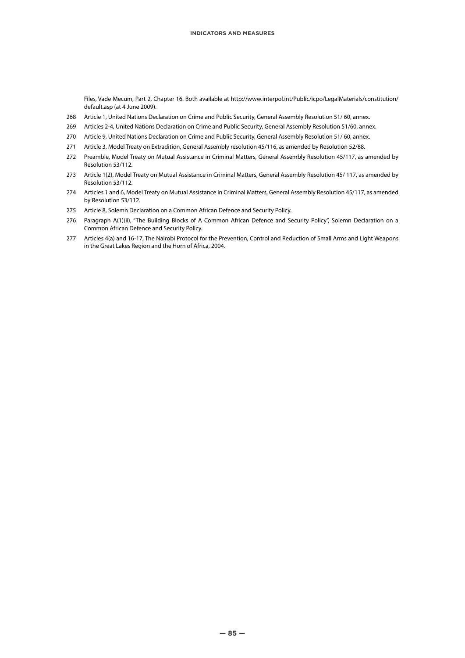Files, Vade Mecum, Part 2, Chapter 16. Both available at http://www.interpol.int/Public/icpo/LegalMaterials/constitution/ default.asp (at 4 June 2009).

- 268 Article 1, United Nations Declaration on Crime and Public Security, General Assembly Resolution 51/ 60, annex.
- 269 Articles 2-4, United Nations Declaration on Crime and Public Security, General Assembly Resolution 51/60, annex.
- 270 Article 9, United Nations Declaration on Crime and Public Security, General Assembly Resolution 51/ 60, annex.
- 271 Article 3, Model Treaty on Extradition, General Assembly resolution 45/116, as amended by Resolution 52/88.
- 272 Preamble, Model Treaty on Mutual Assistance in Criminal Matters, General Assembly Resolution 45/117, as amended by Resolution 53/112.
- 273 Article 1(2), Model Treaty on Mutual Assistance in Criminal Matters, General Assembly Resolution 45/ 117, as amended by Resolution 53/112.
- 274 Articles 1 and 6, Model Treaty on Mutual Assistance in Criminal Matters, General Assembly Resolution 45/117, as amended by Resolution 53/112.
- 275 Article 8, Solemn Declaration on a Common African Defence and Security Policy.
- 276 Paragraph A(1)(ii), "The Building Blocks of A Common African Defence and Security Policy", Solemn Declaration on a Common African Defence and Security Policy.
- 277 Articles 4(a) and 16-17, The Nairobi Protocol for the Prevention, Control and Reduction of Small Arms and Light Weapons in the Great Lakes Region and the Horn of Africa, 2004.